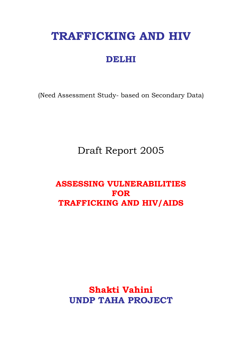# **TRAFFICKING AND HIV**

# **DELHI**

(Need Assessment Study- based on Secondary Data)

Draft Report 2005

# **ASSESSING VULNERABILITIES FOR TRAFFICKING AND HIV/AIDS**

**Shakti Vahini UNDP TAHA PROJECT**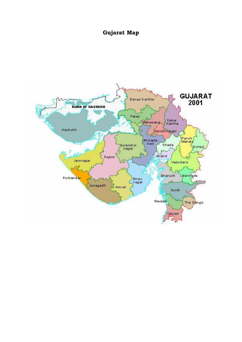# **Gujarat Map**

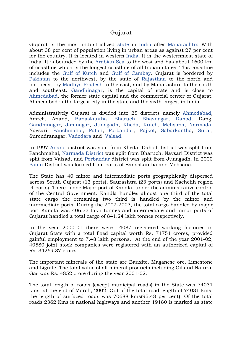#### Gujarat

Gujarat is the most industrialized [state](http://encyclopedia.thefreedictionary.com/States+and+territories+of+India) in [India](http://encyclopedia.thefreedictionary.com/India) after [Maharashtra](http://encyclopedia.thefreedictionary.com/Maharashtra) With about 38 per cent of population living in urban areas as against 27 per cent for the country. It is located in western [India.](http://encyclopedia.thefreedictionary.com/India) It is the westernmost state of India. It is bounded by the [Arabian Sea](http://encyclopedia.thefreedictionary.com/Arabian+Sea) to the west and has about 1600 km of coastline which is the longest coastline of all Indian states. This coastline includes the [Gulf of Kutch](http://encyclopedia.thefreedictionary.com/Gulf+of+Kutch) and [Gulf of Cambay.](http://encyclopedia.thefreedictionary.com/Gulf+of+Cambay) Gujarat is bordered by [Pakistan](http://encyclopedia.thefreedictionary.com/Pakistan) to the northwest, by the state of [Rajasthan](http://encyclopedia.thefreedictionary.com/Rajasthan) to the north and northeast, by [Madhya Pradesh](http://encyclopedia.thefreedictionary.com/Madhya+Pradesh) to the east, and by Maharashtra to the south and southeast. [Gandhinagar](http://encyclopedia.thefreedictionary.com/Gandhinagar), is the capital of state and is close to [Ahmedabad,](http://encyclopedia.thefreedictionary.com/Ahmedabad) the former state capital and the commercial center of Gujarat. Ahmedabad is the largest city in the state and the sixth largest in India.

Administratively Gujarat is divided into 25 districts namely [Ahmedabad,](http://encyclopedia.thefreedictionary.com/Ahmedabad) Amreli, Anand, [Banaskantha](http://encyclopedia.thefreedictionary.com/Banaskantha), [Bharuch](http://encyclopedia.thefreedictionary.com/Bharuch), [Bhavnagar](http://encyclopedia.thefreedictionary.com/Bhavnagar), [Dahod,](http://encyclopedia.thefreedictionary.com/Dahod) Dang, [Gandhinagar](http://encyclopedia.thefreedictionary.com/Gandhinagar), [Jamnagar](http://encyclopedia.thefreedictionary.com/Jamnagar), [Junagadh](http://encyclopedia.thefreedictionary.com/Junagadh), [Kheda,](http://encyclopedia.thefreedictionary.com/Kheda) [Kutch](http://encyclopedia.thefreedictionary.com/Kutch), [Mehsana,](http://encyclopedia.thefreedictionary.com/Mehsana) [Narmada,](http://encyclopedia.thefreedictionary.com/Narmada) Navsari, [Panchmahal](http://encyclopedia.thefreedictionary.com/Panchmahal), [Patan](http://encyclopedia.thefreedictionary.com/Patan,+Gujarat), [Porbandar,](http://encyclopedia.thefreedictionary.com/Porbandar) [Rajkot](http://encyclopedia.thefreedictionary.com/Rajkot), [Sabarkantha](http://encyclopedia.thefreedictionary.com/Sabarkantha), [Surat,](http://encyclopedia.thefreedictionary.com/Surat) Surendranagar, [Vadodara](http://encyclopedia.thefreedictionary.com/Vadodara) and [Valsad](http://encyclopedia.thefreedictionary.com/Valsad).

In 1997 [Anand](http://encyclopedia.thefreedictionary.com/Anand) district was split from Kheda, Dahod district was split from Panchmahal, [Narmada District](http://encyclopedia.thefreedictionary.com/Narmada+District) was split from Bharuch, Navsari District was split from Valsad, and [Porbandar](http://encyclopedia.thefreedictionary.com/Porbandar) district was split from Junagadh. In 2000 [Patan](http://encyclopedia.thefreedictionary.com/Patan,+Gujarat) District was formed from parts of Banaskantha and Mehsana.

The State has 40 minor and intermediate ports geographically dispersed across South Gujarat (13 ports), Saurashtra (23 ports) and Kachchh region (4 ports). There is one Major port of Kandla, under the administrative control of the Central Government. Kandla handles almost one third of the total state cargo the remaining two third is handled by the minor and intermediate ports. During the 2002-2003, the total cargo handled by major port Kandla was 406.33 lakh tonnes and intermediate and minor ports of Gujarat handled a total cargo of 841.24 lakh tonnes respectively.

In the year 2000-01 there were 14087 registered working factories in Gujarat State with a total fixed capital worth Rs. 71751 crores, provided gainful employment to 7.48 lakh persons. At the end of the year 2001-02, 40580 joint stock companies were registered with an authorized capital of Rs. 34269.37 crore.

The important minerals of the state are Bauxite, Maganese ore, Limestone and Lignite. The total value of all mineral products including Oil and Natural Gas was Rs. 4852 crore during the year 2001-02.

The total length of roads (except municipal roads) in the State was 74031 kms. at the end of March, 2002. Out of the total road length of 74031 kms. the length of surfaced roads was 70688 kms(95.48 per cent). Of the total roads 2362 Kms is national highways and another 19180 is marked as state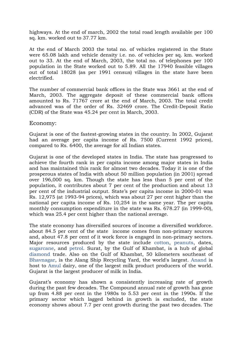highways. At the end of march, 2002 the total road length available per 100 sq. km. worked out to 37.77 km.

At the end of March 2003 the total no. of vehicles registered in the State were 65.08 lakh and vehicle density i.e. no. of vehicles per sq. km. worked out to 33. At the end of March, 2003, the total no. of telephones per 100 population in the State worked out to 5.89. All the 17940 feasible villages out of total 18028 (as per 1991 census) villages in the state have been electrified.

The number of commercial bank offices in the State was 3661 at the end of March, 2003. The aggregate deposit of these commercial bank offices amounted to Rs. 71767 crore at the end of March, 2003. The total credit advanced was of the order of Rs. 32469 crore. The Credit-Deposit Ratio (CDR) of the State was 45.24 per cent in March, 2003.

Economy:

Gujarat is one of the fastest-growing states in the country. In 2002, Gujarat had an average per capita income of Rs. 7500 (Current 1992 prices), compared to Rs. 6400, the average for all Indian states.

Gujarat is one of the developed states in India. The state has progressed to achieve the fourth rank in per capita income among major states in India and has maintained this rank for almost two decades. Today it is one of the prosperous states of India with about 50 million population (in 2001) spread over 196,000 sq. km. Though the state has less than 5 per cent of the population, it contributes about 7 per cent of the production and about 13 per cent of the industrial output. State's per capita income in 2000-01 was Rs. 12,975 (at 1993-94 prices), which was about 27 per cent higher than the national per capita income of Rs. 10,254 in the same year. The per capita monthly consumption expenditure in the state was Rs. 678.27 (in 1999-00), which was 25.4 per cent higher than the national average.

The state economy has diversified sources of income a diversified workforce. about 84.5 per cent of the state income comes from non-primary sources and, about 47.8 per cent of it work force is engaged in non-primary sectors. Major resources produced by the state include [cotton](http://encyclopedia.thefreedictionary.com/cotton), [peanuts,](http://encyclopedia.thefreedictionary.com/peanut) dates, [sugarcane](http://encyclopedia.thefreedictionary.com/sugarcane), and [petrol.](http://encyclopedia.thefreedictionary.com/gasoline) Surat, by the Gulf of Khambat, is a hub of global [diamond](http://encyclopedia.thefreedictionary.com/diamond) trade. Also on the Gulf of Khambat, 50 kilometers southeast of [Bhavnagar,](http://encyclopedia.thefreedictionary.com/Bhavnagar) is the Alang Ship Recycling Yard, the world's largest. [Anand](http://encyclopedia.thefreedictionary.com/Anand) is host to [Amul](http://encyclopedia.thefreedictionary.com/Amul) dairy, one of the largest milk product producers of the world. Gujarat is the largest producer of milk in India.

Gujarat's economy has shown a consistently increasing rate of growth during the past few decades. The Compound annual rate of growth has gone up from 4.88 per cent in the 1980s to 5.53 per cent in the 1990s. If the primary sector which lagged behind in growth is excluded, the state economy shows about 7.7 per cent growth during the past two decades. The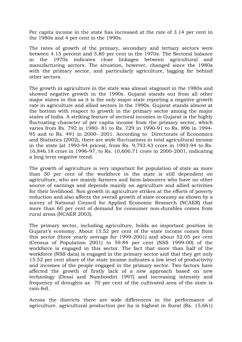Per capita income in the state has increased at the rate of 3.14 per cent in the 1980s and 4 per cent in the 1990s.

The rates of growth of the primary, secondary and tertiary sectors were between 4.15 percent and 5.80 per cent in the 1970s. The Sectoral balance in the 1970s indicates close linkages between agricultural and manufacturing sectors. The situation, however, changed since the 1980s with the primary sector, and particularly agriculture, lagging far behind other sectors.

The growth in agriculture in the state was almost stagnant in the 1980s and showed negative growth in the 1990s. Gujarat stands out from all other major states in this as it is the only major state reporting a negative growth rate in agriculture and allied sectors in the 1990s. Gujarat stands almost at the bottom with respect to growth in the primary sector among the major states of India. A striking feature of sectoral incomes in Gujarat is the highly fluctuating character of per capita income from the primary sector, which varies from Rs. 792 in 1980- 81 to Rs. 729 in 1990-91 to Rs. 896 in 1994- 95 and to Rs. 491 in 2000- 2001. According to Directorate of Economics and Statistics (2002), there are wide fluctuations in total agricultural income in the state (at 1993-94 prices), from Rs. 9,793.43 crore in 1993-94 to Rs. 16,846.18 crore in 1996-97, to Rs. 10,606.71 crore in 2000-2001, indicating a long term negative trend.

The growth of agriculture is very important for population of state as more than 50 per cent of the workforce in the state is still dependent on agriculture, who are mainly farmers and farm-labourers who have no other source of earnings and depends mainly on agriculture and allied activities for their livelihood. Non growth in agriculture strikes at the efforts of poverty reduction and also affects the overall growth of state economy as shown by a survey of National Council for Applied Economic Research (NCAER) that more than 60 per cent of demand for consumer non-durables comes from rural areas (NCAER 2003).

The primary sector, including agriculture, holds an important position in Gujarat's economy. About 15.52 per cent of the state income comes from this sector (three yearly average for 1999-2001) and about 52.05 per cent (Census of Population 2001) to 59.84 per cent (NSS 1999-00) of the workforce is engaged in this sector. The fact that more than half of the workforce (NSS data) is engaged in the primary sector and that they get only 15.52 per cent share of the state income indicates a low level of productivity and incomes of the people engaged in the primary sector. Two factors have affected the growth of firstly lack of a new approach based on new technology (Desai and Namboodiri 1997) and increasing intensity and frequency of droughts as 70 per cent of the cultivated area of the state is rain-fed.

Across the districts there are wide differences in the performance of agriculture. agricultural production per ha is highest in Surat (Rs. 15,661)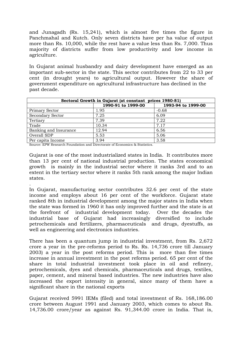and Junagadh (Rs. 15,241), which is almost five times the figure in Panchmahal and Kutch. Only seven districts have per ha value of output more than Rs. 10,000, while the rest have a value less than Rs. 7,000. Thus majority of districts suffer from low productivity and low income in agriculture.

In Gujarat animal husbandry and dairy development have emerged as an important sub-sector in the state. This sector contributes from 22 to 33 per cent (in drought years) to agricultural output. However the share of government expenditure on agricultural infrastructure has declined in the past decade.

| Sectoral Growth in Gujarat (at constant prices 1980-81) |                    |                    |  |  |  |
|---------------------------------------------------------|--------------------|--------------------|--|--|--|
|                                                         | 1990-91 to 1999-00 | 1993-94 to 1999-00 |  |  |  |
| Primary Sector                                          | 1.95               | $-0.68$            |  |  |  |
| <b>Secondary Sector</b>                                 | 7.25               | 6.09               |  |  |  |
| Tertiary                                                | 7.39               | 7.22               |  |  |  |
| Trade                                                   | 10.34              | 7.17               |  |  |  |
| Banking and Insurance                                   | 12.94              | 6.56               |  |  |  |
| Overall SDP                                             | 5.53               | 5.06               |  |  |  |
| Per capita Income                                       | 3.94               | 3.58               |  |  |  |

Source: EPW Research Foundation and Directorate of Economics & Statistics.

.

Gujarat is one of the most industrialized states in India. It contributes more than 13 per cent of national industrial production. The states economical growth is mainly in the industrial sector where it ranks 3rd and to an extent in the tertiary sector where it ranks 5th rank among the major Indian states.

In Gujarat, manufacturing sector contributes 32.6 per cent of the state income and employs about 16 per cent of the workforce. Gujarat state ranked 8th in industrial development among the major states in India when the state was formed in 1960 it has only improved further and the state is at the forefront of industrial development today. Over the decades the industrial base of Gujarat had increasingly diversified to include petrochemicals and fertilizers, pharmaceuticals and drugs, dyestuffs, as well as engineering and electronics industries.

There has been a quantum jump in industrial investment, from Rs. 2,672 crore a year in the pre-reforms period to Rs. Rs. 14,736 crore till January 2003) a year in the post reforms period. This is more than five times increase in annual investment in the post reforms period. 65 per cent of the share in total industrial investment took place in oil and refinery, petrochemicals, dyes and chemicals, pharmaceuticals and drugs, textiles, paper, cement, and mineral based industries. The new industries have also increased the export intensity in general, since many of them have a significant share in the national exports

Gujarat received 5991 IEMs (filed) and total investment of Rs. 168,186.00 crore between August 1991 and January 2003, which comes to about Rs. 14,736.00 crore/year as against Rs. 91,344.00 crore in India. That is,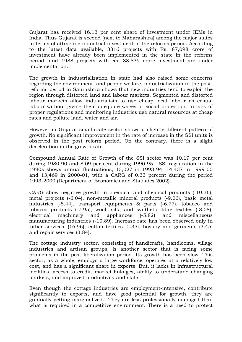Gujarat has received 16.13 per cent share of investment under IEMs in India. Thus Gujarat is second (next to Maharashtra) among the major states in terms of attracting industrial investment in the reforms period. According to the latest data available, 3316 projects with Rs. 87,098 crore of investment have already been implemented in the state in the reforms period, and 1988 projects with Rs. 88,839 crore investment are under implementation.

The growth in industrialization in state had also raised some concerns regarding the environment and people welfare. industrialization in the postreforms period in Saurashtra shows that new industries tend to exploit the region through distorted land and labour markets. Segmented and distorted labour markets allow industrialists to use cheap local labour as casual labour without giving them adequate wages or social protection. In lack of proper regulations and monitoring industries use natural resources at cheap rates and pollute land, water and air.

However in Gujarat small-scale sector shows a slightly different pattern of growth. No significant improvement in the rate of increase in the SSI units is observed in the post reform period. On the contrary, there is a slight deceleration in the growth rate.

Compound Annual Rate of Growth of the SSI sector was 10.19 per cent during 1980-90 and 8.09 per cent during 1990-95. SSI registration in the 1990s shows annual fluctuations, 13,027 in 1993-94, 14,437 in 1999-00 and 13,469 in 2000-01, with a CARG of 0.33 percent during the period 1993-2000 (Department of Economics and Statistics 2002).

CARG show negative growth in chemical and chemical products (-10.36), metal projects (-6.04), non-metallic mineral products (-9.06), basic metal industries (-8.44), transport equipments & parts (-6.77), tobacco and tobacco products (-7.95), wool, silk, and synthetic fibre textiles (-8.08), electrical machinery and appliances (-5.82) and miscellaneous manufacturing industries (-10.89). Increase rate has been observed only in 'other services' (16.96), cotton textiles (2.35), hosiery and garments (3.45) and repair services (3.84).

The cottage industry sector, consisting of handicrafts, handlooms, village industries and artisan groups, is another sector that is facing some problems in the post liberalization period. Its growth has been slow. This sector, as a whole, employs a large workforce, operates at a relatively low cost, and has a significant share in exports. But, it lacks in infrastructural facilities, access to credit, market linkages, ability to understand changing markets, and improved productivity and skills.

Even though the cottage industries are employment-intensive, contribute significantly to exports, and have good potential for growth, they are gradually getting marginalized. They are less professionally managed than what is required in a competitive environment. There is a need to protect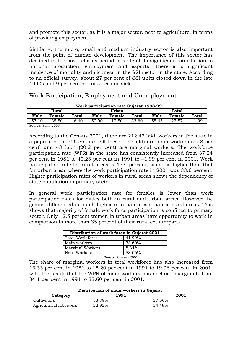and promote this sector, as it is a major sector, next to agriculture, in terms of providing employment.

Similarly, the micro, small and medium industry sector is also important from the point of human development. The importance of this sector has declined in the post reforms period in spite of its significant contribution to national production, employment and exports. There is a significant incidence of mortality and sickness in the SSI sector in the state. According to an official survey, about 27 per cent of SSI units closed down in the late 1990s and 9 per cent of units became sick.

| Work participation rate Gujarat 1998-99         |        |                       |       |        |       |       |        |       |
|-------------------------------------------------|--------|-----------------------|-------|--------|-------|-------|--------|-------|
|                                                 | Rural  | <b>Total</b><br>Urban |       |        |       |       |        |       |
| Male                                            | Female | <b>Total</b>          | Male  | Female | Total | Male  | Female | Total |
| 57<br>.10                                       | 35.50  | 46.40                 | 52.90 | 12.50  | 33.60 | 55.65 | 27.57  | 41.99 |
| $\sim$ $\sim$ $\sim$<br>$\sim$<br>$\sim$ $\sim$ |        |                       |       |        |       |       |        |       |

Work Participation, Employment and Unemployment:

Source: Saha-2003.

According to the Census 2001, there are 212.47 lakh workers in the state in a population of 506.56 lakh. Of these, 170 lakh are main workers (79.8 per cent) and 43 lakh (20.2 per cent) are marginal workers. The workforce participation rate (WPR) in the state has consistently increased from 37.24 per cent in 1981 to 40.23 per cent in 1991 to 41.99 per cent in 2001. Work participation rate for rural areas is 46.4 percent, which is higher than that for urban areas where the work participation rate in 2001 was 33.6 percent. Higher participation rates of workers in rural areas shows the dependency of state population in primary sector.

In general work participation rate for females is lower than work participation rates for males both in rural and urban areas. However the gender differential is much higher in urban areas than in rural areas. This shows that majority of female work force participation is confined to primary sector. Only 12.5 percent women in urban areas have opportunity to work in comparison to more than 35 percent of their rural counterparts.

| Distribution of work force in Gujarat 2001 |        |  |  |  |
|--------------------------------------------|--------|--|--|--|
| Total Work force                           | 41.99% |  |  |  |
| Main workers                               | 33.60% |  |  |  |
| <b>Marginal Workers</b>                    | 8.34%  |  |  |  |
| Non-Workers                                | 58.06% |  |  |  |
| Source: Census 2001                        |        |  |  |  |

The share of marginal workers in total workforce has also increased from 13.33 per cent in 1981 to 15.20 per cent in 1991 to 19.96 per cent in 2001, with the result that the WPR of main workers has declined marginally from 34.1 per cent in 1991 to 33.60 per cent in 2001.

| Distribution of main workers in Gujarat. |                  |        |  |  |  |  |  |
|------------------------------------------|------------------|--------|--|--|--|--|--|
| 1991<br>2001<br>Category                 |                  |        |  |  |  |  |  |
| Cultivators                              | 33.38%           | 27.56% |  |  |  |  |  |
| Agricultural labourers                   | 22.92%<br>24.49% |        |  |  |  |  |  |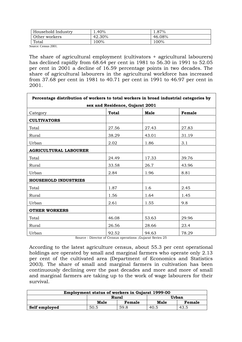| Household Industry | $4.40\%$ | 37%،   |
|--------------------|----------|--------|
| Other workers      | 42.30%   | 46.08% |
| Total              | .00%     | 100%   |

Source: Census 2001.

The share of agricultural employment (cultivators + agricultural labourers) has declined rapidly from 68.64 per cent in 1981 to 56.30 in 1991 to 52.05 per cent in 2001 a decline of 16.59 percentage points in two decades. The share of agricultural labourers in the agricultural workforce has increased from 37.68 per cent in 1981 to 40.71 per cent in 1991 to 46.97 per cent in 2001.

| Percentage distribution of workers to total workers in broad industrial categories by |                                 |       |        |  |
|---------------------------------------------------------------------------------------|---------------------------------|-------|--------|--|
|                                                                                       | sex and Residence, Gujarat 2001 |       |        |  |
| Category                                                                              | <b>Total</b>                    | Male  | Female |  |
| <b>CULTIVATORS</b>                                                                    |                                 |       |        |  |
| Total                                                                                 | 27.56                           | 27.43 | 27.83  |  |
| <b>Rural</b>                                                                          | 38.29                           | 43.01 | 31.19  |  |
| Urban                                                                                 | 2.02                            | 1.86  | 3.1    |  |
| <b>AGRICULTURAL LABOURER</b>                                                          |                                 |       |        |  |
| Total                                                                                 | 24.49                           | 17.33 | 39.76  |  |
| Rural                                                                                 | 33.58                           | 26.7  | 43.96  |  |
| Urban                                                                                 | 2.84                            | 1.96  | 8.81   |  |
| <b>HOUSEHOLD INDUSTRIES</b>                                                           |                                 |       |        |  |
| Total                                                                                 | 1.87                            | 1.6   | 2.45   |  |
| Rural                                                                                 | 1.56                            | 1.64  | 1.45   |  |
| Urban                                                                                 | 2.61                            | 1.55  | 9.8    |  |
| <b>OTHER WORKERS</b>                                                                  |                                 |       |        |  |
| Total                                                                                 | 46.08                           | 53.63 | 29.96  |  |
| Rural                                                                                 | 26.56                           | 28.66 | 23.4   |  |
| Urban                                                                                 | 92.52                           | 94.63 | 78.29  |  |

Source : Director of Census operations ,Gujarat Series 25

According to the latest agriculture census, about 55.3 per cent operational holdings are operated by small and marginal farmers who operate only 2.13 per cent of the cultivated area (Department of Economics and Statistics 2003). The share of small and marginal farmers in cultivation has been continuously declining over the past decades and more and more of small and marginal farmers are taking up to the work of wage labourers for their survival.

| <b>Employment status of workers in Gujarat 1999-00</b> |                |        |      |        |  |  |  |
|--------------------------------------------------------|----------------|--------|------|--------|--|--|--|
|                                                        | Urban<br>Rural |        |      |        |  |  |  |
|                                                        | Male           | Female | Male | Female |  |  |  |
| Self employed<br>50.5<br>59.8<br>43.5<br>40.5          |                |        |      |        |  |  |  |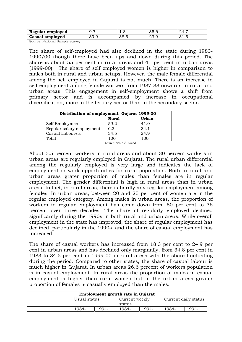| Regular employed | <i>,</i> | 1.0          | $\sim$ $-$<br>vv.u | ە (<br>י⊿ ב |
|------------------|----------|--------------|--------------------|-------------|
| Casual employed  | 30<br>U  | 38 5<br>∪∪.∪ | ∩∩<br>د. ٻ⊿        | ◡- ・        |

Source: National Sample Survey

The share of self-employed had also declined in the state during 1983- 1990/00 though there have been ups and down during this period. The share is about 55 per cent in rural areas and 41 per cent in urban areas (1999-00). The share of self employed women is higher in comparison to males both in rural and urban setups. However, the male female differential among the self employed in Gujarat is not much. There is an increase in self-employment among female workers from 1987-88 onwards in rural and urban areas. This engagement in self-employment shows a shift from primary sector and is accompanied by increase in occupational diversification, more in the tertiary sector than in the secondary sector.

| Distribution of employment Gujarat 1999-00 |                                     |      |  |  |  |  |
|--------------------------------------------|-------------------------------------|------|--|--|--|--|
| Urban<br><b>Rural</b>                      |                                     |      |  |  |  |  |
| Self Employment                            | 59.2                                | 41.0 |  |  |  |  |
| Regular salary employment                  | 6.3                                 | 34.1 |  |  |  |  |
| Casual Labourers                           | 34.5                                | 24.9 |  |  |  |  |
| Total                                      | 100                                 | 100  |  |  |  |  |
|                                            | Source: NSS 55 <sup>th</sup> Round. |      |  |  |  |  |

About 5.5 percent workers in rural areas and about 30 percent workers in urban areas are regularly employed in Gujarat. The rural urban differential among the regularly employed is very large and indicates the lack of employment or work opportunities for rural population. Both in rural and urban areas grater proportion of males than females are in regular employment. The gender differential is high in rural areas than in urban areas. In fact, in rural areas, there is hardly any regular employment among females. In urban areas, between 20 and 25 per cent of women are in the regular employed category. Among males in urban areas, the proportion of workers in regular employment has come down from 50 per cent to 36 percent over three decades. The share of regularly employed declined significantly during the 1990s in both rural and urban areas. While overall employment in the state has improved, the share of regular employment has declined, particularly in the 1990s, and the share of casual employment has increased.

The share of casual workers has increased from 18.3 per cent to 24.9 per cent in urban areas and has declined only marginally, from 34.8 per cent in 1983 to 34.5 per cent in 1999-00 in rural areas with the share fluctuating during the period. Compared to other states, the share of casual labour is much higher in Gujarat. In urban areas 26.6 percent of workers population is in casual employment. In rural areas the proportion of males in casual employment is higher than rural women but in the urban areas greater proportion of females is casually employed than the males.

| <b>Employment growth rate in Gujarat</b> |              |       |                |       |                      |       |
|------------------------------------------|--------------|-------|----------------|-------|----------------------|-------|
|                                          | Usual status |       | Current weekly |       | Current daily status |       |
|                                          |              |       | status         |       |                      |       |
|                                          | 1984-        | 1994- | 1984-          | 1994- | 1984-                | 1994- |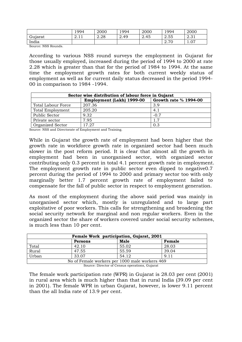|         | 1994   | 2000 | 1994 | 2000 | 1994                 | 2000                        |
|---------|--------|------|------|------|----------------------|-----------------------------|
| Gujarat | 4. L L | 2.28 | 2.49 | 2.45 | 2.55<br>$\sim$       | $\Omega$ $\Omega$ 1<br>4.JI |
| India   |        |      |      |      | 70<br>$\sim$<br>4.IV | $\sim$<br>1.VI              |

Source: NSS Rounds.

According to various NSS round surveys the employment in Gujarat for those usually employed, increased during the period of 1994 to 2000 at rate 2.28 which is greater than that for the period of 1984 to 1994. At the same time the employment growth rates for both current weekly status of employment as well as for current daily status decreased in the period 1994- 00 in comparison to 1984 -1994.

| Sector wise distribution of labour force in Gujarat |        |        |  |  |  |  |
|-----------------------------------------------------|--------|--------|--|--|--|--|
| Employment (Lakh) 1999-00<br>Growth rate % 1994-00  |        |        |  |  |  |  |
| Total Labour Force                                  | 207.36 | 3.9    |  |  |  |  |
| Total Employment                                    | 205.20 | 4.1    |  |  |  |  |
| Public Sector                                       | 9.32   | $-0.7$ |  |  |  |  |
| Private sector                                      | 7.95   | 1.7    |  |  |  |  |
| <b>Organized Sector</b>                             | 17.27  | 0.3    |  |  |  |  |

Source: NSS and Directorate of Employment and Training.

While in Gujarat the growth rate of employment had been higher that the growth rate in workforce growth rate in organized sector had been much slower in the post reform period. It is clear that almost all the growth in employment had been in unorganised sector, with organized sector contributing only 0.3 percent in total 4.1 percent growth rate in employment. The employment growth rate in public sector even dipped to negative0.7 percent during the period of 1994 to 2000 and primary sector too with only marginally better 1.7 percent growth rate of employment failed to compensate for the fall of public sector in respect to employment generation.

As most of the employment during the above said period was mainly in unorganised sector which, mostly is unregulated and to large part exploitative of poor workers. This calls for strengthening and broadening the social security network for marginal and non regular workers. Even in the organized sector the share of workers covered under social security schemes, is much less than 10 per cent.

| Female Work participation, Gujarat, 2001       |       |       |       |  |  |  |
|------------------------------------------------|-------|-------|-------|--|--|--|
| Male<br>Female<br>Persons                      |       |       |       |  |  |  |
| Total                                          | 42.10 | 55.02 | 28.03 |  |  |  |
| Rural                                          | 47.55 | 55.59 | 39.04 |  |  |  |
| Urban                                          | 33.07 | 54.12 | 9.11  |  |  |  |
| No of Female workers per 1000 male workers 469 |       |       |       |  |  |  |

Source: Director of Census operations, Gujarat

The female work participation rate (WPR) in Gujarat is 28.03 per cent (2001) in rural area which is much higher than that in rural India (39.09 per cent in 2001). The female WPR in urban Gujarat, however, is lower 9.11 percent than the all India rate of 13.9 per cent.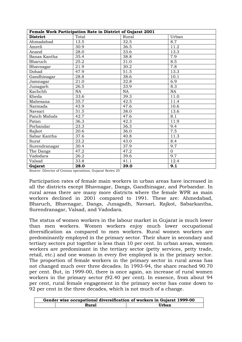|                 | Female Work Participation Rate in District of Gujarat 2001 |           |          |
|-----------------|------------------------------------------------------------|-----------|----------|
| <b>District</b> | Total                                                      | Rural     | Urban    |
| Ahmadabad       | 13.5                                                       | 32.5      | 8.7      |
| Amreli          | 30.9                                                       | 36.5      | 11.2     |
| Anand           | 28.0                                                       | 33.6      | 13.3     |
| Banas Kantha    | 35.4                                                       | 38.8      | 7.9      |
| Bharuch         | 25.2                                                       | 31.0      | 8.5      |
| Bhavnagar       | 21.9                                                       | 30.2      | 7.8      |
| Dohad           | 47.9                                                       | 51.5      | 13.3     |
| Gandhinagar     | 28.8                                                       | 38.6      | 10.1     |
| Jamnagar        | 21.0                                                       | 32.8      | 6.9      |
| Junagarh        | 26.5                                                       | 33.9      | 8.3      |
| Kachchh         | NA                                                         | <b>NA</b> | NA       |
| Kheda           | 33.6                                                       | 39.3      | 11.0     |
| Mahesana        | 35.7                                                       | 42.5      | 11.4     |
| Narmada         | 43.9                                                       | 47.6      | 10.6     |
| Navsari         | 31.5                                                       | 38.0      | 13.6     |
| Panch Mahals    | 42.7                                                       | 47.6      | 8.1      |
| Patan           | 36.3                                                       | 42.3      | 11.9     |
| Porbandar       | 23.3                                                       | 36.3      | 9.4      |
| Rajkot          | 20.6                                                       | 36.0      | 7.5      |
| Sabar Kantha    | 37.6                                                       | 40.8      | 11.3     |
| Surat           | 23.2                                                       | 43.0      | 8.4      |
| Surendranagar   | 30.4                                                       | 37.9      | 9.7      |
| The Dangs       | 47.2                                                       | 47.2      | $\Omega$ |
| Vadodara        | 26.2                                                       | 39.6      | 9.7      |
| Valsad          | 33.8                                                       | 41.1      | 12.4     |
| Gujarat         | 28.0                                                       | 39.0      | 9.1      |

Source: Director of Census operations, Gujarat Series 25

Participation rates of female main workers in urban areas have increased in all the districts except Bhavnagar, Dangs, Gandhinagar, and Porbandar. In rural areas there are many more districts where the female WPR as main workers declined in 2001 compared to 1991. These are: Ahmedabad, Bharuch, Bhavnagar, Dangs, Junagadh, Navsari, Rajkot, Sabarkantha, Surendranagar, Valsad, and Vadodara.

The status of women workers in the labour market in Gujarat is much lower than men workers. Women workers enjoy much lower occupational diversification as compared to men workers. Rural women workers are predominantly employed in the primary sector. Their share in secondary and tertiary sectors put together is less than 10 per cent. In urban areas, women workers are predominant in the tertiary sector (petty services, petty trade, retail, etc.) and one woman in every five employed is in the primary sector. The proportion of female workers in the primary sector in rural areas has not changed much over three decades. In 1993-94, the share reached 90.70 per cent. But, in 1999-00, there is once again, an increase of rural women workers in the primary sector (92.40 per cent). In essence, from about 94 per cent, rural female engagement in the primary sector has come down to 92 per cent in the three decades, which is not much of a change.

| Gender wise occupational diversification of workers in Gujarat 1999-00 |       |
|------------------------------------------------------------------------|-------|
| <b>Rural</b>                                                           | Urban |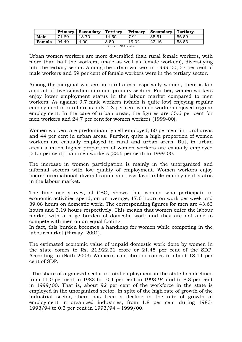|        | Primary | $\text{Secondary}$ | Tertiary | Primary | Secondary | <b>Tertiary</b> |
|--------|---------|--------------------|----------|---------|-----------|-----------------|
| Male   | 1.80    |                    | 14.50    | 7.91    | 35.51     | 56.59           |
| Female | 94.40   | 4.00               | 3.50     | 19.02   | 22.46     | 58.53           |

| Source: NSS data. |  |
|-------------------|--|
|                   |  |

Urban women workers are more diversified than rural female workers, with more than half the workers, (male as well as female workers), diversifying into the tertiary sector. Among the urban workers in 1999-00, 57 per cent of male workers and 59 per cent of female workers were in the tertiary sector.

Among the marginal workers in rural areas, especially women, there is fair amount of diversification into non-primary sectors. Further, women workers enjoy lower employment status in the labour market compared to men workers. As against 9.7 male workers (which is quite low) enjoying regular employment in rural areas only 1.8 per cent women workers enjoyed regular employment. In the case of urban areas, the figures are 35.6 per cent for men workers and 24.7 per cent for women workers (1999-00).

Women workers are predominantly self-employed; 60 per cent in rural areas and 44 per cent in urban areas. Further, quite a high proportion of women workers are casually employed in rural and urban areas. But, in urban areas a much higher proportion of women workers are casually employed (31.5 per cent) than men workers (23.6 per cent) in 1999-00.

The increase in women participation is mainly in the unorganized and informal sectors with low quality of employment. Women workers enjoy poorer occupational diversification and less favourable employment status in the labour market.

The time use survey, of CSO, shows that women who participate in economic activities spend, on an average, 17.6 hours on work per week and 39.08 hours on domestic work. The corresponding figures for men are 43.63 hours and 3.19 hours respectively. This means that women enter the labour market with a huge burden of domestic work and they are not able to compete with men on an equal footing.

In fact, this burden becomes a handicap for women while competing in the labour market (Hirway 2001).

The estimated economic value of unpaid domestic work done by women in the state comes to Rs. 21,922.21 crore or 21.45 per cent of the SDP. According to (Nath 2003) Women's contribution comes to about 18.14 per cent of SDP.

. The share of organized sector in total employment in the state has declined from 11.0 per cent in 1983 to 10.1 per cent in 1993-94 and to 8.3 per cent in 1999/00. That is, about 92 per cent of the workforce in the state is employed in the unorganized sector. In spite of the high rate of growth of the industrial sector, there has been a decline in the rate of growth of employment in organized industries, from 1.8 per cent during 1983- 1993/94 to 0.3 per cent in 1993/94 – 1999/00.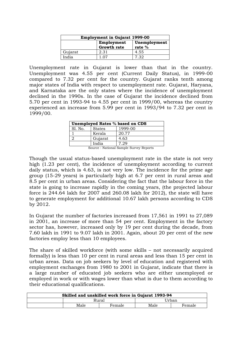| <b>Employment in Gujarat 1999-00</b> |                          |      |  |  |  |
|--------------------------------------|--------------------------|------|--|--|--|
|                                      | Unemployment<br>rate $%$ |      |  |  |  |
| Gujarat                              | 2.31                     | 4.55 |  |  |  |
| India                                | 1 ሰ7                     | 7.32 |  |  |  |

Unemployment rate in Gujarat is lower than that in the country. Unemployment was 4.55 per cent (Current Daily Status), in 1999-00 compared to 7.32 per cent for the country. Gujarat ranks tenth among major states of India with respect to unemployment rate. Gujarat, Haryana, and Karnataka are the only states where the incidence of unemployment declined in the 1990s. In the case of Gujarat the incidence declined from 5.70 per cent in 1993-94 to 4.55 per cent in 1999/00, whereas the country experienced an increase from 5.99 per cent in 1993/94 to 7.32 per cent in 1999/00.

| Unemployed Rates % based on CDS |               |         |  |
|---------------------------------|---------------|---------|--|
| Sl. No.                         | <b>States</b> | 1999-00 |  |
|                                 | Kerala        | 20.77   |  |
|                                 | Gujarat       | 4.63    |  |
|                                 | India         | 7.29    |  |

Source : National Sample Survey Reports

Though the usual status-based unemployment rate in the state is not very high (1.23 per cent), the incidence of unemployment according to current daily status, which is 4.63, is not very low. The incidence for the prime age group (15-29 years) is particularly high at 6.7 per cent in rural areas and 8.5 per cent in urban areas. Considering the fact that the labour force in the state is going to increase rapidly in the coming years, (the projected labour force is 244.64 lakh for 2007 and 260.08 lakh for 2012), the state will have to generate employment for additional 10.67 lakh persons according to CDS by 2012.

In Gujarat the number of factories increased from 17,561 in 1991 to 27,089 in 2001, an increase of more than 54 per cent. Employment in the factory sector has, however, increased only by 19 per cent during the decade, from 7.60 lakh in 1991 to 9.07 lakh in 2001. Again, about 20 per cent of the new factories employ less than 10 employees.

The share of skilled workforce (with some skills – not necessarily acquired formally) is less than 10 per cent in rural areas and less than 15 per cent in urban areas. Data on job seekers by level of education and registered with employment exchanges from 1980 to 2001 in Gujarat, indicate that there is a large number of educated job seekers who are either unemployed or employed in work or with wages lower than what is due to them according to their educational qualifications.

| Skilled and unskilled work force in Gujarat 1993-94 |                |  |        |        |  |
|-----------------------------------------------------|----------------|--|--------|--------|--|
|                                                     | Rural          |  | 'Jrban |        |  |
|                                                     | Male<br>Female |  | Male   | Female |  |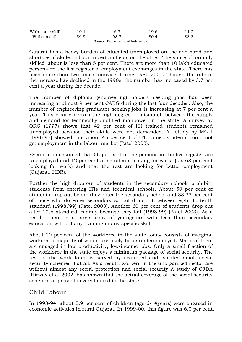| <br>Witl<br>some<br>SK111    | .v. 1         | ◡.◡                           | ີ<br>1, J . U | <u>، د</u>  |
|------------------------------|---------------|-------------------------------|---------------|-------------|
| With<br>$-11$<br>SK111<br>no | ◡<br><u>.</u> | $\overline{\phantom{a}}$<br>. | ד.∪           | າວ.<br>20.C |

Source: Department of Industries.

Gujarat has a heavy burden of educated unemployed on the one hand and shortage of skilled labour in certain fields on the other. The share of formally skilled labour is less than 5 per cent. There are more than 10 lakh educated persons on the live register of employment exchanges in the state. There has been more than two times increase during 1980-2001. Though the rate of the increase has declined in the 1990s, the number has increased by 3.7 per cent a year during the decade.

The number of diploma (engineering) holders seeking jobs has been increasing at almost 9 per cent CARG during the last four decades. Also, the number of engineering graduates seeking jobs is increasing at 7 per cent a year. This clearly reveals the high degree of mismatch between the supply and demand for technically qualified manpower in the state. A survey by ORG (1997) shows that 42 per cent of ITI trained students remained unemployed because their skills were not demanded. A study by MGLI (1996-97) showed that about 45 per cent of ITI trained students could not get employment in the labour market (Patel 2003).

Even if it is assumed that 56 per cent of the persons in the live register are unemployed and 12 per cent are students looking for work, (i.e. 68 per cent looking for work) and that the rest are looking for better employment (Gujarat, HDR).

Further the high drop-out of students in the secondary schools prohibits students from entering ITIs and technical schools. About 50 per cent of students drop out before they enter the secondary school and 33.33 per cent of those who do enter secondary school drop out between eight to tenth standard (1998/99) (Patel 2003). Another 60 per cent of students drop out after 10th standard, mainly because they fail (1998-99) (Patel 2003). As a result, there is a large army of youngsters with less than secondary education without any training in any specific skill.

About 20 per cent of the workforce in the state today consists of marginal workers, a majority of whom are likely to be underemployed. Many of them are engaged in low productivity, low-income jobs. Only a small fraction of the workforce in the state enjoys a minimum package of social security. The rest of the work force is served by scattered and isolated small social security schemes if at all. As a result, workers in the unorganized sector are without almost any social protection and social security A study of CFDA (Hirway et al 2002) has shown that the actual coverage of the social security schemes at present is very limited in the state

#### Child Labour

In 1993-94, about 5.9 per cent of children (age 6-14years) were engaged in economic activities in rural Gujarat. In 1999-00, this figure was 6.0 per cent,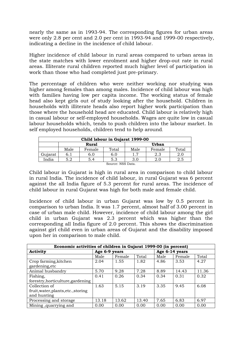nearly the same as in 1993-94. The corresponding figures for urban areas were only 2.8 per cent and 2.0 per cent in 1993-94 and 1999-00 respectively, indicating a decline in the incidence of child labour.

Higher incidence of child labour in rural areas compared to urban areas in the state matches with lower enrolment and higher drop-out rate in rural areas. Illiterate rural children reported much higher level of participation in work than those who had completed just pre-primary.

The percentage of children who were neither working nor studying was higher among females than among males. Incidence of child labour was high with families having low per capita income. The working status of female head also kept girls out of study looking after the household. Children in households with illiterate heads also report higher work participation than those where the household head are educated. Child labour is relatively high in casual labour or self-employed households. Wages are quite low in casual labour households which, tends to push children into the labour market. In self employed households, children tend to help around.

| Child labour in Gujarat 1999-00 |      |        |                   |      |        |       |  |  |
|---------------------------------|------|--------|-------------------|------|--------|-------|--|--|
| Urban<br>Rural                  |      |        |                   |      |        |       |  |  |
|                                 | Male | Female | Total             | Male | Female | Total |  |  |
| Gujarat                         | 6.1  | 6.0    | 6.0               |      | 2.3    | 2.0   |  |  |
| India                           | 5.2  | 5.4    | 5.3               | 3.0  | 2.0    | 2.5   |  |  |
|                                 |      |        | Source: NSS Data. |      |        |       |  |  |

Child labour in Gujarat is high in rural area in comparison to child labour in rural India. The incidence of child labour, in rural Gujarat was 6 percent against the all India figure of 5.3 percent for rural areas. The incidence of child labour in rural Gujarat was high for both male and female child.

Incidence of child labour in urban Gujarat was low by 0.5 percent in comparison to urban India. It was 1.7 percent, almost half of 3.00 percent in case of urban male child. However, incidence of child labour among the girl child in urban Gujarat was 2.3 percent which was higher than the corresponding all India figure of 2.0 percent. This shows the discrimination against girl child even in urban areas of Gujarat and the disability imposed upon her in comparison to male child.

| Economic activities of children in Gujarat 1999-00 (in percent) |               |        |       |                |        |       |  |  |
|-----------------------------------------------------------------|---------------|--------|-------|----------------|--------|-------|--|--|
| Activity                                                        | Age 6-9 years |        |       | Age 6-14 years |        |       |  |  |
|                                                                 | Male          | Female | Total | Male           | Female | Total |  |  |
| Crop farming, kitchen                                           | 2.04          | 1.55   | 1.82  | 4.86           | 3.53   | 4.27  |  |  |
| gardening, etc                                                  |               |        |       |                |        |       |  |  |
| Animal husbandry                                                | 5.70          | 9.28   | 7.28  | 8.89           | 14.43  | 11.36 |  |  |
| Fishing,                                                        | 0.41          | 0.26   | 0.34  | 0.34           | 0.31   | 0.32  |  |  |
| forestry, horticulture, gardening                               |               |        |       |                |        |       |  |  |
| Collection of                                                   | 1.63          | 5.15   | 3.19  | 3.35           | 9.45   | 6.08  |  |  |
| fruit, water, plants, etc., storing                             |               |        |       |                |        |       |  |  |
| and hunting                                                     |               |        |       |                |        |       |  |  |
| Processing and storage                                          | 13.18         | 13.62  | 13.40 | 7.65           | 6.83   | 6.97  |  |  |
| Mining, quarrying and                                           | 0.00          | 0.00   | 0.00  | 0.00           | 0.00   | 0.00  |  |  |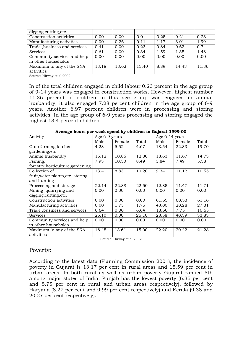| digging, cutting, etc.       |       |       |       |      |       |       |
|------------------------------|-------|-------|-------|------|-------|-------|
| Construction activities      | 0.00  | 0.00  | 0.0   | 0.25 | 0.21  | 0.23  |
| Manufacturing activities     | 0.00  | 0.26  | 0.11  | 1.17 | 3.01  | 1.99  |
| Trade, business and services | 0.41  | 0.00  | 0.23  | 0.84 | 0.62  | 0.74  |
| <b>Services</b>              | 0.61  | 0.00  | 0.34  | 1.59 | 1.35  | 1.48  |
| Community services and help  | 0.00  | 0.00  | 0.00  | 0.00 | 0.00  | 0.00  |
| in other households          |       |       |       |      |       |       |
| Maximum in any of the SNA    | 13.18 | 13.62 | 13.40 | 8.89 | 14.43 | 11.36 |
| activities                   |       |       |       |      |       |       |

Source: Hirway et al 2002

In of the total children engaged in child labour 0.23 percent in the age group of 9-14 years was engaged in construction works. However, highest number 11.36 percent of children in this age group was engaged in animal husbandry, it also engaged 7.28 percent children in the age group of 6-9 years. Another 6.97 percent children were in processing and storing activities. In the age group of 6-9 years processing and storing engaged the highest 13.4 percent children.

| Average hours per week spend by children in Gujarat 1999-00 |               |        |       |                |        |       |  |  |
|-------------------------------------------------------------|---------------|--------|-------|----------------|--------|-------|--|--|
| Activity                                                    | Age 6-9 years |        |       | Age 6-14 years |        |       |  |  |
|                                                             | Male          | Female | Total | Male           | Female | Total |  |  |
| Crop farming, kitchen                                       | 4.28          | 5.52   | 4.67  | 18.54          | 22.33  | 19.70 |  |  |
| gardening, etc                                              |               |        |       |                |        |       |  |  |
| Animal husbandry                                            | 15.12         | 10.86  | 12.80 | 18.63          | 11.67  | 14.73 |  |  |
| Fishing,                                                    | 7.93          | 10.50  | 8.49  | 3.84           | 7.49   | 5.38  |  |  |
| forestry, horticulture, gardening                           |               |        |       |                |        |       |  |  |
| Collection of                                               | 13.41         | 8.83   | 10.20 | 9.34           | 11.12  | 10.55 |  |  |
| fruit, water, plants, etc., storing                         |               |        |       |                |        |       |  |  |
| and hunting                                                 |               |        |       |                |        |       |  |  |
| Processing and storage                                      | 22.14         | 22.88  | 22.50 | 12.85          | 11.47  | 11.71 |  |  |
| Mining, quarrying and                                       | 0.00          | 0.00   | 0.00  | 0.00           | 0.00   | 0.00  |  |  |
| digging, cutting, etc.                                      |               |        |       |                |        |       |  |  |
| Construction activities                                     | 0.00          | 0.00   | 0.00  | 61.65          | 60.53  | 61.16 |  |  |
| Manufacturing activities                                    | 0.00          | 1.75   | 1.75  | 43.00          | 20.28  | 27.31 |  |  |
| Trade, business and services                                | 6.64          | 0.00   | 6.64  | 13.66          | 7.75   | 10.65 |  |  |
| <b>Services</b>                                             | 25.10         | 0.00   | 25.10 | 28.58          | 40.39  | 33.83 |  |  |
| Community services and help                                 | 0.00          | 0.00   | 0.00  | 0.00           | 0.00   | 0.00  |  |  |
| in other households                                         |               |        |       |                |        |       |  |  |
| Maximum in any of the SNA                                   | 16.45         | 13.61  | 15.00 | 22.20          | 20.42  | 21.28 |  |  |
| activities                                                  |               |        |       |                |        |       |  |  |

Source: Hirway et al 2002

# Poverty:

According to the latest data (Planning Commission 2001), the incidence of poverty in Gujarat is 13.17 per cent in rural areas and 15.59 per cent in urban areas. In both rural as well as urban poverty Gujarat ranked 5th among major states of India. Punjab has the lowest poverty (6.35 per cent and 5.75 per cent in rural and urban areas respectively), followed by Haryana (8.27 per cent and 9.99 per cent respectively) and Kerala (9.38 and 20.27 per cent respectively).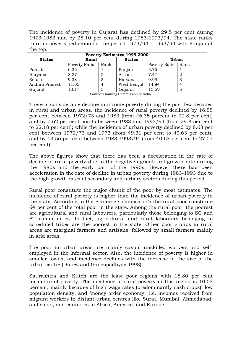The incidence of poverty in Gujarat has declined by 29.5 per cent during 1973-1983 and by 28.10 per cent during 1983-1993/94. The state ranks third in poverty reduction for the period 1973/94 – 1993/94 with Punjab at the top.

| <b>Poverty Estimates 1999-2000</b> |               |      |               |               |      |  |  |  |
|------------------------------------|---------------|------|---------------|---------------|------|--|--|--|
| <b>States</b>                      | <b>Rural</b>  |      | <b>States</b> | <b>Urban</b>  |      |  |  |  |
|                                    | Poverty Ratio | Rank |               | Poverty Ratio | Rank |  |  |  |
| Punjab                             | 6.35          |      | Punjab        | 5.75          |      |  |  |  |
| Haryana                            | 8.27          |      | Assam         | 7.47          |      |  |  |  |
| Kerala                             | 9.38          |      | Haryana       | 9.99          |      |  |  |  |
| Andhra Pradesh                     | 11.05         |      | West Bengal   | 14.84         |      |  |  |  |
| Gujarat                            | 13.17         |      | Gujarat       | 15.59         |      |  |  |  |

Source: Planning Commission of India.

There is considerable decline in income poverty during the past few decades in rural and urban areas. the incidence of rural poverty declined by 16.55 per cent between 1972/73 and 1983 (from 46.35 percent to 29.8 per cent) and by 7.62 per cent points between 1983 and 1993/94 (from 29.8 per cent to 22.18 per cent); while the incidence of urban poverty declined by 8.68 per cent between 1972/73 and 1973 (from 49.31 per cent to 40.63 per cent), and by 13.56 per cent between 1983-1993/94 (from 40.63 per cent to 27.07 per cent).

The above figures show that there has been a deceleration in the rate of decline in rural poverty due to the negative agricultural growth rate during the 1980s and the early part of the 1990s. However there had been acceleration in the rate of decline in urban poverty during 1983-1993 due to the high growth rates of secondary and tertiary sectors during this period.

Rural poor constitute the major chunk of the poor by most estimates. The incidence of rural poverty is higher than the incidence of urban poverty in the state. According to the Planning Commission's the rural poor constitute 64 per cent of the total poor in the state. Among the rural poor, the poorest are agricultural and rural labourers, particularly those belonging to SC and ST communities. In fact, agricultural and rural labourers belonging to scheduled tribes are the poorest in the state. Other poor groups in rural areas are marginal farmers and artisans, followed by small farmers mainly in arid areas.

The poor in urban areas are mainly casual unskilled workers and selfemployed in the informal sector. Also, the incidence of poverty is higher in smaller towns, and incidence declines with the increase in the size of the urban centre (Dubey and Gangopadhyay 1998).

Saurashtra and Kutch are the least poor regions with 18.80 per cent incidence of poverty. The incidence of rural poverty in this region is 10.03 percent, mainly because of high wage rates (predominantly cash crops), low population density, and 'money order economy', i.e. incomes received from migrant workers in distant urban centres like Surat, Mumbai, Ahmedabad, and so on, and countries in Africa, America, and Europe.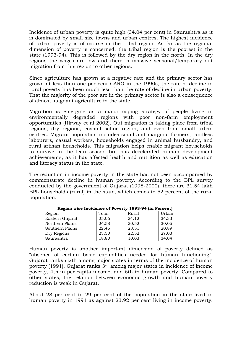Incidence of urban poverty is quite high (34.04 per cent) in Saurashtra as it is dominated by small size towns and urban centres. The highest incidence of urban poverty is of course in the tribal region. As far as the regional dimension of poverty is concerned, the tribal region is the poorest in the state (1993-94). This is followed by the dry region in the north. In the dry regions the wages are low and there is massive seasonal/temporary out migration from this region to other regions.

Since agriculture has grown at a negative rate and the primary sector has grown at less than one per cent CARG in the 1990s, the rate of decline in rural poverty has been much less than the rate of decline in urban poverty. That the majority of the poor are in the primary sector is also a consequence of almost stagnant agriculture in the state.

Migration is emerging as a major coping strategy of people living in environmentally degraded regions with poor non-farm employment opportunities (Hirway et al 2002). Out migration is taking place from tribal regions, dry regions, coastal saline region, and even from small urban centres. Migrant population includes small and marginal farmers, landless labourers, casual workers, households engaged in animal husbandry, and rural artisan households. This migration helps enable migrant households to survive in the lean season but has decelerated human development achievements, as it has affected health and nutrition as well as education and literacy status in the state.

The reduction in income poverty in the state has not been accompanied by commensurate decline in human poverty. According to the BPL survey conducted by the government of Gujarat (1998-2000), there are 31.54 lakh BPL households (rural) in the state, which comes to 52 percent of the rural population.

| Region wise Incidence of Poverty 1993-94 (in Percent) |       |       |       |  |  |  |  |  |
|-------------------------------------------------------|-------|-------|-------|--|--|--|--|--|
| Region                                                | Total | Rural | Urban |  |  |  |  |  |
| Eastern Gujarat                                       | 25.06 | 24.12 | 34.33 |  |  |  |  |  |
| Northern Plains                                       | 24.58 | 20.52 | 30.05 |  |  |  |  |  |
| Southern Plains                                       | 22.45 | 23.51 | 20.89 |  |  |  |  |  |
| Dry Regions                                           | 23.30 | 22.52 | 27.03 |  |  |  |  |  |
| Saurashtra                                            | 18.80 | 10.03 | 34.04 |  |  |  |  |  |

Human poverty is another important dimension of poverty defined as "absence of certain basic capabilities needed for human functioning". Gujarat ranks sixth among major states in terms of the incidence of human poverty (1991). Gujarat ranks 3rd among major states in incidence of income poverty, 4th in per capita income, and 6th in human poverty. Compared to other states, the relation between economic growth and human poverty reduction is weak in Gujarat.

About 28 per cent to 29 per cent of the population in the state lived in human poverty in 1991 as against 23.92 per cent living in income poverty.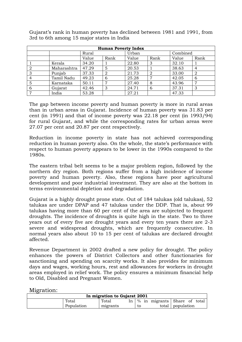| <b>Human Poverty Index</b> |             |       |                |       |                |          |      |  |  |
|----------------------------|-------------|-------|----------------|-------|----------------|----------|------|--|--|
|                            |             | Rural |                | Urban |                | Combined |      |  |  |
|                            |             | Value | Rank           | Value | Rank           | Value    | Rank |  |  |
|                            | Kerala      | 34.20 |                | 22.80 | 3              | 32.10    |      |  |  |
|                            | Maharashtra | 47.29 | 5              | 20.53 |                | 38.63    | 4    |  |  |
| 3                          | Punjab      | 37.33 | $\overline{2}$ | 21.73 | $\overline{2}$ | 33.00    | 2    |  |  |
| $\overline{4}$             | Tamil Nadu  | 49.23 | 6              | 25.28 | $\overline{ }$ | 42.05    | 6    |  |  |
| 5                          | Karnataka   | 50.11 | ⇁              | 27.40 | 8              | 43.96    | 7    |  |  |
| 6                          | Gujarat     | 42.46 | 3              | 24.71 | 6              | 37.31    | 3    |  |  |
|                            | India       | 53.28 |                | 27.21 |                | 47.33    |      |  |  |

Gujarat's rank in human poverty has declined between 1981 and 1991, from 3rd to 6th among 15 major states in India

The gap between income poverty and human poverty is more in rural areas than in urban areas in Gujarat. Incidence of human poverty was 31.83 per cent (in 1991) and that of income poverty was 22.18 per cent (in 1993/94) for rural Gujarat, and while the corresponding rates for urban areas were 27.07 per cent and 20.87 per cent respectively.

Reduction in income poverty in state has not achieved corresponding reduction in human poverty also. On the whole, the state's performance with respect to human poverty appears to be lower in the 1990s compared to the 1980s.

The eastern tribal belt seems to be a major problem region, followed by the northern dry region. Both regions suffer from a high incidence of income poverty and human poverty. Also, these regions have poor agricultural development and poor industrial investment. They are also at the bottom in terms environmental depletion and degradation.

Gujarat is a highly drought prone state. Out of 184 talukas (old talukas), 52 talukas are under DPAP and 47 talukas under the DDP. That is, about 99 talukas having more than 60 per cent of the area are subjected to frequent droughts. The incidence of droughts is quite high in the state. Two to three years out of every five are drought years and every ten years there are 2-3 severe and widespread droughts, which are frequently consecutive. In normal years also about 10 to 15 per cent of talukas are declared drought affected.

Revenue Department in 2002 drafted a new policy for drought. The policy enhances the powers of District Collectors and other functionaries for sanctioning and spending on scarcity works. It also provides for minimum days and wages, working hours, rest and allowances for workers in drought areas employed in relief work. The policy ensures a minimum financial help to Old, Disabled and Pregnant Women.

| In migration to Gujarat 2001 |            |          |  |    |  |                                       |                  |  |         |
|------------------------------|------------|----------|--|----|--|---------------------------------------|------------------|--|---------|
|                              | Total      | Total    |  |    |  | In $\frac{1}{2}$ in migrants Share of |                  |  | total - |
|                              | Population | migrants |  | to |  |                                       | total population |  |         |

Migration: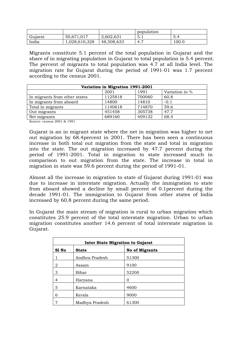|         |              |            | population            |       |
|---------|--------------|------------|-----------------------|-------|
| Gujarat | 50.671.017   | 2,602,631  | 5.1                   |       |
| India   | ,028,610,328 | 48,508,633 | $\overline{ }$<br>4., | 100.0 |

Migrants constitute 5.1 percent of the total population in Gujarat and the share of in migrating population in Gujarat to total population is 5.4 percent. The percent of migrants to total population was 4.7 at all India level. The migration rate for Gujarat during the period of 1991-01 was 1.7 percent according to the census 2001.

| Variation in Migration 1991-2001 |         |        |                |  |  |  |
|----------------------------------|---------|--------|----------------|--|--|--|
|                                  | 2001    | 1991   | Variation in % |  |  |  |
| In migrants from other states    | 1125818 | 700060 | 60.8           |  |  |  |
| In migrants from aboard          | 14800   | 14810  | $-0.1$         |  |  |  |
| Total in migrants                | 1140618 | 714870 | 59.6           |  |  |  |
| Out migrants                     | 451458  | 305738 | 47.7           |  |  |  |
| Net migrants                     | 689160  | 409132 | 68.4           |  |  |  |

Source: census 2001 & 1991

Gujarat is an in migrant state where the net in migration was higher to net out migration by 68.4percent in 2001. There has been seen a continuous increase in both total out migration from the state and total in migration into the state. The out migration increased by 47.7 percent during the period of 1991-2001. Total in migration to state increased much in comparison to out migration from the state. The increase in total in migration in state was 59.6 percent during the period of 1991-01.

Almost all the increase in migration to state of Gujarat during 1991-01 was due to increase in interstate migration. Actually the immigration to state from aboard showed a decline by small percent of 0.1percent during the decade 1991-01. The immigration to Gujarat from other states of India increased by 60.8 percent during the same period.

In Gujarat the main stream of migration is rural to urban migration which constitutes 25.9 percent of the total interstate migration. Urban to urban migration constitutes another 14.6 percent of total interstate migration in Gujarat.

| <b>Inter State Migration to Gujarat</b> |                |                       |  |  |  |
|-----------------------------------------|----------------|-----------------------|--|--|--|
| S1 No                                   | <b>State</b>   | <b>No of Migrants</b> |  |  |  |
|                                         | Andhra Pradesh | 51300                 |  |  |  |
| 2                                       | Assam          | 9100                  |  |  |  |
| 3                                       | Bihar          | 52200                 |  |  |  |
| 4                                       | Haryana        | 0                     |  |  |  |
| 5                                       | Karnataka      | 4600                  |  |  |  |
| 6                                       | Kerala         | 9000                  |  |  |  |
| 7                                       | Madhya Pradesh | 61300                 |  |  |  |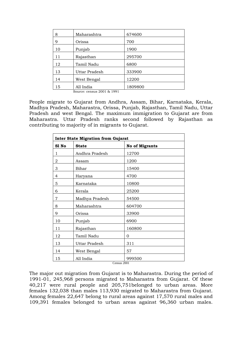| 8  | Maharashtra           | 674600  |
|----|-----------------------|---------|
| 9  | Orissa                | 700     |
| 10 | Punjab                | 1900    |
| 11 | Rajasthan             | 295700  |
| 12 | Tamil Nadu            | 6800    |
| 13 | <b>Uttar Pradesh</b>  | 333900  |
| 14 | West Bengal           | 12200   |
| 15 | All India<br>$Q_{21}$ | 1809800 |

Source: census 2001 & 1991

People migrate to Gujarat from Andhra, Assam, Bihar, Karnataka, Kerala, Madhya Pradesh, Maharastra, Orissa, Punjab, Rajasthan, Tamil Nadu, Uttar Pradesh and west Bengal. The maximum immigration to Gujarat are from Maharastra. Uttar Pradesh ranks second followed by Rajasthan as contributing to majority of in migrants to Gujarat.

| <b>Inter State Migration from Gujarat</b> |                      |                                  |  |  |  |
|-------------------------------------------|----------------------|----------------------------------|--|--|--|
| S1 No                                     | <b>State</b>         | <b>No of Migrants</b>            |  |  |  |
| 1                                         | Andhra Pradesh       | 12700                            |  |  |  |
| 2                                         | Assam                | 1200                             |  |  |  |
| 3                                         | Bihar                | 15400                            |  |  |  |
| $\overline{4}$                            | Haryana              | 4700                             |  |  |  |
| 5                                         | Karnataka            | 10800                            |  |  |  |
| 6                                         | Kerala               | 25200                            |  |  |  |
| 7                                         | Madhya Pradesh       | 54500                            |  |  |  |
| 8                                         | Maharashtra          | 604700                           |  |  |  |
| 9                                         | Orissa               | 33900                            |  |  |  |
| 10                                        | Punjab               | 6900                             |  |  |  |
| 11                                        | Rajasthan            | 160800                           |  |  |  |
| 12                                        | Tamil Nadu           | 0                                |  |  |  |
| 13                                        | <b>Uttar Pradesh</b> | 311                              |  |  |  |
| 14                                        | West Bengal          | 57                               |  |  |  |
| 15                                        | All India            | 999500<br>$\sim$ $\sim$<br>0.001 |  |  |  |

Census 2001

The major out migration from Gujarat is to Maharastra. During the period of 1991-01, 245,968 persons migrated to Maharastra from Gujarat. Of these 40,217 were rural people and 205,751belonged to urban areas. More females 132,038 than males 113,930 migrated to Maharastra from Gujarat. Among females 22,647 belong to rural areas against 17,570 rural males and 109,391 females belonged to urban areas against 96,360 urban males.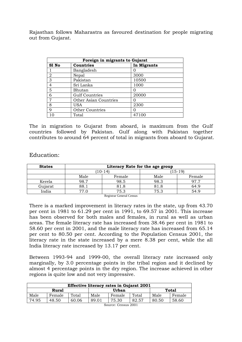Rajasthan follows Maharastra as favoured destination for people migrating out from Gujarat.

| Foreign in migrants to Gujarat |                        |             |  |  |  |
|--------------------------------|------------------------|-------------|--|--|--|
| S1 No                          | <b>Countries</b>       | In Migrants |  |  |  |
|                                | Bangladesh             |             |  |  |  |
| 2                              | Nepal                  | 3000        |  |  |  |
| 3                              | Pakistan               | 10500       |  |  |  |
| $\overline{4}$                 | Sri Lanka              | 1000        |  |  |  |
| 5                              | Bhutan                 |             |  |  |  |
| 6                              | <b>Gulf Countries</b>  | 20000       |  |  |  |
| 7                              | Other Asian Countries  | 0           |  |  |  |
| 8                              | <b>USA</b>             | 2300        |  |  |  |
| 9                              | <b>Other Countries</b> |             |  |  |  |
| 10                             | Total                  | 47100       |  |  |  |

The in migration to Gujarat from aboard, is maximum from the Gulf countries followed by Pakistan. Gulf along with Pakistan together contributes to around 64 percent of total in migrants from aboard to Gujarat.

#### Education:

| <b>States</b> | Literacy Rate for the age group |           |      |           |  |
|---------------|---------------------------------|-----------|------|-----------|--|
|               |                                 | $10 - 14$ |      | $(15-19)$ |  |
|               | Male                            | Female    | Male | Female    |  |
| Kerela        | 98.7                            | 98.5      | 98.3 | 977       |  |
| Gujarat       | 88.1                            | 81.8      | 81.8 | 64.9      |  |
| India         | 77 በ                            | 75.3      | 75.3 | 54.9      |  |

Registrar General Census

There is a marked improvement in literacy rates in the state, up from 43.70 per cent in 1981 to 61.29 per cent in 1991, to 69.57 in 2001. This increase has been observed for both males and females, in rural as well as urban areas. The female literacy rate has increased from 38.46 per cent in 1981 to 58.60 per cent in 2001, and the male literacy rate has increased from 65.14 per cent to 80.50 per cent. According to the Population Census 2001, the literacy rate in the state increased by a mere 8.38 per cent, while the all India literacy rate increased by 13.17 per cent.

Between 1993-94 and 1999-00, the overall literacy rate increased only marginally, by 3.0 percentage points in the tribal region and it declined by almost 4 percentage points in the dry region. The increase achieved in other regions is quite low and not very impressive.

| <b>Effective literacy rates in Gujarat 2001</b> |        |       |       |        |       |       |        |
|-------------------------------------------------|--------|-------|-------|--------|-------|-------|--------|
| Rural                                           |        |       | Urban |        |       | Total |        |
| Male                                            | Female | Total | Male  | Female | Total | Male  | Female |
| 74.95                                           | 48.50  | 60.06 | 89.01 | 75.30  | 82.57 | 80.50 | 58.60  |
| Source: Census 2001                             |        |       |       |        |       |       |        |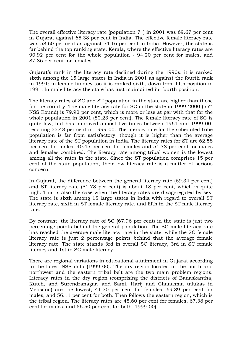The overall effective literacy rate (population 7+) in 2001 was 69.67 per cent in Gujarat against 65.38 per cent in India. The effective female literacy rate was 58.60 per cent as against 54.16 per cent in India. However, the state is far behind the top ranking state, Kerala, where the effective literacy rates are 90.92 per cent for the whole population - 94.20 per cent for males, and 87.86 per cent for females.

Gujarat's rank in the literacy rate declined during the 1990s: it is ranked sixth among the 15 large states in India in 2001 as against the fourth rank in 1991; in female literacy too it is ranked sixth, down from fifth position in 1991. In male literacy the state has just maintained its fourth position.

The literacy rates of SC and ST population in the state are higher than those for the country. The male literacy rate for SC in the state in 1999-2000 (55th NSS Round) is 79.92 per cent, which is more or less at par with that for the whole population in 2001 (80.23 per cent). The female literacy rate of SC is quite low, but has improved almost five times between 1961 and 1999-00, reaching 55.48 per cent in 1999-00. The literacy rate for the scheduled tribe population is far from satisfactory, though it is higher than the average literacy rate of the ST population in India. The literacy rates for ST are 62.58 per cent for males, 40.45 per cent for females and 51.78 per cent for males and females combined. The literacy rate among tribal women is the lowest among all the rates in the state. Since the ST population comprises 15 per cent of the state population, their low literacy rate is a matter of serious concern.

In Gujarat, the difference between the general literacy rate (69.34 per cent) and ST literacy rate (51.78 per cent) is about 18 per cent, which is quite high. This is also the case when the literacy rates are disaggregated by sex. The state is sixth among 15 large states in India with regard to overall ST literacy rate, sixth in ST female literacy rate, and fifth in the ST male literacy rate.

By contrast, the literacy rate of SC (67.96 per cent) in the state is just two percentage points behind the general population. The SC male literacy rate has reached the average male literacy rate in the state, while the SC female literacy rate is just 2 percentage points behind that the average female literacy rate. The state stands 3rd in overall SC literacy, 3rd in SC female literacy and 1st in SC male literacy.

There are regional variations in educational attainment in Gujarat according to the latest NSS data (1999-00). The dry region located in the north and northwest and the eastern tribal belt are the two main problem regions. Literacy rates in the dry region (comprising the districts of Banaskantha, Kutch, and Surendranagar, and Sami, Harij and Chanasma talukas in Mehsana) are the lowest, 41.30 per cent for females, 69.89 per cent for males, and 56.11 per cent for both. Then follows the eastern region, which is the tribal region. The literacy rates are 45.60 per cent for females, 67.38 per cent for males, and 56.50 per cent for both (1999-00).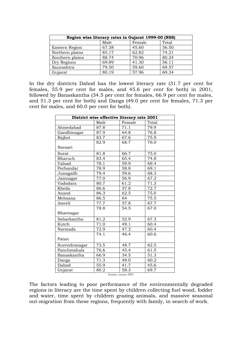| Region wise literacy rates in Gujarat 1999-00 (NSS) |       |       |       |  |  |  |  |
|-----------------------------------------------------|-------|-------|-------|--|--|--|--|
| Male<br>Female<br>Total                             |       |       |       |  |  |  |  |
| Eastern Region                                      | 67.38 | 45.60 | 56.50 |  |  |  |  |
| Northern plains                                     | 85.17 | 62.82 | 74.21 |  |  |  |  |
| Southern plains                                     | 88.74 | 70.96 | 80.24 |  |  |  |  |
| Dry Regions                                         | 69.89 | 41.30 | 56.11 |  |  |  |  |
| Saurashtra                                          | 79.50 | 59.60 | 69.57 |  |  |  |  |
| Gujarat                                             | 80.19 | 57.96 | 69.34 |  |  |  |  |

In the dry districts Dahod has the lowest literacy rate (31.7 per cent for females, 55.9 per cent for males, and 45.6 per cent for both) in 2001, followed by Banaskantha (34.5 per cent for females, 66.9 per cent for males, and 51.3 per cent for both) and Dangs (49.0 per cent for females, 71.3 per cent for males, and 60.0 per cent for both).

|               |      | District wise effective literacy rate 2001 |                   |
|---------------|------|--------------------------------------------|-------------------|
|               | Male | Female                                     | Total             |
| Ahmedabad     | 87.8 | 71.1                                       | 79.9              |
| Gandhinagar   | 87.9 | 64.8                                       | $\overline{76.8}$ |
| Rajkot        | 83.7 | 67.6                                       | 75.9              |
|               | 82.9 | 68.7                                       | 76.0              |
| Navsari       |      |                                            |                   |
| Surat         | 81.8 | 66.7                                       | 75.0              |
| Bharuch       | 83.4 | 65.4                                       | 74.8              |
| Valsad        | 78.1 | 59.9                                       | 69.4              |
| Porbandar     | 78.9 | 58.8                                       | 69.1              |
| Junagadh      | 79.4 | 59.6                                       | 68.3              |
| Jamnagar      | 77.0 | 56.9                                       | 67.2              |
| Vadodara      | 80.7 | 61.2                                       | 71.3              |
| Kheda         | 86.6 | 57.8                                       | 72.7              |
| Anand         | 86.3 | 62.5                                       | 75.0              |
| Mehsana       | 86.5 | 64                                         | 75.5              |
| Amreli        | 77.7 | 57.8                                       | 67.7              |
|               | 78.8 | 54.5                                       | 67.0              |
| Bhavnagar     |      |                                            |                   |
| Sabarkantha   | 81.2 | 52.9                                       | 67.3              |
| Kutch         | 71.0 | 49.1                                       | 60.4              |
| Narmada       | 72.9 | 47.2                                       | 60.4              |
|               | 74.1 | 46.4                                       | 60.6              |
| Patan         |      |                                            |                   |
| Surendranagar | 73.5 | $48.\overline{7}$                          | 62.5              |
| Panchmahals   | 76.6 | 45.4                                       | 61.5              |
| Banaskantha   | 66.9 | 34.5                                       | 51.3              |
| Dangs         | 71.3 | 49.0                                       | 60.2              |
| Dahod         | 55.9 | 41.7                                       | 45.6              |
| Gujarat       | 80.2 | 58.3                                       | 69.7              |

Source: census 2001

The factors leading to poor performance of the environmentally degraded regions in literacy are the time spent by children collecting fuel wood, fodder and water, time spent by children grazing animals, and massive seasonal out-migration from these regions, frequently with family, in search of work.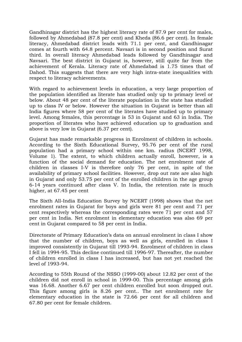Gandhinagar district has the highest literacy rate of 87.9 per cent for males, followed by Ahmedabad (87.8 per cent) and Kheda (86.6 per cent). In female literacy, Ahmedabad district leads with 71.1 per cent, and Gandhinagar comes at fourth with 64.8 percent. Navsari is in second position and Surat third. In overall literacy Ahmedabad leads followed by Gandhinagar and Navsari. The best district in Gujarat is, however, still quite far from the achievement of Kerala. Literacy rate of Ahmedabad is 1.75 times that of Dahod. This suggests that there are very high intra-state inequalities with respect to literacy achievements.

With regard to achievement levels in education, a very large proportion of the population identified as literate has studied only up to primary level or below. About 48 per cent of the literate population in the state has studied up to class IV or below. However the situation in Gujarat is better than all India figures where 58 per cent of the literates have studied up to primary level. Among females, this percentage is 53 in Gujarat and 63 in India. The proportion of literates who have achieved education up to graduation and above is very low in Gujarat (6.37 per cent).

Gujarat has made remarkable progress in Enrolment of children in schools. According to the Sixth Educational Survey, 95.76 per cent of the rural population had a primary school within one km. radius (NCERT 1998, Volume 1). The extent, to which children actually enroll, however, is a function of the social demand for education. The net enrolment rate of children in classes I-V is therefore only 76 per cent, in spite of the availability of primary school facilities. However, drop out rate are also high in Gujarat and only 53.75 per cent of the enrolled children in the age group 6-14 years continued after class V. In India, the retention rate is much higher, at 67.45 per cent

The Sixth All-India Education Survey by NCERT (1998) shows that the net enrolment rates in Gujarat for boys and girls were 81 per cent and 71 per cent respectively whereas the corresponding rates were 71 per cent and 57 per cent in India. Net enrolment in elementary education was also 69 per cent in Gujarat compared to 58 per cent in India.

Directorate of Primary Education's data on annual enrolment in class I show that the number of children, boys as well as girls, enrolled in class I improved consistently in Gujarat till 1993-94. Enrolment of children in class I fell in 1994-95. This decline continued till 1996-97. Thereafter, the number of children enrolled in class I has increased, but has not yet reached the level of 1993-94.

According to 55th Round of the NSSO (1999-00) about 12.82 per cent of the children did not enroll in school in 1999-00. This percentage among girls was 16.68. Another 6.67 per cent children enrolled but soon dropped out. This figure among girls is 8.26 per cent.. The net enrolment rate for elementary education in the state is 72.66 per cent for all children and 67.80 per cent for female children.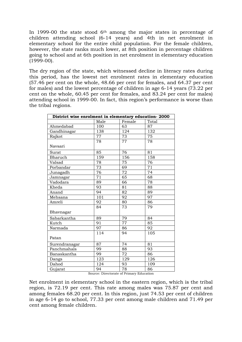In 1999-00 the state stood  $6<sup>th</sup>$  among the major states in percentage of children attending school (6-14 years) and 4th in net enrolment in elementary school for the entire child population. For the female children, however, the state ranks much lower, at 8th position in percentage children going to school and at 6th position in net enrolment in elementary education (1999-00).

The dry region of the state, which witnessed decline in literacy rates during this period, has the lowest net enrolment rates in elementary education (57.46 per cent on the whole, 48.66 per cent for females, and 64.37 per cent for males) and the lowest percentage of children in age 6-14 years (73.22 per cent on the whole, 60.45 per cent for females, and 83.24 per cent for males) attending school in 1999-00. In fact, this region's performance is worse than the tribal regions.

| District wise enrolment in elementary education-2000 |                 |                 |                  |  |
|------------------------------------------------------|-----------------|-----------------|------------------|--|
|                                                      | Male            | Female          | <b>Total</b>     |  |
| Ahmedabad                                            | 100             | 63              | 87               |  |
| Gandhinagar                                          | 138             | 124             | 132              |  |
| Rajkot                                               | 77              | 73              | 75               |  |
|                                                      | 78              | $\overline{77}$ | 78               |  |
| Navsari                                              |                 |                 |                  |  |
| Surat                                                | 85              | 76              | 81               |  |
| Bharuch                                              | 159             | 156             | 158              |  |
| Valsad                                               | 78              | 75              | 76               |  |
| Porbandar                                            | 73              | 69              | $\overline{71}$  |  |
| Junagadh                                             | 76              | $\overline{72}$ | $\overline{74}$  |  |
| Jamnagar                                             | $\overline{71}$ | 65              | 68               |  |
| $\overline{\text{V}}$ adodara                        | 89              | 66              | 78               |  |
| Kheda                                                | 93              | 81              | 88               |  |
| Anand                                                | 94              | 82              | 89               |  |
| Mehsana                                              | 101             | 92              | $\overline{97}$  |  |
| Amreli                                               | 92              | 80              | 86               |  |
|                                                      | 84              | 73              | 79               |  |
| Bhavnagar                                            |                 |                 |                  |  |
| Sabarkantha                                          | 89              | 79              | 84               |  |
| Kutch                                                | 91              | 77              | 85               |  |
| Narmada                                              | 97              | 86              | 92               |  |
|                                                      | 114             | 94              | $10\overline{5}$ |  |
| Patan                                                |                 |                 |                  |  |
| Surendranagar                                        | 87              | 74              | 81               |  |
| Panchmahals                                          | 99              | 88              | 93               |  |
| Banaskantha                                          | 99              | 72              | 86               |  |
| Dangs                                                | 123             | 129             | 126              |  |
| Dahod                                                | 124             | 93              | 109              |  |
| Gujarat                                              | 94              | 78              | 86               |  |

Source: Directorate of Primary Education

Net enrolment in elementary school in the eastern region, which is the tribal region, is 72.19 per cent. This rate among males was 75.87 per cent and among females 68.20 per cent. In this region, just 74.53 per cent of children in age 6-14 go to school, 77.33 per cent among male children and 71.49 per cent among female children.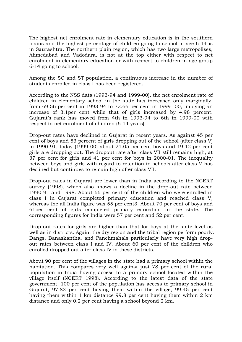The highest net enrolment rate in elementary education is in the southern plains and the highest percentage of children going to school in age 6-14 is in Saurashtra. The northern plain region, which has two large metropolises, Ahmedabad and Vadodara, is not at the top either with respect to net enrolment in elementary education or with respect to children in age group 6-14 going to school.

Among the SC and ST population, a continuous increase in the number of students enrolled in class I has been registered.

According to the NSS data (1993-94 and 1999-00), the net enrolment rate of children in elementary school in the state has increased only marginally, from 69.56 per cent in 1993-94 to 72.66 per cent in 1999- 00, implying an increase of 3.1per cent while that of girls increased by 4.98 percent. Gujarat's rank has moved from 4th in 1993-94 to 6th in 1999-00 with respect to net enrolment of children (6-14 years).

Drop-out rates have declined in Gujarat in recent years. As against 45 per cent of boys and 53 percent of girls dropping out of the school (after class V) in 1990-91, today (1999-00) about 21.05 per cent boys and 19.12 per cent girls are dropping out. The dropout rate after class VII still remains high, at 37 per cent for girls and 41 per cent for boys in 2000-01. The inequality between boys and girls with regard to retention in schools after class V has declined but continues to remain high after class VII.

Drop-out rates in Gujarat are lower than in India according to the NCERT survey (1998), which also shows a decline in the drop-out rate between 1990-91 and 1998. About 66 per cent of the children who were enrolled in class I in Gujarat completed primary education and reached class V, whereas the all India figure was 55 per cent3. About 70 per cent of boys and 61per cent of girls completed primary education in the state. The corresponding figures for India were 57 per cent and 52 per cent.

Drop-out rates for girls are higher than that for boys at the state level as well as in districts. Again, the dry region and the tribal region perform poorly. Dangs, Banaskantha, and Panchmahals particularly have very high dropout rates between class I and IV. About 60 per cent of the children who enrolled dropped out after class IV in these districts.

About 90 per cent of the villages in the state had a primary school within the habitation. This compares very well against just 78 per cent of the rural population in India having access to a primary school located within the village itself (NCERT 1998). According to the latest data of the state government, 100 per cent of the population has access to primary school in Gujarat, 97.83 per cent having them within the village, 99.45 per cent having them within 1 km distance 99.8 per cent having them within 2 km distance and only 0.2 per cent having a school beyond 2 km.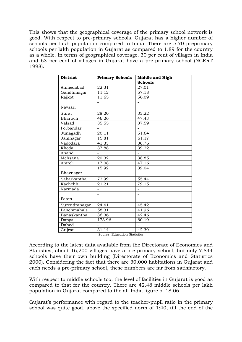This shows that the geographical coverage of the primary school network is good. With respect to pre-primary schools, Gujarat has a higher number of schools per lakh population compared to India. There are 5.70 preprimary schools per lakh population in Gujarat as compared to 1.89 for the country as a whole. In terms of geographical coverage, 30 per cent of villages in India and 63 per cent of villages in Gujarat have a pre-primary school (NCERT 1998).

| <b>District</b> | <b>Primary Schools</b> | Middle and High<br><b>Schools</b> |
|-----------------|------------------------|-----------------------------------|
| Ahmedabad       | 22.31                  | 27.01                             |
| Gandhinagar     | 11.12                  | 57.18                             |
| Rajkot          | 11.65                  | 56.09                             |
| Navsari         |                        |                                   |
| Surat           | 28.20                  | 33.22                             |
| Bharuch         | 46.26                  | 47.43                             |
| Valsad          | 35.55                  | 37.59                             |
| Porbandar       |                        |                                   |
| Junagadh        | 20.11                  | 51.64                             |
| Jamnagar        | 15.81                  | 61.17                             |
| Vadodara        | 41.33                  | 36.76                             |
| Kheda           | 37.88                  | 39.22                             |
| Anand           |                        |                                   |
| Mehsana         | 20.32                  | 38.85                             |
| Amreli          | 17.08                  | 47.16                             |
| Bhavnagar       | 15.92                  | 39.04                             |
| Sabarkantha     | 72.99                  | 55.44                             |
| Kachchh         | 21.21                  | 79.15                             |
| Narmada         |                        |                                   |
| Patan           |                        |                                   |
| Surendranagar   | 24.41                  | 45.42                             |
| Panchmahals     | 58.31                  | 41.96                             |
| Banaskantha     | 36.36                  | 42.46                             |
| Dangs           | 173.96                 | 60.19                             |
| Dahod           |                        |                                   |
| Gujrat          | 31.14                  | 42.39                             |

| Source: Education Statistics |  |
|------------------------------|--|

According to the latest data available from the Directorate of Economics and Statistics, about 16,200 villages have a pre-primary school, but only 7,844 schools have their own building (Directorate of Economics and Statistics 2000). Considering the fact that there are 30,000 habitations in Gujarat and each needs a pre-primary school, these numbers are far from satisfactory.

With respect to middle schools too, the level of facilities in Gujarat is good as compared to that for the country. There are 42.48 middle schools per lakh population in Gujarat compared to the all-India figure of 18.06.

Gujarat's performance with regard to the teacher-pupil ratio in the primary school was quite good, above the specified norm of 1:40, till the end of the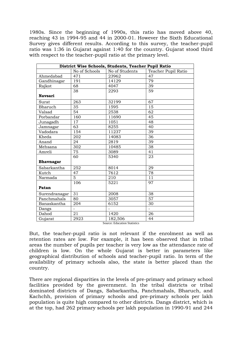1980s. Since the beginning of 1990s, this ratio has moved above 40, reaching 43 in 1994-95 and 44 in 2000-01. However the Sixth Educational Survey gives different results. According to this survey, the teacher-pupil ratio was 1:36 in Gujarat against 1:40 for the country. Gujarat stood third with respect to the teacher-pupil ratio at the primary level.

|                  |                 | District Wise Schools, Students, Teacher Pupil Ratio |                     |
|------------------|-----------------|------------------------------------------------------|---------------------|
|                  | No of Schools   | No of Students                                       | Teacher Pupil Ratio |
| Ahmedabad        | 471             | 23962                                                | 47                  |
| Gandhinagar      | 191             | 14129                                                | 79                  |
| Rajkot           | 68              | 4047                                                 | 39                  |
|                  | 38              | 2293                                                 | 59                  |
| <b>Navsari</b>   |                 |                                                      |                     |
| Surat            | 263             | 32199                                                | 67                  |
| Bharuch          | $\overline{35}$ | 1595                                                 | 15                  |
| Valsad           | 54              | 2538                                                 | 62                  |
| Porbandar        | 160             | 11690                                                | 45                  |
| Junagadh         | 17              | 1051                                                 | 48                  |
| Jamnagar         | 63              | 8255                                                 | 40                  |
| Vadodara         | 154             | 11237                                                | 39                  |
| Kheda            | 202             | 14083                                                | 36                  |
| Anand            | 24              | 2819                                                 | 39                  |
| Mehsana          | 302             | 10485                                                | 38                  |
| Amreli           | $\overline{75}$ | 3089                                                 | 41                  |
|                  | 60              | 5340                                                 | 23                  |
| <b>Bhavnagar</b> |                 |                                                      |                     |
| Sabarkantha      | 252             | 8014                                                 | 29                  |
| Kutch            | $\overline{47}$ | 7612                                                 | 78                  |
| Narmada          | $\overline{5}$  | 210                                                  | 11                  |
|                  | 106             | 5221                                                 | 97                  |
| Patan            |                 |                                                      |                     |
| Surendranagar    | 31              | 2008                                                 | 38                  |
| Panchmahals      | 80              | 3057                                                 | 57                  |
| Banaskantha      | 204             | 6152                                                 | 30                  |
| Dangs            | $\overline{a}$  |                                                      |                     |
| Dahod            | 21              | 1420                                                 | 26                  |
| Gujarat          | 2923            | 182,506                                              | 44                  |

Source: Education Statistics

But, the teacher-pupil ratio is not relevant if the enrolment as well as retention rates are low. For example, it has been observed that in tribal areas the number of pupils per teacher is very low as the attendance rate of children is low. On the whole Gujarat is better in parameters like geographical distribution of schools and teacher-pupil ratio. In term of the availability of primary schools also, the state is better placed than the country.

There are regional disparities in the levels of pre-primary and primary school facilities provided by the government. In the tribal districts or tribal dominated districts of Dangs, Sabarkantha, Panchmahals, Bharuch, and Kachchh, provision of primary schools and pre-primary schools per lakh population is quite high compared to other districts. Dangs district, which is at the top, had 262 primary schools per lakh population in 1990-91 and 244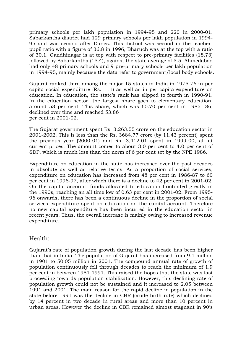primary schools per lakh population in 1994-95 and 220 in 2000-01. Sabarkantha district had 129 primary schools per lakh population in 1994- 95 and was second after Dangs. This district was second in the teacherpupil ratio with a figure of 36.8 in 1996, Bharuch was at the top with a ratio of 30.1. Gandhinagar is at top with respect to pre-primary facilities (18.73) followed by Sabarkantha (15.4), against the state average of 5.5. Ahmedabad had only 48 primary schools and 9 pre-primary schools per lakh population in 1994-95, mainly because the data refer to government/local body schools.

Gujarat ranked third among the major 15 states in India in 1975-76 in per capita social expenditure (Rs. 111) as well as in per capita expenditure on education. In education, the state's rank has slipped to fourth in 1990-91. In the education sector, the largest share goes to elementary education, around 53 per cent. This share, which was 60.70 per cent in 1985- 86, declined over time and reached 53.86 per cent in 2001-02.

The Gujarat government spent Rs. 3,263.55 crore on the education sector in 2001-2002. This is less than the Rs. 3684.77 crore (by 11.43 percent) spent the previous year (2000-01) and Rs. 3,412.01 spent in 1999-00, all at current prices. The amount comes to about 3.0 per cent to 4.0 per cent of SDP, which is much less than the norm of 6 per cent set by the NPE 1986.

Expenditure on education in the state has increased over the past decades in absolute as well as relative terms. As a proportion of social services, expenditure on education has increased from 48 per cent in 1986-87 to 60 per cent in 1996-97, after which there is a decline to 42 per cent in 2001-02. On the capital account, funds allocated to education fluctuated greatly in the 1990s, reaching an all time low of 0.63 per cent in 2001-02. From 1995- 96 onwards, there has been a continuous decline in the proportion of social services expenditure spent on education on the capital account. Therefore no new capital expenditure has been incurred in the education sector in recent years. Thus, the overall increase is mainly owing to increased revenue expenditure.

# Health:

Gujarat's rate of population growth during the last decade has been higher than that in India. The population of Gujarat has increased from 9.1 million in 1901 to 50.05 million in 2001. The compound annual rate of growth of population continuously fell through decades to reach the minimum of 1.9 per cent in between 1981-1991. This raised the hopes that the state was fast proceeding towards population stabilization. However, this declining rate of population growth could not be sustained and it increased to 2.05 between 1991 and 2001. The main reason for the rapid decline in population in the state before 1991 was the decline in CBR (crude birth rate) which declined by 14 percent in two decade in rural areas and more than 10 percent in urban areas. However the decline in CBR remained almost stagnant in 90's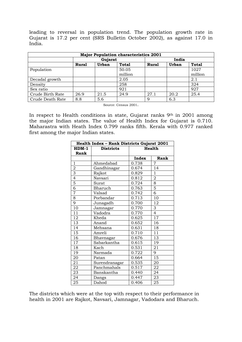leading to reversal in population trend. The population growth rate in Gujarat is 17.2 per cent (SRS Bulletin October 2002), as against 17.0 in India.

| <b>Major Population characteristics 2001</b> |         |       |         |              |              |              |
|----------------------------------------------|---------|-------|---------|--------------|--------------|--------------|
|                                              | Gujarat |       |         | India        |              |              |
|                                              | Rural   | Urban | Total   | <b>Rural</b> | <b>Urban</b> | <b>Total</b> |
| Population                                   |         |       | 50.05   |              |              | 1027         |
|                                              |         |       | million |              |              | million      |
| Decadal growth                               |         |       | 2.05    |              |              | 2.1          |
| Density                                      |         |       | 258     |              |              | 324          |
| Sex ratio                                    |         |       | 921     |              |              | 927          |
| Crude Birth Rate                             | 26.9    | 21.5  | 24.9    | 27.1         | 20.2         | 25.4         |
| Crude Death Rate                             | 8.8     | 5.6   |         | 9            | 6.3          |              |

Source: Census 2001.

In respect to Health conditions in state, Gujarat ranks 9th in 2001 among the major Indian states. The value of Health Index for Gujarat is 0.710. Maharastra with Heath Index 0.799 ranks fifth. Kerala with 0.977 ranked first among the major Indian states.

| Health Index - Rank Districts Gujarat 2001 |                  |       |                         |  |  |
|--------------------------------------------|------------------|-------|-------------------------|--|--|
| $HDM-1$                                    | <b>Districts</b> |       | <b>Health</b>           |  |  |
| Rank                                       |                  |       |                         |  |  |
|                                            |                  | Index | Rank                    |  |  |
| 1                                          | Ahmedabad        | 0.738 | 7                       |  |  |
| $\frac{2}{3}$                              | Gandhinagar      | 0.674 | 14                      |  |  |
|                                            | Rajkot           | 0.829 | $\overline{1}$          |  |  |
| $\overline{4}$                             | Navsari          | 0.812 | $\overline{\mathbf{2}}$ |  |  |
| 5                                          | Surat            | 0.724 | $\overline{8}$          |  |  |
| $\overline{6}$                             | Bharuch          | 0.763 | $\overline{5}$          |  |  |
| $\overline{7}$                             | Valsad           | 0.742 | $\overline{6}$          |  |  |
| $\overline{8}$                             | Porbandar        | 0.713 | 10                      |  |  |
| $\overline{9}$                             | Junagadh         | 0.700 | 12                      |  |  |
| $\overline{1}0$                            | Jamnagar         | 0.770 | 3                       |  |  |
| 11                                         | Vadodra          | 0.770 | $\overline{4}$          |  |  |
| 12                                         | Kheda            | 0.625 | $\overline{17}$         |  |  |
| 13                                         | Anand            | 0.652 | 16                      |  |  |
| 14                                         | Mehsana          | 0.631 | 18                      |  |  |
| 15                                         | Amreli           | 0.710 | $\overline{11}$         |  |  |
| 16                                         | Bhavnagar        | 0.676 | 13                      |  |  |
| 17                                         | Sabarkantha      | 0.615 | 19                      |  |  |
| 18                                         | Kach             | 0.531 | 21                      |  |  |
| 19                                         | Narmada          | 0.722 | 9                       |  |  |
| 20                                         | Patan            | 0.664 | $\overline{15}$         |  |  |
| 21                                         | Surendranagar    | 0.535 | 20                      |  |  |
| 22                                         | Panchmahals      | 0.517 | 22                      |  |  |
| 23                                         | Banskantha       | 0.440 | 24                      |  |  |
| 24                                         | Dangs            | 0.447 | 23                      |  |  |
| 25                                         | Dahod            | 0.406 | 25                      |  |  |

The districts which were at the top with respect to their performance in health in 2001 are Rajkot, Navsari, Jamnagar, Vadodara and Bharuch.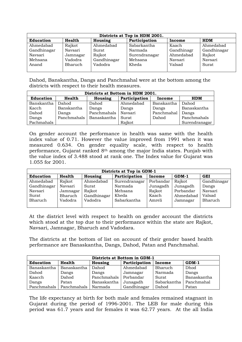| Districts at Top in HDM 2001.                                           |          |             |               |            |             |  |
|-------------------------------------------------------------------------|----------|-------------|---------------|------------|-------------|--|
| <b>HDM</b><br>Education<br>Health<br>Participation<br>Housing<br>Income |          |             |               |            |             |  |
| Ahmedabad                                                               | Rajkot   | Ahmedabad   | Sabarkantha   | Kaach      | Ahmedabad   |  |
| Gandhinagar                                                             | Navsari  | Surat       | Narmada       | Gandhinagr | Gandhinagar |  |
| Navsari                                                                 | Jamnagar | Rajkot      | Surendranagar | Ahmedabad  | Rajkot      |  |
| Mehsana                                                                 | Vadodra  | Gandhinagar | Mehsana       | Navsari    | Navsari     |  |
| Anand                                                                   | Bharuch  | Vadodra     | Kheda         | Valsad     | Surat       |  |
|                                                                         |          |             |               |            |             |  |

Dahod, Banskantha, Dangs and Panchmahal were at the bottom among the districts with respect to their health measures.

| Districts at Bottom in HDM 2001. |             |             |               |            |               |  |  |
|----------------------------------|-------------|-------------|---------------|------------|---------------|--|--|
| <b>Education</b>                 | Health      | Housing     | Participation | Income     | <b>HDM</b>    |  |  |
| Banskantha                       | Dahod       | Dahod       | Ahmedabad     | Banskantha | Dahod         |  |  |
| Kacch                            | Banskantha  | Dangs       | Dangs         | Dangs      | Banaskantha   |  |  |
| Dahod                            | Dangs       | Panchmahals | Navsari       | Panchmahal | Dangs         |  |  |
| Dangs                            | Panchmahals | Banaskantha | Surat         | Dahod      | Panchmahals   |  |  |
| Pachmahals                       |             |             | Rajkot        |            | Surendranagar |  |  |

On gender account the performance in health was same with the health index value of 0.71. However the value improved from 1991 when it was measured 0.634. On gender equality scale, with respect to health performance, Gujarat ranked 8th among the major India states. Punjab with the value index of 3.488 stood at rank one. The Index value for Gujarat was 1.055 for 2001.

| Districts at Top in GDM-1 |               |             |               |           |           |             |  |
|---------------------------|---------------|-------------|---------------|-----------|-----------|-------------|--|
| <b>Education</b>          | <b>Health</b> | Housing     | Participation | Income    | $GDM-1$   | <b>GEI</b>  |  |
| Ahmedabad                 | Rajkot        | Ahmedabad   | Surendranagar | Porbandar | Rajkot    | Gandhinagar |  |
| Gandhinagar               | Navsari       | Surat       | Narmada       | Junagadh  | Junagadh  | Dangs       |  |
| Navsari                   | Jamnagar      | Rajkot      | Mehsana       | Rajkot    | Porbandar | Navsari     |  |
| Surat                     | Bharuch       | Gandhinagar | Kheda         | Kaach     | Ahmedabad | Valsad      |  |
| Bharuch                   | Vadodra       | Vadodra     | Sabarkantha   | Amreli    | Jamnagar  | Bharuch     |  |
|                           |               |             |               |           |           |             |  |

At the district level with respect to health on gender account the districts which stood at the top due to their performance within the state are Rajkot, Navsari, Jamnagar, Bharuch and Vadodara.

The districts at the bottom of list on account of their gender based health performance are Banaskantha, Dangs, Dahod, Patan and Panchmahal.

| Districts at Bottom in GDM-1 |             |             |               |             |             |
|------------------------------|-------------|-------------|---------------|-------------|-------------|
| <b>Education</b>             | Health      | Housing     | Participation | Income      | $GDM-1$     |
| Banaskantha                  | Banaskantha | Dahod       | Ahmedabad     | Bharuch     | Dhod        |
| Dahod                        | Dangs       | Dangs       | Jamnagar      | Narmada     | Dangs       |
| Kaacch                       | Dahod       | Panchmahals | Porbandar     | Surat       | Banaskantha |
| Dangs                        | Patan       | Banaskantha | Junagadh      | Sabarkantha | Panchmahal  |
| Panchmahals                  | Panchmahals | Narmada     | Gandhinagar   | Dahod       | Patan       |

The life expectancy at birth for both male and females remained stagnant in Gujarat during the period of 1996-2001. The LEB for male during this period was 61.7 years and for females it was 62.77 years. At the all India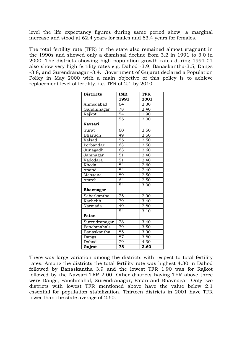level the life expectancy figures during same period show, a marginal increase and stood at 62.4 years for males and 63.4 years for females.

The total fertility rate (TFR) in the state also remained almost stagnant in the 1990s and showed only a dismissal decline from 3.2 in 1991 to 3.0 in 2000. The districts showing high population growth rates during 1991-01 also show very high fertility rates e.g. Dahod -3.9, Banaskantha-3.5, Dangs -3.8, and Surendranagar -3.4. Government of Gujarat declared a Population Policy in May 2000 with a main objective of this policy is to achieve replacement level of fertility, i.e. TFR of 2.1 by 2010.

.

| <b>Districts</b> | <b>IMR</b>      | <b>TFR</b> |
|------------------|-----------------|------------|
|                  | 1991            | 2001       |
| Ahmedabad        | 64              | 2.30       |
| Gandhinagar      | 78              | 2.40       |
| Rajkot           | 54              | 1.90       |
|                  | 55              | 2.00       |
| <b>Navsari</b>   |                 |            |
| Surat            | 60              | 2.50       |
| Bharuch          | 49              | 2.50       |
| Valsad           | 55              | 2.50       |
| Porbandar        | $\overline{63}$ | 2.50       |
| Junagadh         | 63              | 2.60       |
| Jamnagar         | 51              | 2.40       |
| Vadodara         | $\overline{51}$ | 2.40       |
| Kheda            | 84              | 2.60       |
| Anand            | 84              | 2.40       |
| Mehsana          | 89              | 2.50       |
| Amreli           | 64              | 2.50       |
|                  | $\overline{54}$ | 3.00       |
| <b>Bhavnagar</b> |                 |            |
| Sabarkantha      | $\overline{75}$ | 2.90       |
| Kachchh          | $\overline{79}$ | 3.40       |
| Narmada          | 49              | 2.80       |
|                  | $\overline{54}$ | 3.10       |
| Patan            |                 |            |
| Surendranagar    | 78              | 3.40       |
| Panchmahals      | 79              | 3.50       |
| Banaskantha      | 85              | 3.90       |
| Dangs            | 87              | 3.80       |
| Dahod            | 79              | 4.30       |
| Gujrat           | 78              | 2.60       |

There was large variation among the districts with respect to total fertility rates. Among the districts the total fertility rate was highest 4.30 in Dahod followed by Banaskantha 3.9 and the lowest TFR 1.90 was for Rajkot followed by the Navsari TFR 2.00. Other districts having TFR above three were Dangs, Panchmahal, Surendranagar, Patan and Bhavnagar. Only two districts with lowest TFR mentioned above have the value below 2.1 essential for population stabilization. Thirteen districts in 2001 have TFR lower than the state average of 2.60.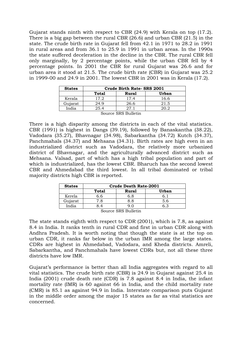Gujarat stands ninth with respect to CBR (24.9) with Kerala on top (17.2). There is a big gap between the rural CBR (26.6) and urban CBR (21.5) in the state. The crude birth rate in Gujarat fell from 42.1 in 1971 to 28.2 in 1991 in rural areas and from 36.1 to 25.9 in 1991 in urban areas. In the 1990s the state suffered deceleration in the decline in the CBR. The rural CBR fell only marginally, by 2 percentage points, while the urban CBR fell by 4 percentage points. In 2001 the CBR for rural Gujarat was 26.6 and for urban area it stood at 21.5. The crude birth rate (CBR) in Gujarat was 25.2 in 1999-00 and 24.9 in 2001. The lowest CBR in 2001 was in Kerala (17.2).

| <b>States</b>                | Crude Birth Rate- SRS 2001 |              |              |  |  |
|------------------------------|----------------------------|--------------|--------------|--|--|
|                              | <b>Total</b>               | <b>Rural</b> | <b>Urban</b> |  |  |
| Kerala                       | 17.2                       | 17.4         | 16.6         |  |  |
| Gujarat                      | 24.9                       | 26.6         | 21.5         |  |  |
| India<br>25.4<br>271<br>20.2 |                            |              |              |  |  |
|                              | Source SRS Bulletin        |              |              |  |  |

There is a high disparity among the districts in each of the vital statistics. CBR (1991) is highest in Dangs (39.19), followed by Banaskantha (38.22), Vadodara (35.27), Bhavnagar (34.98), Sabarkantha (34.72) Kutch (34.37), Panchmahals (34.37) and Mehsana (34.31). Birth rates are high even in an industrialized district such as Vadodara, the relatively more urbanized district of Bhavnagar, and the agriculturally advanced district such as Mehsana. Valsad, part of which has a high tribal population and part of which is industrialized, has the lowest CBR. Bharuch has the second lowest CBR and Ahmedabad the third lowest. In all tribal dominated or tribal majority districts high CBR is reported.

| <b>States</b> | <b>Crude Death Rate-2001</b> |       |       |  |  |
|---------------|------------------------------|-------|-------|--|--|
|               | Total                        | Rural | Urban |  |  |
| Kerela        | .h                           | 6.8   |       |  |  |
| Gujarat       | '.8                          | 8.8   | 5.6   |  |  |
| India         |                              |       |       |  |  |

Source SRS Bulletin

The state stands eighth with respect to CDR (2001), which is 7.8, as against 8.4 in India. It ranks tenth in rural CDR and first in urban CDR along with Andhra Pradesh. It is worth noting that though the state is at the top on urban CDR, it ranks far below in the urban IMR among the large states. CDRs are highest in Ahmedabad, Vadodara, and Kheda districts. Amreli, Sabarkantha, and Panchmahals have lowest CDRs but, not all these three districts have low IMR.

Gujarat's performance is better than all India aggregates with regard to all vital statistics. The crude birth rate (CBR) is 24.9 in Gujarat against 25.4 in India (2001) crude death rate (CDR) is 7.8 against 8.4 in India, the infant mortality rate (IMR) is 60 against 66 in India, and the child mortality rate (CMR) is 85.1 as against 94.9 in India. Interstate comparison puts Gujarat in the middle order among the major 15 states as far as vital statistics are concerned.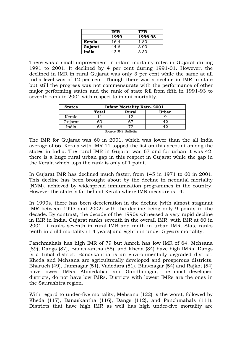|         | IMR  | TFR     |
|---------|------|---------|
|         | 1999 | 1996-98 |
| Kerala  | 16.4 | 1.80    |
| Gujarat | 44.6 | 3.00    |
| India   | 43.8 | 3.30    |

There was a small improvement in infant mortality rates in Gujarat during 1991 to 2001. It declined by 4 per cent during 1991-01. However, the declined in IMR in rural Gujarat was only 3 per cent while the same at all India level was of 12 per cent. Though there was a decline in IMR in state but still the progress was not commensurate with the performance of other major performing states and the rank of state fell from fifth in 1991-93 to seventh rank in 2001 with respect to infant mortality.

| <b>States</b>     | <b>Infant Mortality Rate-2001</b> |              |              |  |  |
|-------------------|-----------------------------------|--------------|--------------|--|--|
|                   | <b>Total</b>                      | <b>Rural</b> | <b>Urban</b> |  |  |
| Kerala            |                                   |              |              |  |  |
| Gujarat           | оU                                | 67           |              |  |  |
| India<br>66<br>72 |                                   |              |              |  |  |
|                   | Source SNS Bulletin               |              |              |  |  |

The IMR for Gujarat was 60 in 2001, which was lower than the all India average of 66. Kerala with IMR 11 topped the list on this account among the states in India. The rural IMR in Gujarat was 67 and for urban it was 42. there is a huge rural urban gap in this respect in Gujarat while the gap in the Kerala which tops the rank is only of 1 point.

In Gujarat IMR has declined much faster, from 145 in 1971 to 60 in 2001. This decline has been brought about by the decline in neonatal mortality (NNM), achieved by widespread immunization programmes in the country. However the state is far behind Kerala where IMR measure is 14.

In 1990s, there has been deceleration in the decline (with almost stagnant IMR between 1995 and 2002) with the decline being only 9 points in the decade. By contrast, the decade of the 1990s witnessed a very rapid decline in IMR in India. Gujarat ranks seventh in the overall IMR, with IMR at 60 in 2001. It ranks seventh in rural IMR and ninth in urban IMR. State ranks tenth in child mortality (1-4 years) and eighth in under 5 years mortality.

Panchmahals has high IMR of 79 but Amreli has low IMR of 64. Mehsana (89), Dangs (87), Banaskantha (85), and Kheda (84) have high IMRs. Dangs is a tribal district. Banaskantha is an environmentally degraded district. Kheda and Mehsana are agriculturally developed and prosperous districts. Bharuch (49), Jamnagar (51), Vadodara (51), Bhavnagar (54) and Rajkot (54) have lowest IMRs. Ahmedabad and Gandhinagar, the most developed districts, do not have low IMRs. Districts with lowest IMRs are the ones in the Saurashtra region.

With regard to under-five mortality, Mehsana (122) is the worst, followed by Kheda (117), Banaskantha (116), Dangs (112), and Panchmahals (111). Districts that have high IMR as well has high under-five mortality are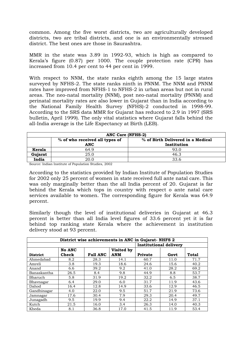common. Among the five worst districts, two are agriculturally developed districts, two are tribal districts, and one is an environmentally stressed district. The best ones are those in Saurashtra.

MMR in the state was 3.89 in 1992-93, which is high as compared to Kerala's figure (0.87) per 1000. The couple protection rate (CPR) has increased from 10.4 per cent to 44 per cent in 1999.

With respect to NNM, the state ranks eighth among the 15 large states surveyed by NFHS-2. The state ranks ninth in PNNM. The NNM and PNNM rates have improved from NFHS-1 to NFHS-2 in urban areas but not in rural areas. The neo-natal mortality (NNM), post neo-natal mortality (PNNM) and perinatal mortality rates are also lower in Gujarat than in India according to the National Family Health Survey (NFHS)-2 conducted in 1998-99. According to the SRS data MMR for Gujarat has reduced to 2.9 in 1997 (SRS bulletin, April 1999). The only vital statistics where Gujarat falls behind the all-India average is the Life Expectancy at Birth (LEB).

| <b>ANC Care (NFHS-2)</b> |                                                                     |             |  |  |
|--------------------------|---------------------------------------------------------------------|-------------|--|--|
|                          | % of Birth Delivered in a Medical<br>% of who received all types of |             |  |  |
|                          | <b>ANC</b>                                                          | Institution |  |  |
| Kerala                   | 649                                                                 | 93.0        |  |  |
| Gujarat                  | 25.0                                                                | 46.3        |  |  |
| India                    | 20 Q                                                                | 33.6        |  |  |

Source: Indian Institute of Population Studies, 2002

According to the statistics provided by Indian Institute of Population Studies for 2002 only 25 percent of women in state received full ante natal care. This was only marginally better than the all India percent of 20. Gujarat is far behind the Kerala which tops in country with respect o ante natal care services available to women. The corresponding figure for Kerala was 64.9 percent.

Similarly though the level of institutional deliveries in Gujarat at 46.3 percent is better than all India level figures of 33.6 percent yet it is far behind top ranking state Kerala where the achievement in institution delivery stood at 93 percent.

|                 | District wise achievements in ANC in Gujarat-NHFS 2 |                 |                          |         |                               |              |
|-----------------|-----------------------------------------------------|-----------------|--------------------------|---------|-------------------------------|--------------|
|                 |                                                     |                 |                          |         | <b>Institutional delivery</b> |              |
| <b>District</b> | <b>No ANC</b><br>Check                              | <b>Full ANC</b> | Visited by<br><b>ANM</b> | Private | Govt                          | <b>Total</b> |
| Ahmedabad       | 8.2                                                 | 28.3            | 14.1                     | 60.7    | 11.0                          | 71.7         |
| Amreli          | 3.8                                                 | 19.3            | 18.6                     | 24.6    | 15.6                          | 40.2         |
| Anand           | 6.6                                                 | 39.2            | 9.2                      | 41.0    | 28.2                          | 69.2         |
| Banaskantha     | 26.5                                                | 8.4             | 9.8                      | 44.9    | 8.8                           | 53.7         |
| Bharuch         | 5.8                                                 | 31.9            | 19.2                     | 32.2    | 6.5                           | 38.7         |
| Bhavnagar       | 6.4                                                 | 29.0            | 6.0                      | 31.7    | 11.9                          | 43.6         |
| Dahod           | 16.4                                                | 12.8            | 14.9                     | 33.6    | 12.9                          | 46.5         |
| Gandhinagar     | 4.0                                                 | 22.0            | 9.5                      | 51.7    | 21.9                          | 73.6         |
| Jamnagar        | 17.6                                                | 30.4            | 7.9                      | 29.3    | 20.4                          | 49.7         |
| Junagadh        | 9.5                                                 | 19.9            | 9.4                      | 22.2    | 14.9                          | 37.1         |
| Kutch           | 21.5                                                | 16.0            | 3.4                      | 26.3    | 14.0                          | 40.3         |
| Kheda           | 8.1                                                 | 36.8            | 17.0                     | 41.5    | 11.9                          | 53.4         |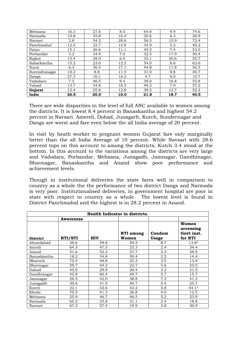| Mehsana       | 16.3 | 27.6 | 8.5  | 64.8 | 9.9  | 74.6 |
|---------------|------|------|------|------|------|------|
| Narmada       | 10.8 | 35.8 | 16.4 | 20.6 | 6.3  | 26.9 |
| Navsari       | 2.8  | 54.2 | 28.6 | 56.5 | 15.9 | 72.4 |
| Panchmahal    | 12.5 | 22.7 | 13.9 | 34.9 | 5.2  | 40.2 |
| Patan         | 15.1 | 26.6 | 11.1 | 45.5 | 7.4  | 53.0 |
| Porbandar     | 3.2  | 34.9 | 7.0  | 32.5 | 17.9 | 50.4 |
| Rajkot        | 13.4 | 28.0 | 6.0  | 35.1 | 20.6 | 55.7 |
| Sabarkantha   | 15.2 | 23.0 | 12.5 | 54.0 | 8.6  | 62.6 |
| Surat         | 6.3  | 30.4 | 17.1 | 44.8 | 11.8 | 56.5 |
| Surendranagar | 10.2 | 8.8  | 11.5 | 31.0 | 9.8  | 40.7 |
| Dangs         | 27.3 | 16.1 | 16.2 | 4.7  | 6.0  | 10.7 |
| Vadodara      | 7.5  | 46.5 | 8.4  | 39.0 | 16.8 | 55.8 |
| Valsad        | 13.7 | 34.8 | 18.3 | 49.3 | 7.9  | 57.2 |
| Gujarat       | 12.4 | 25.8 | 12.8 | 39.5 | 12.7 | 52.2 |
| India         | 26.5 | 20.0 | 10.0 | 21.8 | 18.7 | 40.5 |

There are wide disparities in the level of full ANC available to women among the districts. It is lowest 8.4 percent in Banaskantha and highest 54.2 percent in Navsari. Amereli, Dohad, Junagarh, Kutch, Sundernagar and Dangs are worst and fare even below the all India average of 20 percent.

In visit by heath worker to pregnant women Gujarat fare only marginally better than the all India Average of 10 percent. While Navsari with 28.6 percent tops on this account to among the districts, Kutch 3.4 stood at the bottom. In this account to the variations among the districts are very large and Vadodara, Porbandar, Mehsana, Junagadh, Jamnagar, Gandhinagar, Bhavnagar, Banaskantha and Anand show poor performance and achievement levels.

Though in institutional deliveries the state fares well in comparison to country as a whole the the performance of two district Dangs and Narmada is very poor. Institutionalised deliveries, in government hospital are poor in state with respect to country as a whole. The lowest level is found in District Panchmahal and the highest is in 28.2 percent in Anand.

| Health Indicator in districts. |                  |            |                           |                        |                                             |
|--------------------------------|------------------|------------|---------------------------|------------------------|---------------------------------------------|
|                                | <b>Awareness</b> |            |                           |                        |                                             |
| <b>District</b>                | RTI/STI          | <b>HIV</b> | <b>RTI</b> among<br>Women | Condom<br><b>Usage</b> | Women<br>accessing<br>Govt inst.<br>for RTI |
| Ahmedabad                      | 36.6             | 59.8       | 50.5                      | 8.7                    | $13.8*$                                     |
| Amreli                         | 64.3             | 47.3       | 23.3                      | 2.4                    | 34.4                                        |
| Anand                          | 51.6             | 52.2       | 37.7                      | 3.3                    | 28.9                                        |
| Banaskantha                    | 18.2             | 34.8       | 50.4                      | 2.2                    | 14.4                                        |
| Bharuch                        | 75.5             | 48.8       | 25.3                      | 3.5                    | 13.4                                        |
| Bhavnagar                      | 59.7             | 44.2       | 23.7                      | 5.6                    | 23.5                                        |
| Dahod                          | 45.0             | 29.9       | 29.4                      | 3.2                    | 21.5                                        |
| Gandhinagar                    | 42.9             | 66.4       | 49.7                      | 5.7                    | 15.7                                        |
| Jamnagar                       | 26.5             | 42.0       | 38.8                      | 7.3                    | 41.2                                        |
| Junagadh                       | 30.6             | 41.9       | 40.7                      | 5.4                    | 25.7                                        |
| Kutch                          | 22.1             | 33.6       | 43.2                      | 5.8                    | $44.1*$                                     |
| Kheda                          | 70.5             | 41.3       | 26.8                      | 4.0                    | 12.5                                        |
| Mehsana                        | 25.9             | 46.7       | 46.5                      | 5.2                    | 23.9                                        |
| Narmada                        | 65.2             | 33.8       | 31.1                      | 2.4                    | 18.8                                        |
| Navsari                        | 67.3             | 57.4       | 19.9                      | 3.8                    | 30.9                                        |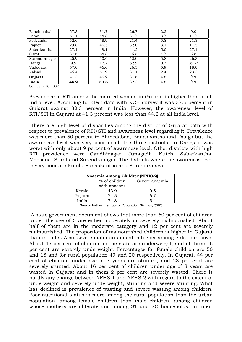| Panchmahal    | 57.3 | 31.7 | 26.7 | 2.2 | 9.0       |
|---------------|------|------|------|-----|-----------|
| Patan         | 51.1 | 44.8 | 31.7 | 3.7 | 11.7      |
| Porbandar     | 52.6 | 48.9 | 21.4 | 5.8 | 21.3      |
| Rajkot        | 29.8 | 45.5 | 32.0 | 8.1 | 11.5      |
| Sabarkantha   | 27.1 | 48.1 | 44.2 | 5.0 | 27.1      |
| Surat         | 37.6 | 64.8 | 45.5 | 4.7 | 6.8       |
| Surendranagar | 25.9 | 40.6 | 42.0 | 5.8 | 26.3      |
| Dangs         | 9.9  | 12.7 | 52.9 | 0.7 | $39.2*$   |
| Vadodara      | 57.0 | 46.0 | 26.3 | 5.9 | 18.0      |
| Valsad        | 45.4 | 51.9 | 31.1 | 2.4 | 23.3      |
| Gujarat       | 41.3 | 45.2 | 37.6 | 4.8 | <b>NA</b> |
| India         | 44.2 | 53.6 | 32.3 | 4.8 | <b>NA</b> |

Source: RHC 2002.

Prevalence of RTI among the married women in Gujarat is higher than at all India level. According to latest data with RCH survey it was 37.6 percent in Gujarat against 32.3 percent in India. However, the awareness level of RTI/STI in Gujarat at 41.3 percent was less than 44.2 at all India level.

 There are high level of disparities among the district of Gujarat both with respect to prevalence of RTI/STI and awareness level regarding it. Prevalence was more than 50 percent in Ahmedabad, Banaskantha and Dangs but the awareness level was very poor in all the three districts. In Dangs it was worst with only about 9 percent of awareness level. Other districts with high RTI prevalence were Gandhinagar, Junagadh, Kutch, Sabarkantha, Mehsana, Surat and Surendranagar. The districts where the awareness level is very poor are Kutch, Banaskantha and Surendranagar.

| Anaemia among Children(NFHS-2) |               |                |  |  |
|--------------------------------|---------------|----------------|--|--|
|                                | % of children | Severe anaemia |  |  |
| with anaemia                   |               |                |  |  |
| Kerala                         | 43.9          | 0.5            |  |  |
| Gujarat                        | 74.5          | 6.7            |  |  |
| India<br>74.3                  |               | 54             |  |  |

Source Indian Institute of Population Studies, 2002

 A state government document shows that more than 60 per cent of children under the age of 5 are either moderately or severely malnourished. About half of them are in the moderate category and 12 per cent are severely malnourished. The proportion of malnourished children is higher in Gujarat than in India. Also, severe malnourishment is higher among girls than boys. About 45 per cent of children in the state are underweight, and of these 16 per cent are severely underweight. Percentages for female children are 50 and 18 and for rural population 49 and 20 respectively. In Gujarat, 44 per cent of children under age of 3 years are stunted, and 23 per cent are severely stunted. About 16 per cent of children under age of 3 years are wasted in Gujarat and in them 2 per cent are severely wasted. There is hardly any change between NFHS-1 and NFHS-2 with regard to the extent of underweight and severely underweight, stunting and severe stunting. What has declined is prevalence of wasting and severe wasting among children. Poor nutritional status is more among the rural population than the urban population, among female children than male children, among children whose mothers are illiterate and among ST and SC households. In inter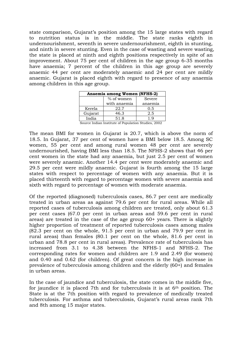state comparison, Gujarat's position among the 15 large states with regard to nutrition status is in the middle. The state ranks eighth in undernourishment, seventh in severe undernourishment, eighth in stunting, and ninth in severe stunting. Even in the case of wasting and severe wasting, the state is placed at ninth and eighth positions respectively in spite of an improvement. About 75 per cent of children in the age group 6-35 months have anaemia; 7 percent of the children in this age group are severely anaemic 44 per cent are moderately anaemic and 24 per cent are mildly anaemic. Gujarat is placed eighth with regard to presence of any anaemia among children in this age group.

| Anaemia among Women (NFHS-2) |              |         |  |  |  |  |  |
|------------------------------|--------------|---------|--|--|--|--|--|
|                              | Severe       |         |  |  |  |  |  |
|                              | with anaemia | anaemia |  |  |  |  |  |
| Kerela                       | 22.7         | 0.5     |  |  |  |  |  |
| Gujarat                      | 46.3         | 2.5     |  |  |  |  |  |
| India                        | 51.8         | 1 Q     |  |  |  |  |  |

Source Indian Institute of Population Studies, 2002

The mean BMI for women in Gujarat is 20.7, which is above the norm of 18.5. In Gujarat, 37 per cent of women have a BMI below 18.5. Among SC women, 55 per cent and among rural women 48 per cent are severely undernourished, having BMI less than 18.5. The NFHS-2 shows that 46 per cent women in the state had any anaemia, but just 2.5 per cent of women were severely anaemic. Another 14.4 per cent were moderately anaemic and 29.5 per cent were mildly anaemic. Gujarat is fourth among the 15 large states with respect to percentage of women with any anaemia. But it is placed thirteenth with regard to percentage women with severe anaemia and sixth with regard to percentage of women with moderate anaemia.

Of the reported (diagnosed) tuberculosis cases, 86.7 per cent are medically treated in urban areas as against 79.6 per cent for rural areas. While all reported cases of tuberculosis among children are treated, only about 61.3 per cent cases (67.0 per cent in urban areas and 59.6 per cent in rural areas) are treated in the case of the age group 60+ years. There is slightly higher proportion of treatment of reported tuberculosis cases among males (82.3 per cent on the whole, 91.5 per cent in urban and 79.9 per cent in rural areas) than females (80.1 per cent on the whole, 81.6 per cent in urban and 78.8 per cent in rural areas). Prevalence rate of tuberculosis has increased from 3.1 to 4.38 between the NFHS-1 and NFHS-2. The corresponding rates for women and children are 1.9 and 2.49 (for women) and 0.40 and 0.62 (for children). Of great concern is the high increase in prevalence of tuberculosis among children and the elderly (60+) and females in urban areas.

In the case of jaundice and tuberculosis, the state comes in the middle five, for jaundice it is placed 7th and for tuberculosis it is at 6th position. The State is at the 7th position with regard to prevalence of medically treated tuberculosis. For asthma and tuberculosis, Gujarat's rural areas rank 7th and 8th among 15 major states.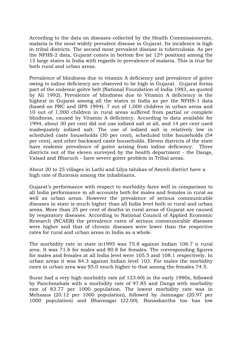According to the data on diseases collected by the Health Commissionerate, malaria is the most widely prevalent disease in Gujarat. Its incidence is high in tribal districts. The second most prevalent disease is tuberculosis. As per the NFHS-2 data, Gujarat comes in bottom five (at 12th position) among the 15 large states in India with regards to prevalence of malaria. This is true for both rural and urban areas.

Prevalence of blindness due to vitamin A deficiency and prevalence of goitre owing to iodine deficiency are observed to be high in Gujarat. Gujarat forms part of the endemic goitre belt (National Foundation of India 1983, as quoted by Ali 1992). Prevalence of blindness due to Vitamin A deficiency is the highest in Gujarat among all the states in India as per the NFHS-1 data (based on PRC and IIPS 1994). 7 out of 1,000 children in urban areas and 10 out of 1,000 children in rural areas suffered from partial or complete blindness, caused by Vitamin A deficiency. According to data available for 1994, about 30 per cent did not use iodized salt at all, and 14 per cent used inadequately iodized salt. The use of iodized salt is relatively low in scheduled caste households (30 per cent), scheduled tribe households (54 per cent), and other backward caste households. Eleven districts of the state have endemic prevalence of goitre arising from iodine deficiency. Three districts out of the eleven surveyed by the health department - the Dangs, Valsad and Bharuch - have severe goiter problem in Tribal areas.

About 20 to 25 villages in Lathi and Lilya talukas of Amreli district have a high rate of fluorosis among the inhabitants.

Gujarat's performance with respect to morbidity fares well in comparison to all India performance in all accounts both for males and females in rural as well as urban areas. However the prevalence of serious communicable diseases in state is much higher than all India level both in rural and urban areas. More than 25 per cent of deaths in rural areas of Gujarat are caused by respiratory diseases. According to National Council of Applied Economic Research (NCAER) the prevalence rates of serious communicable diseases were higher and that of chronic diseases were lower than the respective rates for rural and urban areas in India as a whole.

The morbidity rate in state in1995 was 75.8 against Indian 106.7 n rural area. It was 71.6 for males and 80.8 for females. The corresponding figures for males and females at all India level were 105.5 and 108.1 respectively. In urban areas it was 84.3 against Indian level 103. For males the morbidity rates in urban area was 95.0 much higher to that among the females 74.5.

Surat had a very high morbidity rate (of 123.60) in the early 1990s, followed by Panchmahals with a morbidity rate of 97.85 and Dangs with morbidity rate of 83.77 per 1000 population. The lowest morbidity rate was in Mehsana (20.12 per 1000 population), followed by Jamnagar (20.97 per 1000 population) and Bhavnagar (22.00). Banaskantha too has low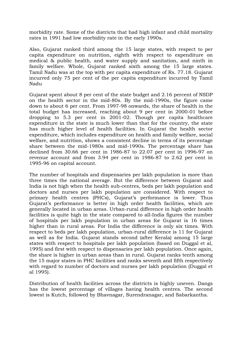morbidity rate. Some of the districts that had high infant and child mortality rates in 1991 had low morbidity rate in the early 1990s.

Also, Gujarat ranked third among the 15 large states, with respect to per capita expenditure on nutrition, eighth with respect to expenditure on medical & public health, and water supply and sanitation, and ninth in family welfare. Whole, Gujarat ranked sixth among the 15 large states. Tamil Nadu was at the top with per capita expenditure of Rs. 77.18. Gujarat incurred only 75 per cent of the per capita expenditure incurred by Tamil Nadu

Gujarat spent about 8 per cent of the state budget and 2.16 percent of NSDP on the health sector in the mid-80s. By the mid-1990s, the figure came down to about 6 per cent. From 1997-98 onwards, the share of health in the total budget has increased, reaching about 9 per cent in 2000-01 before dropping to 5.3 per cent in 2001-02. Though per capita healthcare expenditure in the state is much lower than that for the country, the state has much higher level of health facilities. In Gujarat the health sector expenditure, which includes expenditure on health and family welfare, social welfare, and nutrition, shows a consistent decline in terms of its percentage share between the mid-1980s and mid-1990s. The percentage share has declined from 30.66 per cent in 1986-87 to 22.07 per cent in 1996-97 on revenue account and from 3.94 per cent in 1986-87 to 2.62 per cent in 1995-96 on capital account.

The number of hospitals and dispensaries per lakh population is more than three times the national average. But the difference between Gujarat and India is not high when the health sub-centres, beds per lakh population and doctors and nurses per lakh population are considered. With respect to primary health centres (PHCs), Gujarat's performance is lower. Thus Gujarat's performance is better in high order health facilities, which are generally located in urban areas. Urban-rural difference in high order health facilities is quite high in the state compared to all-India figures the number of hospitals per lakh population in urban areas for Gujarat is 16 times higher than in rural areas. For India the difference is only six times. With respect to beds per lakh population, urban-rural difference is 11 for Gujarat as well as for India. Gujarat stands second (after Kerala) among 15 large states with respect to hospitals per lakh population (based on Duggal et al, 1995) and first with respect to dispensaries per lakh population. Once again, the share is higher in urban areas than in rural. Gujarat ranks tenth among the 15 major states in PHC facilities and ranks seventh and fifth respectively with regard to number of doctors and nurses per lakh population (Duggal et al 1995).

Distribution of health facilities across the districts is highly uneven. Dangs has the lowest percentage of villages having health centres. The second lowest is Kutch, followed by Bhavnagar, Surendranagar, and Sabarkantha.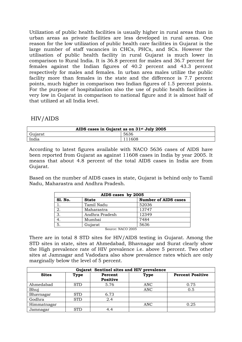Utilization of public health facilities is usually higher in rural areas than in urban areas as private facilities are less developed in rural areas. One reason for the low utilization of public health care facilities in Gujarat is the large number of staff vacancies in CHCs, PHCs, and SCs. However the utilisation of public health facility in rural Gujarat is much lower in comparison to Rural India. It is 36.8 percent for males and 36.7 percent for females against the Indian figures of 40.2 percent and 43.3 percent respectively for males and females. In urban area males utilize the public facility more than females in the state and the difference is 7.7 percent points, much higher in comparison two Indian figures of 1.5 percent points. For the purpose of hospitalization also the use of public health facilities is very low in Gujarat in comparison to national figure and it is almost half of that utilized at all India level.

# HIV/AIDS

| AIDS cases in Gujarat as on 31 <sup>st</sup> July 2005 |        |  |  |  |  |  |
|--------------------------------------------------------|--------|--|--|--|--|--|
| Gujarat                                                | 5636   |  |  |  |  |  |
| India                                                  | 111608 |  |  |  |  |  |

According to latest figures available with NACO 5636 cases of AIDS have been reported from Gujarat as against 11608 cases in India by year 2005. It means that about 4.8 percent of the total AIDS cases in India are from Gujarat.

Based on the number of AIDS cases in state, Gujarat is behind only to Tamil Nadu, Maharastra and Andhra Pradesh.

| AIDS cases by 2005 |                                                                           |                             |  |  |  |  |
|--------------------|---------------------------------------------------------------------------|-----------------------------|--|--|--|--|
| <b>S1. No.</b>     | <b>State</b>                                                              | <b>Number of AIDS cases</b> |  |  |  |  |
|                    | Tamil Nadu                                                                | 52036                       |  |  |  |  |
| 2.                 | Maharastra                                                                | 13747                       |  |  |  |  |
| 3.                 | Andhra Pradesh                                                            | 12349                       |  |  |  |  |
| 4.                 | Mumbai                                                                    | 7484                        |  |  |  |  |
| $\overline{5}$     | Gujarat                                                                   | 5636                        |  |  |  |  |
|                    | $C_{\text{outmax}}$ $N_{\text{A}}$ $C_{\text{A}}$ $\Omega_{\text{A}}$ $C$ |                             |  |  |  |  |

Source: NACO 2005

There are in total 8 STD sites for HIV/AIDS testing in Gujarat. Among the STD sites in state, sites at Ahmedabad, Bhavnagar and Surat clearly show the High prevalence rate of HIV prevalence i.e. above 5 percent. Two other sites at Jamnagar and Vadodara also show prevalence rates which are only marginally below the level of 5 percent.

| Gujarat Sentinel sites and HIV prevalence |            |                            |             |                         |  |  |  |  |
|-------------------------------------------|------------|----------------------------|-------------|-------------------------|--|--|--|--|
| <b>Sites</b>                              | Type       | Percent<br><b>Positive</b> | <b>Type</b> | <b>Percent Positive</b> |  |  |  |  |
| Ahmedabad                                 | <b>STD</b> | 5.76                       | ANC         | 0.75                    |  |  |  |  |
| Bhuj                                      |            |                            | ANC         | 0.5                     |  |  |  |  |
| Bhavnagar                                 | <b>STD</b> | 6.73                       |             |                         |  |  |  |  |
| Godhra                                    | <b>STD</b> | 2.4                        |             |                         |  |  |  |  |
| Himmatnagar                               |            |                            | ANC         | 0.25                    |  |  |  |  |
| Jamnagar                                  | <b>STD</b> | 4.4                        |             |                         |  |  |  |  |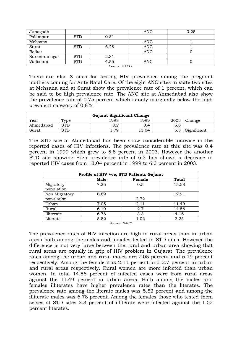| Junagadh      |            |      | ANC        | 0.25 |
|---------------|------------|------|------------|------|
| Palampur      | <b>STD</b> | 0.81 |            |      |
| Mehsana       |            |      | <b>ANC</b> |      |
| Surat         | <b>STD</b> | 6.28 | <b>ANC</b> |      |
| Rajkot        |            |      | ANC        |      |
| Surendranagar | <b>STD</b> | 2.31 |            |      |
| Vadodara      | <b>STD</b> | 4.55 | ANC        |      |

Source: NACO.

There are also 8 sites for testing HIV prevalence among the pregnant mothers coming for Ante Natal Care. Of the eight ANC sites in state two sites at Mehsana and at Surat show the prevalence rate of 1 percent, which can be said to be high prevalence rate. The ANC site at Ahmedabad also show the prevalence rate of 0.75 percent which is only marginally below the high prevalent category of 0.8%.

| <b>Gujarat Significant Change</b> |                     |      |       |      |             |  |  |  |
|-----------------------------------|---------------------|------|-------|------|-------------|--|--|--|
| Year                              | $\tau_{\text{vpe}}$ | 1998 | 1999  | 2003 | $^n$ hange  |  |  |  |
| Ahmedabad                         | <b>STD</b>          | ◡.∠  | J.4   | 5.8  |             |  |  |  |
| Surat                             | STD                 | 70   | 13.04 | 6.3  | Significant |  |  |  |

The STD site at Ahmedabad has been show considerable increase in the reported cases of HIV infections. The prevalence rate at this site was 0.4 percent in 1999 which grew to 5.8 percent in 2003. However the another STD site showing High prevalence rate of 6.3 has shown a decrease in reported HIV cases from 13.04 percent in 1999 to 6.3 percent in 2003.

| Profile of HIV +ve, STD Patients Gujarat |      |        |       |  |  |  |  |
|------------------------------------------|------|--------|-------|--|--|--|--|
|                                          | Male | Female | Total |  |  |  |  |
| Migratory                                | 7.25 | 0.5    | 15.58 |  |  |  |  |
| population                               |      |        |       |  |  |  |  |
| Non Migratory                            | 6.69 |        | 12.91 |  |  |  |  |
| population                               |      | 2.72   |       |  |  |  |  |
| Urban                                    | 7.05 | 2.11   | 11.49 |  |  |  |  |
| Rural                                    | 6.19 | 2.7    | 14.56 |  |  |  |  |
| Illiterate                               | 6.78 | 3.3    | 4.16  |  |  |  |  |
| Literate                                 | 5.52 | 1.02   | 3.25  |  |  |  |  |

Source: NACO

The prevalence rates of HIV infection are high in rural areas than in urban areas both among the males and females tested in STD sites. However the difference is not very large between the rural and urban area showing that rural areas are equally in grip of HIV problem in Gujarat. The prevalence rates among the urban and rural males are 7.05 percent and 6.19 percent respectively. Among the female it is 2.11 percent and 2.7 percent in urban and rural areas respectively. Rural women are more infected than urban women. In total 14.56 percent of infected cases were from rural areas against the 11.49 percent in urban areas. Both among the males and females illiterates have higher prevalence rates than the literates. The prevalence rate among the literate males was 5.52 percent and among the illiterate males was 6.78 percent. Among the females those who tested them selves at STD sites 3.3 percent of illiterate were infected against the 1.02 percent literates.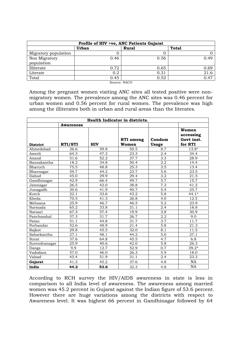| Profile of HIV +ve, ANC Patients Gujarat |                                                |              |              |  |  |  |  |  |
|------------------------------------------|------------------------------------------------|--------------|--------------|--|--|--|--|--|
|                                          | <b>Urban</b>                                   | <b>Rural</b> | <b>Total</b> |  |  |  |  |  |
| Migratory population                     | O                                              |              |              |  |  |  |  |  |
| Non Migratory                            | 0.46                                           | 0.56         | 0.49         |  |  |  |  |  |
| population                               |                                                |              |              |  |  |  |  |  |
| Illiterate                               | 0.72                                           | 0.65         | 0.69         |  |  |  |  |  |
| Literate                                 | 0.2                                            | 0.31         | 21.6         |  |  |  |  |  |
| Total                                    | 0.45                                           | 0.52         | 0.47         |  |  |  |  |  |
|                                          | $\alpha$ <sub>a</sub> , $\alpha$ , MA $\alpha$ |              |              |  |  |  |  |  |

Source: NACO

Among the pregnant women visiting ANC sites all tested positive were nonmigratory women. The prevalence among the ANC sites was 0.46 percent for urban women and 0.56 percent for rural women. The prevalence was high among the illiterates both in urban and rural areas than the literates.

| Health Indicator in districts. |                  |            |                           |                        |                                             |  |  |  |
|--------------------------------|------------------|------------|---------------------------|------------------------|---------------------------------------------|--|--|--|
|                                | <b>Awareness</b> |            |                           |                        |                                             |  |  |  |
| <b>District</b>                | RTI/STI          | <b>HIV</b> | <b>RTI</b> among<br>Women | Condom<br><b>Usage</b> | Women<br>accessing<br>Govt inst.<br>for RTI |  |  |  |
| Ahmedabad                      | 36.6             | 59.8       | 50.5                      | 8.7                    | $13.8*$                                     |  |  |  |
| Amreli                         | 64.3             | 47.3       | 23.3                      | 2.4                    | 34.4                                        |  |  |  |
| Anand                          | 51.6             | 52.2       | 37.7                      | 3.3                    | 28.9                                        |  |  |  |
| Banaskantha                    | 18.2             | 34.8       | 50.4                      | 2.2                    | 14.4                                        |  |  |  |
| Bharuch                        | 75.5             | 48.8       | 25.3                      | 3.5                    | 13.4                                        |  |  |  |
| Bhavnagar                      | 59.7             | 44.2       | $\overline{23.7}$         | 5.6                    | 23.5                                        |  |  |  |
| Dahod                          | 45.0             | 29.9       | 29.4                      | 3.2                    | 21.5                                        |  |  |  |
| Gandhinagar                    | 42.9             | 66.4       | 49.7                      | $\overline{5.7}$       | 15.7                                        |  |  |  |
| Jamnagar                       | 26.5             | 42.0       | 38.8                      | 7.3                    | 41.2                                        |  |  |  |
| Junagadh                       | 30.6             | 41.9       | 40.7                      | 5.4                    | 25.7                                        |  |  |  |
| Kutch                          | 22.1             | 33.6       | 43.2                      | $\overline{5.8}$       | $44.1*$                                     |  |  |  |
| Kheda                          | 70.5             | 41.3       | 26.8                      | 4.0                    | 12.5                                        |  |  |  |
| Mehsana                        | 25.9             | 46.7       | 46.5                      | $\overline{5.2}$       | 23.9                                        |  |  |  |
| Narmada                        | 65.2             | 33.8       | 31.1                      | 2.4                    | 18.8                                        |  |  |  |
| Navsari                        | 67.3             | 57.4       | 19.9                      | 3.8                    | 30.9                                        |  |  |  |
| Panchmahal                     | 57.3             | 31.7       | 26.7                      | 2.2                    | 9.0                                         |  |  |  |
| Patan                          | 51.1             | 44.8       | 31.7                      | $\overline{3.7}$       | 11.7                                        |  |  |  |
| Porbandar                      | 52.6             | 48.9       | 21.4                      | 5.8                    | 21.3                                        |  |  |  |
| Rajkot                         | 29.8             | 45.5       | 32.0                      | 8.1                    | 11.5                                        |  |  |  |
| Sabarkantha                    | 27.1             | 48.1       | 44.2                      | 5.0                    | 27.1                                        |  |  |  |
| Surat                          | 37.6             | 64.8       | 45.5                      | 4.7                    | 6.8                                         |  |  |  |
| Surendranagar                  | 25.9             | 40.6       | 42.0                      | 5.8                    | 26.3                                        |  |  |  |
| Dangs                          | 9.9              | 12.7       | 52.9                      | 0.7                    | $39.2*$                                     |  |  |  |
| Vadodara                       | 57.0             | 46.0       | 26.3                      | $\overline{5.9}$       | 18.0                                        |  |  |  |
| Valsad                         | 45.4             | 51.9       | 31.1                      | 2.4                    | 23.3                                        |  |  |  |
| Gujarat                        | 41.3             | 45.2       | 37.6                      | 4.8                    | NA                                          |  |  |  |
| India                          | 44.2             | 53.6       | 32.3                      | 4.8                    | NA                                          |  |  |  |

According to RCH survey the HIV/AIDS awareness in state is less in comparison to all India level of awareness. The awareness among married women was 45.2 percent in Gujarat against the Indian figure of 53.6 percent. However there are huge variations among the districts with respect to Awareness level. It was highest 66 percent in Gandhinagar followed by 64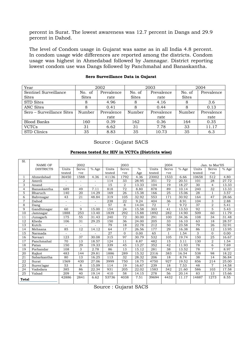percent in Surat. The lowest awareness was 12.7 percent in Dangs and 29.9 percent in Dahod.

The level of Condom usage in Gujarat was same as in all India 4.8 percent. In condom usage wide differences are reported among the districts. Condom usage was highest in Ahmedabad followed by Jamnagar. District reporting lowest condom use was Dangs followed by Panchmahal and Banaskantha.

| Year                      | 2002         |            |              | 2003       | 2004         |            |  |
|---------------------------|--------------|------------|--------------|------------|--------------|------------|--|
| Sentinel Surveillance     | No. of       | Prevalence | No. of       | Prevalence | No. of       | Prevalence |  |
| <b>Sites</b>              | <b>Sites</b> | rate       | <b>Sites</b> | rate       | <b>Sites</b> |            |  |
| <b>STD</b> Sites          |              | 4.96       | 8            | 4.16       | 8            | 3.6        |  |
| <b>ANC Sites</b>          | 8            | 0.41       | 8            | 0.44       | 8            | 0.13       |  |
| Sero – Surveillance Sites | Number       | Prevalence | Number       | Prevalence | Number       | Prevalence |  |
|                           |              | rate       |              | rate       |              | rate       |  |
| <b>Blood Banks</b>        | 160          | 0.39       | 162          | 0.36       | 164          | 0.35       |  |
| <b>VCTCs</b>              | 31           | 6.62       | 31           | 7.78       | 33           | 11.17      |  |
| <b>STD Clinics</b>        | 35           | 8.83       | 35           | 10.73      | 35           | 6.3        |  |

#### **Sero Surveillance Data in Gujarat**

Source : Gujarat SACS

#### **Persons tested for HIV in VCTCs (Districts wise)**

| S1.             | <b>NAME OF</b>   | 2002                     |                          |                          | 2003   |                | 2004          |        |                | Jan. to Mar'05      |        |                |                   |
|-----------------|------------------|--------------------------|--------------------------|--------------------------|--------|----------------|---------------|--------|----------------|---------------------|--------|----------------|-------------------|
|                 | <b>DISTRICTS</b> | Units                    | Servo                    | $\overline{\%}$ Age      | Units  | Servo          | $\frac{0}{0}$ | Units  | Servo          | $\overline{\%}$ Age | Units  | Servo          | % Age             |
|                 |                  | tested                   | $+ve$                    |                          | tested | $+ve$          | Age           | tested | $+ve$          |                     | tested | $+ve$          |                   |
| $\mathbf{1}$    | Ahmedabad        | 36450                    | 1588                     | 4.36                     | 41136  | 1792           | 4.36          | 23002  | 1533           | 6.66                | 10658  | 512            | 4.80              |
| $\overline{2}$  | Amreli           | $\equiv$                 | ÷.                       |                          | 114    | 33             | 28.95         | 351    | 72             | 20.51               | 101    | 28             | 27.72             |
| 3               | Anand            | $\sim$                   | $\blacksquare$           | $\overline{\phantom{a}}$ | 15     | $\overline{2}$ | 13.33         | 104    | 19             | 18.27               | 30     | 4              | 13.33             |
| $\overline{4}$  | Banaskantha      | 689                      | 49                       | 7.11                     | 818    | 72             | 8.80          | 878    | 89             | 10.14               | 240    | 32             | 13.33             |
| 5               | Bharuch          | 140                      | 20                       | 14.29                    | 169    | 26             | 15.38         | 166    | 25             | 15.06               | 28     | $\mathbf{1}$   | 3.57              |
| 6               | Bahvnagar        | 43                       | 21                       | 48.84                    | 319    | 105            | 32.92         | 553    | 171            | 30.92               | 164    | 47             | 28.66             |
| $\overline{7}$  | Dahod            | ٠                        | ÷.                       | $\sim$                   | 238    | 22             | 9.24          | 404    | 36             | 8.91                | 104    | 3              | 2.88              |
| 8               | Dang             | $\overline{\phantom{a}}$ | $\overline{\phantom{a}}$ |                          | 57     | 8              | 14.04         | 72     | $\overline{7}$ | 9.72                | 37     | $\overline{2}$ | 5.41              |
| 9               | Gandhinagar      | 60                       | 9                        | 15.00                    | 154    | 24             | 15.58         | 303    | 41             | 13.53               | 92     | 5              | $\overline{5.43}$ |
| 10              | Jamnagar         | 1888                     | 253                      | 13.40                    | 1839   | 292            | 15.88         | 1892   | 282            | 14.90               | 509    | 60             | 11.79             |
| 11              | Junagarh         | 175                      | 55                       | 31.43                    | 240    | 72             | 30.00         | 291    | 100            | 34.36               | 108    | 34             | 31.48             |
| 12              | Kheda            | 106                      | 31                       | 29.25                    | 150    | 36             | 24.00         | 205    | 33             | 16.10               | 63     | 18             | 28.57             |
| 13              | Kutch            |                          | $\overline{\phantom{a}}$ |                          | 79     | 18             | 22.78         | 212    | 50             | 23.58               | 79     | 26             | 32.91             |
| 14              | Mehsana          | 85                       | 12                       | 14.12                    | 64     | 17             | 26.56         | 177    | 29             | 16.38               | 86     | 12             | 13.95             |
| 15              | Narmada          |                          |                          |                          | 27     | $\Omega$       | 0.00          | 65     | $\mathbf{1}$   | 1.54                | 3      | $\mathbf{0}$   | 0.00              |
| 16              | Navsari          | 123                      | 37                       | 30.08                    | 315    | 97             | 30.79         | 532    | 105            | 19.74               | 150    | 25             | 16.67             |
| $\overline{17}$ | Panchmahal       | $\overline{70}$          | 13                       | 18.57                    | 124    | 11             | 8.87          | 482    | 15             | 3.11                | 130    | $\overline{2}$ | 1.54              |
| 18              | Patan            | 150                      | 29                       | 19.33                    | 339    | 45             | 13.27         | 352    | 42             | 11.93               | 78     | 6              | 7.69              |
| 19              | Porbandar        | 108                      | 3                        | 2.78                     | 86     | 13             | 15.12         | 281    | 38             | 13.52               | 78     | $\overline{7}$ | 8.97              |
| 20              | Rajkot           | 483                      | 144                      | 29.81                    | 1886   | 289            | 15.32         | 2316   | 383            | 16.54               | 538    | 98             | 18.22             |
| 21              | Sabarkantha      | 80                       | 13                       | 16.25                    | 113    | 32             | 28.32         | 206    | 18             | 8.74                | 38     | 14             | 36.84             |
| 22              | Surat            | 1569                     | 430                      | 27.06                    | 3999   | 750            | 18.75         | 4750   | 927            | 19.52               | 856    | 214            | 25.00             |
| 23              | Suren'agar       | 53                       | 8                        | 15.09                    | 114    | 19             | 16.67         | 239    | 18             | 7.53                | 48     | $\overline{7}$ | 14.58             |
| 24              | Vadodara         | 385                      | 86                       | 22.34                    | 931    | 205            | 22.02         | 1583   | 342            | 21.60               | 586    | 103            | 17.58             |
| 25              | Valsad           | 209                      | 40                       | 19.14                    | 410    | 58             | 14.15         | 278    | 56             | 20.14               | 83     | 13             | 15.66             |
| Total           |                  | 42886                    | 2841                     | 6.62                     | 53736  | 4038           | 7.51          | 39694  | 4432           | 11.17               | 14887  | 1273           | 8.55              |

Source : Gujarat SACS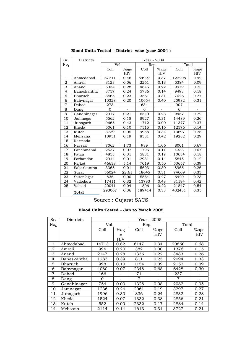| Sr.            | <b>Districts</b> | Year - 2004 |         |        |          |        |                          |  |
|----------------|------------------|-------------|---------|--------|----------|--------|--------------------------|--|
| No.            |                  | Vol.        |         | Rep.   |          |        | Total                    |  |
|                |                  | Coll        | $%$ age | Coll   | $\%$ age | Coll   | %age                     |  |
|                |                  |             | HIV     |        | HIV      |        | HIV                      |  |
| $\mathbf{1}$   | Ahmedabad        | 67211       | 0.46    | 54997  | 0.37     | 122208 | 0.42                     |  |
| $\overline{2}$ | Amreli           | 3123        | 0.06    | 2261   | 0.13     | 5384   | 0.09                     |  |
| $\overline{3}$ | Anand            | 5334        | 0.28    | 4645   | 0.22     | 9979   | 0.25                     |  |
| $\overline{4}$ | Banaskantha      | 3757        | 0.24    | 5736   | 0.14     | 9493   | 0.18                     |  |
| $\overline{5}$ | Bharuch          | 3465        | 0.23    | 3561   | 0.31     | 7026   | 0.27                     |  |
| $\overline{6}$ | Bahvnagar        | 10328       | 0.20    | 10654  | 0.40     | 20982  | 0.31                     |  |
| $\overline{7}$ | Dahod            | 273         | $\Box$  | 634    |          | 907    | $\overline{\phantom{a}}$ |  |
| 8              | Dang             | $\Omega$    |         | 6      |          | 6      |                          |  |
| 9              | Gandhinagar      | 2917        | 0.21    | 6540   | 0.23     | 9457   | 0.22                     |  |
| 10             | Jamnagar         | 5562        | 0.18    | 8927   | 0.31     | 14489  | 0.26                     |  |
| 11             | Junagarh         | 9665        | 0.43    | 1712   | 0.00     | 11377  | 0.37                     |  |
| 12             | Kheda            | 5061        | 0.10    | 7515   | 0.16     | 12576  | 0.14                     |  |
| 13             | Kutch            | 3739        | 0.05    | 9958   | 0.34     | 13697  | 0.26                     |  |
| 14             | Mehsana          | 10951       | 0.19    | 8331   | 0.42     | 19282  | 0.29                     |  |
| 15             | Narmada          |             |         |        |          |        |                          |  |
| 16             | Navsari          | 7062        | 1.73    | 939    | 1.06     | 8001   | 0.67                     |  |
| 17             | Panchmahal       | 2537        | 0.02    | 1796   | 0.11     | 4333   | 0.07                     |  |
| 18             | Patan            | 4853        | 0.31    | 5831   | 0.17     | 10684  | 0.18                     |  |
| 19             | Porbandar        | 2914        | 0.01    | 2931   | 0.14     | 5845   | 0.12                     |  |
| 20             | Rajkot           | 46638       | 5.14    | 7019   | 0.50     | 53657  | 0.39                     |  |
| 21             | Sabarkantha      | 3365        | 0.01    | 5603   | 0.30     | 8968   | 0.26                     |  |
| 22             | Surat            | 56024       | 22.61   | 18645  | 0.31     | 74669  | 0.33                     |  |
| 23             | Suren'agar       | 836         | 0.00    | 5584   | 0.27     | 6420   | 0.23                     |  |
| 24             | Vadodara         | 17411       | 0.32    | 13783  | 0.48     | 31194  | 0.42                     |  |
| 25             | Valsad           | 20041       | 0.04    | 1806   | 0.22     | 21847  | 0.54                     |  |
|                | Total            | 293067      | 0.36    | 189414 | 0.33     | 482481 | 0.35                     |  |

**Blood Units Tested – District wise (year 2004 )** 

Source : Gujarat SACS

#### **Blood Units Tested – Jan to March'2005**

| Sr.            | Districts   | Year - 2005 |            |      |         |       |      |  |  |
|----------------|-------------|-------------|------------|------|---------|-------|------|--|--|
| No.            |             | Vol.        |            | Rep. |         | Total |      |  |  |
|                |             | Coll        | $%$ ag     | Coll | $%$ age | Coll  | %age |  |  |
|                |             |             | e          |      | HIV     |       | HIV  |  |  |
|                |             |             | <b>HIV</b> |      |         |       |      |  |  |
| 1              | Ahmedabad   | 14713       | 0.82       | 6147 | 0.34    | 20860 | 0.68 |  |  |
| 2              | Amreli      | 994         | 0.20       | 382  | 0.00    | 1376  | 0.15 |  |  |
| 3              | Anand       | 2147        | 0.28       | 1336 | 0.22    | 3483  | 0.26 |  |  |
| $\overline{4}$ | Banaskantha | 1283        | 0.39       | 811  | 0.25    | 2094  | 0.33 |  |  |
| 5              | Bharuch     | 998         | 0.10       | 1154 | 0.09    | 2152  | 0.09 |  |  |
| 6              | Bahvnagar   | 4080        | 0.07       | 2348 | 0.68    | 6428  | 0.30 |  |  |
| 7              | Dahod       | 166         |            | 71   |         | 237   |      |  |  |
| 8              | Dang        | 0           |            | 7    |         | 7     |      |  |  |
| 9              | Gandhinagar | 754         | 0.00       | 1328 | 0.08    | 2082  | 0.05 |  |  |
| 10             | Jamnagar    | 1236        | 0.24       | 2061 | 0.19    | 3297  | 0.27 |  |  |
| 11             | Junagarh    | 1996        | 0.30       | 836  | 0.24    | 2832  | 0.28 |  |  |
| 12             | Kheda       | 1524        | 0.07       | 1332 | 0.38    | 2856  | 0.21 |  |  |
| 13             | Kutch       | 552         | 0.00       | 2332 | 0.17    | 2884  | 0.14 |  |  |
| 14             | Mehsana     | 2114        | 0.14       | 1613 | 0.31    | 3727  | 0.21 |  |  |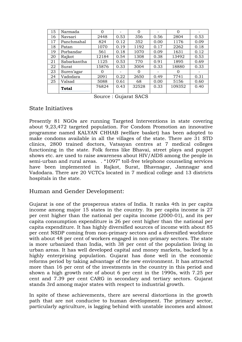| 15 | Narmada      | 0     |      | 0     |      | $\Omega$ |      |
|----|--------------|-------|------|-------|------|----------|------|
| 16 | Navsari      | 2448  | 0.53 | 356   | 0.56 | 2804     | 0.53 |
| 17 | Panchmahal   | 824   | 0.12 | 352   | 0.00 | 1176     | 0.09 |
| 18 | Patan        | 1070  | 0.19 | 1192  | 0.17 | 2262     | 0.18 |
| 19 | Porbandar    | 561   | 0.18 | 1070  | 0.09 | 1631     | 0.12 |
| 20 | Rajkot       | 12184 | 0.54 | 1308  | 0.38 | 13492    | 0.53 |
| 21 | Sabarkantha  | 1125  | 0.53 | 770   | 0.91 | 1895     | 0.69 |
| 22 | Surat        | 15876 | 0.33 | 3004  | 0.33 | 18880    | 0.33 |
| 23 | Suren'agar   | O     |      | 0     |      | 0        |      |
| 24 | Vadodara     | 2091  | 0.22 | 2650  | 0.49 | 7741     | 0.31 |
| 25 | Valsad       | 5088  | 0.61 | 68    | 0.00 | 5156     | 0.60 |
|    | <b>Total</b> | 76824 | 0.43 | 32528 | 0.33 | 109352   | 0.40 |

Source : Gujarat SACS

# State Initiatives

Presently 81 NGOs are running Targeted Interventions in state covering about 9,23,472 targeted population. For Condom Promotion an innovative programme named KALYAN CHHAB (welfare basket) has been adopted to make condoms available in all the villages of the state. There are 31 STD clinics, 2800 trained doctors, Vatsayan centres at 7 medical colleges functioning in the state. Folk forms like Bhavai, street plays and puppet shows etc. are used to raise awareness about HIV/AIDS among the people in semi-urban and rural areas. . "1097" toll-free telephone counseling services have been implemented in Rajkot, Surat, Bhavnagar, Jamnagar and Vadodara. There are 20 VCTCs located in 7 medical college and 13 districts hospitals in the state.

#### Human and Gender Development:

Gujarat is one of the prosperous states of India. It ranks 4th in per capita income among major 15 states in the country. Its per capita income is 27 per cent higher than the national per capita income (2000-01), and its per capita consumption expenditure is 26 per cent higher than the national per capita expenditure. It has highly diversified sources of income with about 85 per cent NSDP coming from non-primary sectors and a diversified workforce with about 48 per cent of workers engaged in non-primary sectors. The state is more urbanized than India, with 38 per cent of the population living in urban areas. It has well developed capital and money markets, backed by a highly enterprising population. Gujarat has done well in the economic reforms period by taking advantage of the new environment. It has attracted more than 16 per cent of the investments in the country in this period and shown a high growth rate of about 6 per cent in the 1990s, with 7.25 per cent and 7.39 per cent CARG in secondary and tertiary sectors. Gujarat stands 3rd among major states with respect to industrial growth.

In spite of these achievements, there are several distortions in the growth path that are not conducive to human development. The primary sector, particularly agriculture, is lagging behind with unstable incomes and almost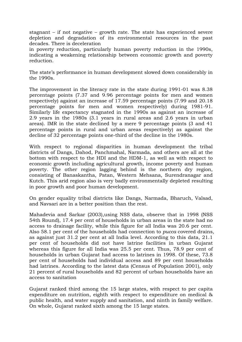stagnant – if not negative – growth rate. The state has experienced severe depletion and degradation of its environmental resources in the past decades. There is deceleration

in poverty reduction, particularly human poverty reduction in the 1990s, indicating a weakening relationship between economic growth and poverty reduction.

The state's performance in human development slowed down considerably in the 1990s.

The improvement in the literacy rate in the state during 1991-01 was 8.38 percentage points (7.37 and 9.96 percentage points for men and women respectively) against an increase of 17.59 percentage points (7.99 and 20.18 percentage points for men and women respectively) during 1981-91. Similarly life expectancy stagnated in the 1990s as against an increase of 2.9 years in the 1980s (3.1 years in rural areas and 2.6 years in urban areas). IMR in the state declined by a mere 9 percentage points (3 and 41 percentage points in rural and urban areas respectively) as against the decline of 32 percentage points one-third of the decline in the 1980s.

With respect to regional disparities in human development the tribal districts of Dangs, Dahod, Panchmahal, Narmada, and others are all at the bottom with respect to the HDI and the HDM-1, as well as with respect to economic growth including agricultural growth, income poverty and human poverty. The other region lagging behind is the northern dry region, consisting of Banaskantha, Patan, Western Mehsana, Surendranagar and Kutch. This arid region also is very badly environmentally depleted resulting in poor growth and poor human development.

On gender equality tribal districts like Dangs, Narmada, Bharuch, Valsad, and Navsari are in a better position than the rest.

Mahadevia and Sarkar (2003),using NSS data, observe that in 1998 (NSS 54th Round), 17.4 per cent of households in urban areas in the state had no access to drainage facility, while this figure for all India was 20.6 per cent. Also 58.1 per cent of the households had connection to *pucca* covered drains, as against just 31.2 per cent at all India level. According to this data, 21.1 per cent of households did not have latrine facilities in urban Gujarat whereas this figure for all India was 25.5 per cent. Thus, 78.9 per cent of households in urban Gujarat had access to latrines in 1998. Of these, 73.8 per cent of households had individual access and 89 per cent households had latrines. According to the latest data (Census of Population 2001), only 21 percent of rural households and 82 percent of urban households have an access to sanitation

Gujarat ranked third among the 15 large states, with respect to per capita expenditure on nutrition, eighth with respect to expenditure on medical & public health, and water supply and sanitation, and ninth in family welfare. On whole, Gujarat ranked sixth among the 15 large states.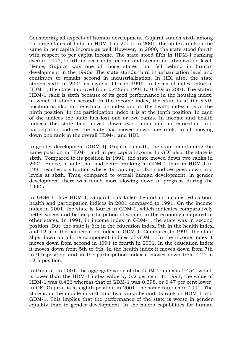Considering all aspects of human development, Gujarat stands sixth among 15 large states of India in HDM-1 in 2001. In 2001, the state's rank is the same in per capita income as well. However, in 2000, the state stood fourth with respect to per capita income. The state stood fifth in HDM-1 ranking even in 1991, fourth in per capita income and second in urbanization level. Hence, Gujarat was one of those states that fell behind in human development in the 1990s. The state stands third in urbanization level and continues to remain second in industrialization. In HDI also, the state stands sixth in 2001 as against fifth in 1991. In terms of index value of HDM-1, the state improved from 0.426 in 1991 to 0.479 in 2001. The state's HDM-1 rank is sixth because of its good performance in the housing index, in which it stands second. In the income index, the state is at the sixth position as also in the education index and in the health index it is at the ninth position. In the participation index it is at the tenth position. In each of the indices the state has lost one or two ranks. In income and health indices the state has moved down two ranks and in education and participation indices the state has moved down one rank, in all moving down one rank in the overall HDM-1 and HDI.

In gender development (GDM-1), Gujarat is sixth, the state maintaining the same position in HDM-1 and in per capita income. In GDI also, the state is sixth. Compared to its position in 1991, the state moved down two ranks in 2001. Hence, a state that had better ranking in GDM-1 than in HDM-1 in 1991 reaches a situation where its ranking on both indices goes down and levels at sixth. Thus, compared to overall human development, in gender development there was much more slowing down of progress during the 1990s.

In GDM-1, like HDM-1, Gujarat has fallen behind in income, education, health and participation indices in 2001 compared to 1991. On the income index in 2001, the state is fourth in GDM-1, which indicates comparatively better wages and better participation of women in the economy compared to other states. In 1991, in income index in GDM-1, the state was in second position. But, the state is 6th in the education index, 9th in the health index, and 12th in the participation index in GDM-1. Compared to 1991, the state slips down on all the component indices of GDM-1. In the income index it moves down from second in 1991 to fourth in 2001. In the education index it moves down from 5th to 6th. In the health index it moves down from 7th to 9th position and in the participation index it moves down from 11th to 12th position.

In Gujarat, in 2001, the aggregate value of the GDM-1 index is 0.454, which is lower than the HDM-1 index value by 5.2 per cent. In 1991, the value of HDM-1 was 0.426 whereas that of GDM-1 was 0.398, or 6.47 per cent lower. In GEI Gujarat is at eighth position in 2001, the same rank as in 1991. The state is in the middle in GEI, and two ranks behind its rank in HDM-1 and GDM-1. This implies that the performance of the state is worse in gender equality than in gender development. In the macro capabilities for human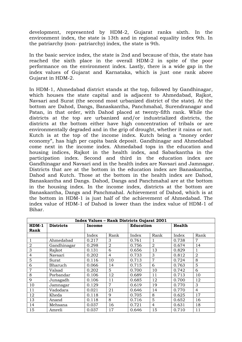development, represented by HDM-2, Gujarat ranks sixth. In the environment index, the state is 13th and in regional equality index 9th. In the patriarchy (non- patriarchy) index, the state is 9th.

In the basic service index, the state is 2nd and because of this, the state has reached the sixth place in the overall HDM-2 in spite of the poor performance on the environment index. Lastly, there is a wide gap in the index values of Gujarat and Karnataka, which is just one rank above Gujarat in HDM-2.

In HDM-1, Ahmedabad district stands at the top, followed by Gandhinagar, which houses the state capital and is adjacent to Ahmedabad, Rajkot, Navsari and Surat (the second most urbanized district of the state). At the bottom are Dahod, Dangs, Banaskantha, Panchmahal, Surendranagar and Patan, in that order, with Dahod placed at twenty-fifth rank. While the districts at the top are urbanized and/or industrialized districts, the districts at the bottom either have high concentration of tribals or are environmentally degraded and in the grip of drought, whether it rains or not. Kutch is at the top of the income index. Kutch being a "money order economy", has high per capita bank deposit. Gandhinagar and Ahmedabad come next in the income index. Ahmedabad tops in the education and housing indices, Rajkot in the health index, and Sabarkantha in the participation index. Second and third in the education index are Gandhinagar and Navsari and in the health index are Navsari and Jamnagar. Districts that are at the bottom in the education index are Banaskantha, Dahod and Kutch. Those at the bottom in the health index are Dahod, Banaskantha and Dangs. Dahod, Dangs and Panchmahal are at the bottom in the housing index. In the income index, districts at the bottom are Banaskantha, Dangs and Panchmahal. Achievement of Dahod, which is at the bottom in HDM-1 is just half of the achievement of Ahmedabad. The index value of HDM-1 of Dahod is lower than the index value of HDM-1 of Bihar.

|                | <b>Index Values - Rank Districts Gujarat 2001</b> |        |                |                  |                |        |                |  |  |  |  |
|----------------|---------------------------------------------------|--------|----------------|------------------|----------------|--------|----------------|--|--|--|--|
| $HDM-1$        | <b>Districts</b>                                  | Income |                | <b>Education</b> |                | Health |                |  |  |  |  |
| Rank           |                                                   |        |                |                  |                |        |                |  |  |  |  |
|                |                                                   | Index  | Rank           | Index            | Rank           | Index  | Rank           |  |  |  |  |
| 1              | Ahmedabad                                         | 0.217  | 3              | 0.761            | 1              | 0.738  | 7              |  |  |  |  |
| $\overline{2}$ | Gandhinagar                                       | 0.298  | $\overline{2}$ | 0.756            | $\overline{2}$ | 0.674  | 14             |  |  |  |  |
| 3              | Rajkot                                            | 0.131  | 6              | 0.656            | 13             | 0.829  |                |  |  |  |  |
| 4              | Navsari                                           | 0.202  | $\overline{4}$ | 0.733            | 3              | 0.812  | $\overline{2}$ |  |  |  |  |
| 5              | Surat                                             | 0.116  | 10             | 0.713            | 7              | 0.724  | 8              |  |  |  |  |
| 6              | Bharuch                                           | 0.066  | 14             | 0.715            | 6              | 0.763  | 5              |  |  |  |  |
| 7              | Valsad                                            | 0.202  | 5              | 0.700            | 10             | 0.742  | 6              |  |  |  |  |
| 8              | Porbandar                                         | 0.106  | 12             | 0.689            | 11             | 0.713  | 10             |  |  |  |  |
| 9              | Junagadh                                          | 0.106  | 11             | 0.685            | 12             | 0.700  | 12             |  |  |  |  |
| 10             | Jamnagar                                          | 0.129  | $\overline{7}$ | 0.619            | 19             | 0.770  | 3              |  |  |  |  |
| 11             | Vadodara                                          | 0.021  | 21             | 0.646            | 14             | 0.770  | $\overline{4}$ |  |  |  |  |
| 12             | Kheda                                             | 0.118  | 9              | 0.705            | 8              | 0.625  | 17             |  |  |  |  |
| 13             | Anand                                             | 0.118  | 8              | 0.716            | 5              | 0.652  | 16             |  |  |  |  |
| 14             | Mehsana                                           | 0.037  | 16             | 0.721            | $\overline{4}$ | 0.631  | 18             |  |  |  |  |
| 15             | Amreli                                            | 0.037  | 17             | 0.646            | 15             | 0.710  | 11             |  |  |  |  |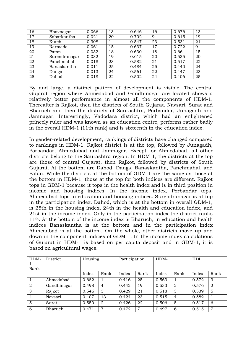| 16 | Bhavnagar     | 0.066 | 13 | 0.646 | 16 | 0.676 | 13 |
|----|---------------|-------|----|-------|----|-------|----|
| 17 | Sabarkantha   | 0.021 | 20 | 0.702 | 9  | 0.615 | 19 |
| 18 | Kutch         | 0.308 |    | 0.547 | 23 | 0.531 | 21 |
| 19 | Narmada       | 0.061 | 15 | 0.637 | 17 | 0.722 | 9  |
| 20 | Patan         | 0.032 | 18 | 0.630 | 18 | 0.664 | 15 |
| 21 | Surendranagar | 0.032 | 19 | 0.615 | 20 | 0.535 | 20 |
| 22 | Panchmahal    | 0.018 | 23 | 0.582 | 21 | 0.517 | 22 |
| 23 | Banaskantha   | 0.011 | 25 | 0.484 | 25 | 0.440 | 24 |
| 24 | Dangs         | 0.013 | 24 | 0.561 | 22 | 0.447 | 23 |
| 25 | Dahod         | 0.018 | 22 | 0.502 | 24 | 0.406 | 25 |

By and large, a distinct pattern of development is visible. The central Gujarat region where Ahmedabad and Gandhinagar are located shows a relatively better performance in almost all the components of HDM-1. Thereafter is Rajkot, then the districts of South Gujarat, Navsari, Surat and Bharuch and then the districts of Saurashtra, Porbandar, Junagadh and Jamnagar. Interestingly, Vadodara district, which had an enlightened princely ruler and was known as an education centre, performs rather badly in the overall HDM-1 (11th rank) and is sixteenth in the education index.

In gender-related development, rankings of districts have changed compared to rankings in HDM-1. Rajkot district is at the top, followed by Junagadh, Porbandar, Ahmedabad and Jamnagar. Except for Ahmedabad, all other districts belong to the Saurashtra region. In HDM-1, the districts at the top are those of central Gujarat, then Rajkot, followed by districts of South Gujarat. At the bottom are Dahod, Dangs, Banaskantha, Panchmahal, and Patan. While the districts at the bottom of GDM-1 are the same as those at the bottom in HDM-1, those at the top for both indices are different. Rajkot tops in GDM-1 because it tops in the health index and is in third position in income and housing indices. In the income index, Porbandar tops. Ahmedabad tops in education and housing indices. Surendranagar is at top in the participation index. Dahod, which is at the bottom in overall GDM-1, is 25th in the housing index, 24th in the health and education index, and 21st in the income index. Only in the participation index the district ranks 11th. At the bottom of the income index is Bharuch, in education and health indices Banaskantha is at the bottom and in the participation index Ahmedabad is at the bottom. On the whole, other districts move up and down in the component indices of GDM-1. In the income index calculations of Gujarat in HDM-1 is based on per capita deposit and in GDM-1, it is based on agricultural wages.

| HDM-           | District    |       | Housing        |       | Participation | $HDM-1$ |                | HDI   |                |
|----------------|-------------|-------|----------------|-------|---------------|---------|----------------|-------|----------------|
|                |             |       |                |       |               |         |                |       |                |
| Rank           |             |       |                |       |               |         |                |       |                |
|                |             | Index | Rank           | Index | Rank          | Index   | Rank           | Index | Rank           |
|                | Ahmedabad   | 0.682 |                | 0.416 | 25            | 0.563   |                | 0.572 | 3              |
| $\overline{2}$ | Gandhinagar | 0.498 | $\overline{4}$ | 0.442 | 19            | 0.533   | 2              | 0.576 | $\overline{2}$ |
| 3              | Rajkot      | 0.546 | 3              | 0.429 | 21            | 0.518   | 3              | 0.539 | 5              |
| $\overline{4}$ | Navsari     | 0.407 | 13             | 0.424 | 23            | 0.515   | $\overline{4}$ | 0.582 | 1              |
| 5              | Surat       | 0.550 | 2              | 0.426 | 22            | 0.506   | 5              | 0.517 | 6              |
| 6              | Bharuch     | 0.471 | 7              | 0.472 | 7             | 0.497   | 6              | 0.515 | 7              |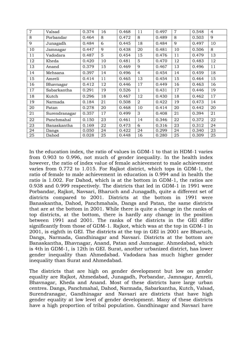| $\overline{7}$ | Valsad        | 0.374 | 16 | 0.468 | 11             | 0.497 | $\overline{7}$ | 0.548 | $\overline{4}$ |
|----------------|---------------|-------|----|-------|----------------|-------|----------------|-------|----------------|
| 8              | Porbandar     | 0.464 | 8  | 0.472 | 8              | 0.489 | 8              | 0.503 | 9              |
| 9              | Junagadh      | 0.484 | 6  | 0.445 | 18             | 0.484 | 9              | 0.497 | 10             |
| 10             | Jamnagar      | 0.447 | 9  | 0.438 | 20             | 0.481 | 10             | 0.506 | 8              |
| 11             | Vadodara      | 0.487 | 5  | 0.454 | 15             | 0.476 | 11             | 0.479 | 13             |
| 12             | Kheda         | 0.420 | 10 | 0.481 | 5              | 0.470 | 12             | 0.483 | 12             |
| 13             | Anand         | 0.379 | 15 | 0.469 | 9              | 0.467 | 13             | 0.496 | 11             |
| 14             | Mehsana       | 0.397 | 14 | 0.496 | $\overline{4}$ | 0.454 | 14             | 0.459 | 18             |
| 15             | Amreli        | 0.414 | 11 | 0.465 | 13             | 0.454 | 15             | 0.464 | 15             |
| 16             | Bhavnagar     | 0.412 | 12 | 0.446 | 17             | 0.449 | 16             | 0.463 | 16             |
| 17             | Sabarkantha   | 0.291 | 19 | 0.526 | 1              | 0.431 | 17             | 0.446 | 19             |
| 18             | Kutch         | 0.296 | 18 | 0.467 | 12             | 0.430 | 18             | 0.462 | 17             |
| 19             | Narmada       | 0.184 | 21 | 0.508 | 2              | 0.422 | 19             | 0.473 | 14             |
| 20             | Patan         | 0.278 | 20 | 0.468 | 10             | 0.414 | 20             | 0.442 | 20             |
| 21             | Surendranagar | 0.357 | 17 | 0.499 | 3              | 0.408 | 21             | 0.394 | 21             |
| 22             | Panchmahal    | 0.150 | 23 | 0.461 | 14             | 0.346 | 22             | 0.372 | 22             |
| 23             | Banaskantha   | 0.169 | 22 | 0.473 | 6              | 0.316 | 23             | 0.312 | 24             |
| 24             | Dangs         | 0.050 | 24 | 0.422 | 24             | 0.299 | 24             | 0.340 | 23             |
| 25             | Dahod         | 0.028 | 25 | 0.448 | 16             | 0.280 | 25             | 0.309 | 25             |

In the education index, the ratio of values in GDM-1 to that in HDM-1 varies from 0.903 to 0.996, not much of gender inequality. In the health index however, the ratio of index value of female achievement to male achievement varies from 0.772 to 1.015. For Rajkot district, which tops in GDM-1, the ratio of female to male achievement in education is 0.994 and in health the ratio is 1.002. For Dahod, which is at the bottom in GDM-1, the ratios are 0.938 and 0.999 respectively. The districts that led in GDM-1 in 1991 were Porbandar, Rajkot, Navsari, Bharuch and Junagadh, quite a different set of districts compared to 2001. Districts at the bottom in 1991 were Banaskantha, Dahod, Panchmahals, Dangs and Patan, the same districts that are at the bottom in 2001. While there is quite a change in the ranks of top districts, at the bottom, there is hardly any change in the position between 1991 and 2001. The ranks of the districts in the GEI differ significantly from those of GDM-1. Rajkot, which was at the top in GDM-1 in 2001, is eighth in GEI. The districts at the top in GEI in 2001 are Bharuch, Dangs, Narmada, Gandhinagar and Navsari. Districts at the bottom are Banaskantha, Bhavnagar, Anand, Patan and Jamnagar. Ahmedabad, which is 4th in GDM-1, is 12th in GEI. Surat, another urbanized district, has lower gender inequality than Ahmedabad. Vadodara has much higher gender inequality than Surat and Ahmedabad.

The districts that are high on gender development but low on gender equality are Rajkot, Ahmedabad, Junagadh, Porbandar, Jamnagar, Amreli, Bhavnagar, Kheda and Anand. Most of these districts have large urban centres. Dangs, Panchmahal, Dahod, Narmada, Sabarkantha, Kutch, Valsad, Surendranagar, Gandhinagar and Navsari are districts that have high gender equality at low level of gender development. Many of these districts have a high proportion of tribal population. Gandhinagar and Navsari have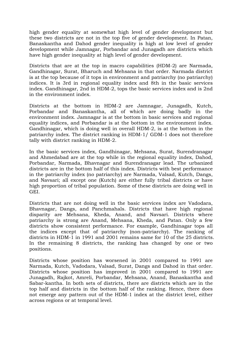high gender equality at somewhat high level of gender development but these two districts are not in the top five of gender development. In Patan, Banaskantha and Dahod gender inequality is high at low level of gender development while Jamnagar, Porbandar and Junagadh are districts which have high gender inequality at high level of gender development.

Districts that are at the top in macro capabilities (HDM-2) are Narmada, Gandhinagar, Surat, Bharuch and Mehsana in that order. Narmada district is at the top because of it tops in environment and patriarchy (no patriarchy) indices. It is 3rd in regional equality index and 8th in the basic services index. Gandhinagar, 2nd in HDM-2, tops the basic services index and is 2nd in the environment index.

Districts at the bottom in HDM-2 are Jamnagar, Junagadh, Kutch, Porbandar and Banaskantha, all of which are doing badly in the environment index. Jamnagar is at the bottom in basic services and regional equality indices, and Porbandar is at the bottom in the environment index. Gandhinagar, which is doing well in overall HDM-2, is at the bottom in the patriarchy index. The district ranking in HDM-1/ GDM-1 does not therefore tally with district ranking in HDM-2.

In the basic services index, Gandhinagar, Mehsana, Surat, Surendranagar and Ahmedabad are at the top while in the regional equality index, Dahod, Porbandar, Narmada, Bhavnagar and Surendranagar lead. The urbanized districts are in the bottom half of this index. Districts with best performance in the patriarchy index (no patriarchy) are Narmada, Valsad, Kutch, Dangs, and Navsari; all except one (Kutch) are either fully tribal districts or have high proportion of tribal population. Some of these districts are doing well in GEI.

Districts that are not doing well in the basic services index are Vadodara, Bhavnagar, Dangs, and Panchmahals. Districts that have high regional disparity are Mehsana, Kheda, Anand, and Navsari. Districts where patriarchy is strong are Anand, Mehsana, Kheda, and Patan. Only a few districts show consistent performance. For example, Gandhinagar tops all the indices except that of patriarchy (non-patriarchy). The ranking of districts in HDM-1 in 1991 and 2001 remains same for 10 of the 25 districts. In the remaining 8 districts, the ranking has changed by one or two positions.

Districts whose position has worsened in 2001 compared to 1991 are Narmada, Kutch, Vadodara, Valsad, Surat, Dangs and Dahod in that order. Districts whose position has improved in 2001 compared to 1991 are Junagadh, Rajkot, Amreli, Porbandar, Mehsana, Anand, Banaskantha and Sabar-kantha. In both sets of districts, there are districts which are in the top half and districts in the bottom half of the ranking. Hence, there does not emerge any pattern out of the HDM-1 index at the district level, either across regions or at temporal level.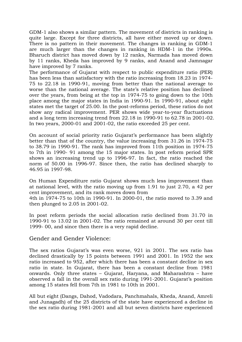GDM-1 also shows a similar pattern. The movement of districts in ranking is quite large. Except for three districts, all have either moved up or down. There is no pattern in their movement. The changes in ranking in GDM-1 are much larger than the changes in ranking in HDM-1 in the 1990s. Bharuch district has moved down by 12 ranks, Narmada has moved down by 11 ranks, Kheda has improved by 9 ranks, and Anand and Jamnagar have improved by 7 ranks.

The performance of Gujarat with respect to public expenditure ratio (PER) has been less than satisfactory with the ratio increasing from 18.23 in 1974- 75 to 22.18 in 1990-91, moving from better than the national average to worse than the national average. The state's relative position has declined over the years, from being at the top in 1974-75 to going down to the 10th place among the major states in India in 1990-91. In 1990-91, about eight states met the target of 25.00. In the post-reforms period, these ratios do not show any radical improvement. PER shows wide year-to-year fluctuations and a long term increasing trend from 22.18 in 1990-91 to 62.78 in 2001-02. In two years, 2000-01 and 2001-02, the ratio exceeded 25 per cent.

On account of social priority ratio Gujarat's performance has been slightly better than that of the country, the value increasing from 31.26 in 1974-75 to 38.79 in 1990-91. The rank has improved from 11th position in 1974-75 to 7th in 1990- 91 among the 15 major states. In post reform period SPR shows an increasing trend up to 1996-97. In fact, the ratio reached the norm of 50.00 in 1996-97. Since then, the ratio has declined sharply to 46.95 in 1997-98.

On Human Expenditure ratio Gujarat shows much less improvement than at national level, with the ratio moving up from 1.91 to just 2.70, a 42 per cent improvement, and its rank moves down from 4th in 1974-75 to 10th in 1990-91. In 2000-01, the ratio moved to 3.39 and

then plunged to 2.05 in 2001-02.

In post reform periods the social allocation ratio declined from 31.70 in 1990-91 to 13.02 in 2001-02. The ratio remained at around 30 per cent till 1999- 00, and since then there is a very rapid decline.

#### Gender and Gender Violence:

The sex ratios Gujarat's was even worse, 921 in 2001. The sex ratio has declined drastically by 15 points between 1991 and 2001. In 1952 the sex ratio increased to 952, after which there has been a constant decline in sex ratio in state. In Gujarat, there has been a constant decline from 1981 onwards. Only three states – Gujarat, Haryana, and Maharashtra – have observed a fall in the overall sex ratio during 1991-2001. Gujarat's position among 15 states fell from 7th in 1981 to 10th in 2001.

All but eight (Dangs, Dahod, Vadodara, Panchmahals, Kheda, Anand, Amreli and Junagadh) of the 25 districts of the state have experienced a decline in the sex ratio during 1981-2001 and all but seven districts have experienced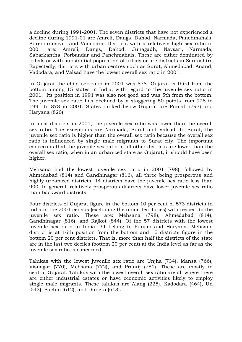a decline during 1991-2001. The seven districts that have not experienced a decline during 1991-01 are Amreli, Dangs, Dahod, Narmada, Panchmahals, Surendranagar, and Vadodara. Districts with a relatively high sex ratio in 2001 are: Amreli, Dangs, Dahod, Junagadh, Navsari, Narmada, Sabarkantha, Porbandar and Panchmahals. These are either dominated by tribals or with substantial population of tribals or are districts in Saurashtra. Expectedly, districts with urban centres such as Surat, Ahmedabad, Anand, Vadodara, and Valsad have the lowest overall sex ratio in 2001.

In Gujarat the child sex ratio in 2001 was 878. Gujarat is third from the bottom among 15 states in India, with regard to the juvenile sex ratio in 2001. Its position in 1991 was also not good and was 5th from the bottom. The juvenile sex ratio has declined by a staggering 50 points from 928 in 1991 to 878 in 2001. States ranked below Gujarat are Punjab (793) and Haryana (820).

In most districts in 2001, the juvenile sex ratio was lower than the overall sex ratio. The exceptions are Narmada, Surat and Valsad. In Surat, the juvenile sex ratio is higher than the overall sex ratio because the overall sex ratio is influenced by single male migrants to Surat city. The important concern is that the juvenile sex ratio in all other districts are lower than the overall sex ratio, when in an urbanized state as Gujarat, it should have been higher.

Mehsana had the lowest juvenile sex ratio in 2001 (798), followed by Ahmedabad (814) and Gandhinagar (816), all three being prosperous and highly urbanized districts. 14 districts have the juvenile sex ratio less than 900. In general, relatively prosperous districts have lower juvenile sex ratio than backward districts.

Four districts of Gujarat figure in the bottom 10 per cent of 573 districts in India in the 2001 census (excluding the union territories) with respect to the juvenile sex ratio. These are: Mehsana (798), Ahmedabad (814), Gandhinagar (816), and Rajkot (844). Of the 57 districts with the lowest juvenile sex ratio in India, 34 belong to Punjab and Haryana. Mehsana district is at 16th position from the bottom and 15 districts figure in the bottom 20 per cent districts. That is, more than half the districts of the state are in the last two deciles (bottom 20 per cent) at the India level as far as the juvenile sex ratio is concerned.

Talukas with the lowest juvenile sex ratio are Unjha (734), Mansa (766), Visnagar (770), Mehsana (772), and Prantij (781). These are mostly in central Gujarat. Talukas with the lowest overall sex ratio are all where there are either industrial estates or have economic activities likely to employ single male migrants. These talukas are Alang (225), Kadodara (464), Un (543), Sachin (612), and Dungra (613).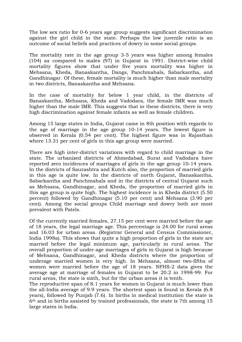The low sex ratio for 0-6 years age group suggests significant discrimination against the girl child in the state. Perhaps the low juvenile ratio is an outcome of social beliefs and practices of dowry in some social groups.

The mortality rate in the age group 3-5 years was higher among females (104) as compared to males (97) in Gujarat in 1991. District-wise child mortality figures show that under five years mortality was higher in Mehsana, Kheda, Banaskantha, Dangs, Panchmahals, Sabarkantha, and Gandhinagar. Of these, female mortality is much higher than male mortality in two districts, Banaskantha and Mehsana.

In the case of mortality for below 1 year child, in the districts of Banaskantha, Mehsana, Kheda and Vadodara, the female IMR was much higher than the male IMR. This suggests that in these districts, there is very high discrimination against female infants as well as female children.

Among 15 large states in India, Gujarat came in 8th position with regards to the age of marriage in the age group 10-14 years. The lowest figure is observed in Kerala (0.54 per cent). The highest figure was in Rajasthan where 13.31 per cent of girls in this age group were married.

There are high inter-district variations with regard to child marriage in the state. The urbanized districts of Ahmedabad, Surat and Vadodara have reported zero incidences of marriages of girls in the age group 10-14 years. In the districts of Saurashtra and Kutch also, the proportion of married girls in this age is quite low. In the districts of north Gujarat, Banaskantha, Sabarkantha and Panchmahals and in the districts of central Gujarat such as Mehsana, Gandhinagar, and Kheda, the proportion of married girls in this age group is quite high. The highest incidence is in Kheda district (5.50 percent) followed by Gandhinagar (5.10 per cent) and Mehsana (3.90 per cent). Among the social groups Child marriage and dowry both are most prevalent with Patels.

Of the currently married females, 27.15 per cent were married before the age of 18 years, the legal marriage age. This percentage is 24.00 for rural areas and 16.03 for urban areas. (Registrar General and Census Commissioner, India 1998a). This shows that quite a high proportion of girls in the state are married before the legal minimum age, particularly in rural areas. The overall proportion of under-age marriages of girls in Gujarat is high because of Mehsana, Gandhinagar, and Kheda districts where the proportion of underage married women is very high. In Mehsana, almost two-fifths of women were married before the age of 18 years. NFHS-2 data gives the average age at marriage of females in Gujarat to be 20.2 in 1998-99. For rural areas, the state is sixth, but for the urban areas it is tenth.

The reproductive span of 8.1 years for women in Gujarat is much lower than the all-India average of 9.9 years. The shortest span is found in Kerala (6.8 years), followed by Punjab (7.6). In births in medical institution the state is 6th and in births assisted by trained professionals, the state is 7th among 15 large states in India.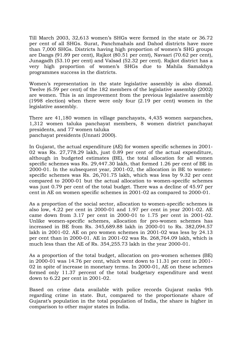Till March 2003, 32,613 women's SHGs were formed in the state or 36.72 per cent of all SHGs. Surat, Panchmahals and Dahod districts have more than 7,000 SHGs. Districts having high proportion of women's SHG groups are Dangs (91.89 per cent), Rajkot (80.51 per cent), Navsari (70.62 per cent), Junagadh (53.10 per cent) and Valsad (52.32 per cent). Rajkot district has a very high proportion of women's SHGs due to Mahila Samakhya programmes success in the districts.

Women's representation in the state legislative assembly is also dismal. Twelve (6.59 per cent) of the 182 members of the legislative assembly (2002) are women. This is an improvement from the previous legislative assembly (1998 election) when there were only four (2.19 per cent) women in the legislative assembly.

There are 41,180 women in village panchayats, 4,435 women sarpanches, 1,312 women taluka panchayat members, 8 women district panchayat presidents, and 77 women taluka panchayat presidents (Unnati 2000).

In Gujarat, the actual expenditure (AE) for women specific schemes in 2001- 02 was Rs. 27,778.29 lakh, just 0.89 per cent of the actual expenditure, although in budgeted estimates (BE), the total allocation for all women specific schemes was Rs. 29,447.30 lakh, that formed 1.26 per cent of BE in 2000-01. In the subsequent year, 2001-02, the allocation in BE to womenspecific schemes was Rs. 26,701.75 lakh, which was less by 9.32 per cent compared to 2000-01 but the actual allocation to women-specific schemes was just 0.79 per cent of the total budget. There was a decline of 45.97 per cent in AE on women specific schemes in 2001-02 as compared to 2000-01.

As a proportion of the social sector, allocation to women-specific schemes is also low, 4.22 per cent in 2000-01 and 1.97 per cent in year 2001-02. AE came down from 3.17 per cent in 2000-01 to 1.75 per cent in 2001-02. Unlike women-specific schemes, allocation for pro-women schemes has increased in BE from Rs. 345,689.88 lakh in 2000-01 to Rs. 382,094.57 lakh in 2001-02. AE on pro women schemes in 2001-02 was less by 24.13 per cent than in 2000-01. AE in 2001-02 was Rs. 268,764.09 lakh, which is much less than the AE of Rs. 354,255.73 lakh in the year 2000-01.

As a proportion of the total budget, allocation on pro-women schemes (BE) in 2000-01 was 14.76 per cent, which went down to 11.31 per cent in 2001- 02 in spite of increase in monetary terms. In 2000-01, AE on these schemes formed only 11.37 percent of the total budgetary expenditure and went down to 6.22 per cent in 2001-02.

Based on crime data available with police records Gujarat ranks 9th regarding crime in state. But, compared to the proportionate share of Gujarat's population in the total population of India, the share is higher in comparison to other major states in India.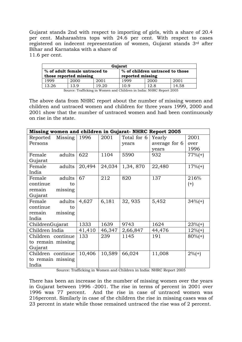Gujarat stands 2nd with respect to importing of girls, with a share of 20.4 per cent. Maharashtra tops with 24.6 per cent. With respect to cases registered on indecent representation of women, Gujarat stands 3rd after Bihar and Karnataka with a share of 11.6 per cent.

|                               | Gujarat                                                              |       |                  |      |       |  |  |  |  |  |  |
|-------------------------------|----------------------------------------------------------------------|-------|------------------|------|-------|--|--|--|--|--|--|
| % of adult female untraced to | % of children untraced to those                                      |       |                  |      |       |  |  |  |  |  |  |
|                               | those reported missing                                               |       | reported missing |      |       |  |  |  |  |  |  |
| 1999                          | 2000                                                                 | 2001  | 1999             | 2000 | 2001  |  |  |  |  |  |  |
| 13.26                         | 13.9                                                                 | 19.20 | 10.9             | 12.8 | 14.58 |  |  |  |  |  |  |
|                               | Source: Trafficking in Women and Children in India: NHRC Report 2005 |       |                  |      |       |  |  |  |  |  |  |

The above data from NHRC report about the number of missing women and children and untraced women and children for three years 1999, 2000 and 2001 show that the number of untraced women and had been continuously on rise in the state.

|                   | Missing women and children in Gujarat-NHRC Report 2005 |        |        |             |               |            |  |  |  |  |  |  |
|-------------------|--------------------------------------------------------|--------|--------|-------------|---------------|------------|--|--|--|--|--|--|
| Reported          | Missing                                                | 1996   | 2001   | Total for 6 | Yearly        | 2001       |  |  |  |  |  |  |
| Persons           |                                                        |        |        | years       | average for 6 | over       |  |  |  |  |  |  |
|                   |                                                        |        |        |             | years         | 1996       |  |  |  |  |  |  |
| Female            | adults                                                 | 622    | 1104   | 5590        | 932           | $77%(+)$   |  |  |  |  |  |  |
| Gujarat           |                                                        |        |        |             |               |            |  |  |  |  |  |  |
| Female            | adults                                                 | 20,494 | 24,034 | 1,34,870    | 22,480        | $17%(+)$   |  |  |  |  |  |  |
| India             |                                                        |        |        |             |               |            |  |  |  |  |  |  |
| Female            | adults                                                 | 67     | 212    | 820         | 137           | 216%       |  |  |  |  |  |  |
| continue          | to                                                     |        |        |             |               | $(+)$      |  |  |  |  |  |  |
| remain            | missing                                                |        |        |             |               |            |  |  |  |  |  |  |
| Gujarat           |                                                        |        |        |             |               |            |  |  |  |  |  |  |
| Female            | adults                                                 | 4,627  | 6,181  | 32, 935     | 5,452         | $34%(+)$   |  |  |  |  |  |  |
| continue          | to                                                     |        |        |             |               |            |  |  |  |  |  |  |
| remain            | missing                                                |        |        |             |               |            |  |  |  |  |  |  |
| India             |                                                        |        |        |             |               |            |  |  |  |  |  |  |
| ChildrenGujarat   |                                                        | 1333   | 1639   | 9743        | 1624          | $23%(+)$   |  |  |  |  |  |  |
| Children India    |                                                        | 41,410 | 46,347 | 2,66,847    | 44,476        | $12\%$ (+) |  |  |  |  |  |  |
| Children continue |                                                        | 133    | 239    | 1145        | 191           | $80\%$ (+) |  |  |  |  |  |  |
| to remain missing |                                                        |        |        |             |               |            |  |  |  |  |  |  |
| Gujarat           |                                                        |        |        |             |               |            |  |  |  |  |  |  |
| Children continue |                                                        | 10,406 | 10,589 | 66,024      | 11,008        | $2\%$ (+)  |  |  |  |  |  |  |
| to remain missing |                                                        |        |        |             |               |            |  |  |  |  |  |  |
| India             |                                                        |        |        |             |               |            |  |  |  |  |  |  |

Source: Trafficking in Women and Children in India: NHRC Report 2005

There has been an increase in the number of missing women over the years in Gujarat between 1996 -2001. The rise in terms of percent in 2001 over 1996 was 77 percent. And the rise in case of untraced women was 216percent. Similarly in case of the children the rise in missing cases was of 23 percent in state while those remained untraced the rise was of 2 percent.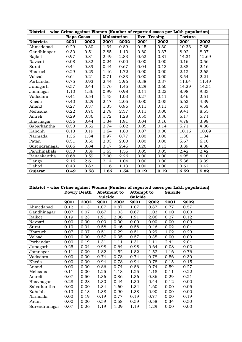|                  | District - wise Crime against Women (Number of reported cases per Lakh population) |      |             |      |                    |      |                |       |  |  |  |  |  |
|------------------|------------------------------------------------------------------------------------|------|-------------|------|--------------------|------|----------------|-------|--|--|--|--|--|
|                  | <b>Rape Cases</b>                                                                  |      | Molestation |      | <b>Eve-Teasing</b> |      | <b>Torture</b> |       |  |  |  |  |  |
| <b>Districts</b> | 2001                                                                               | 2002 | 2001        | 2002 | 2001               | 2002 | 2001           | 2002  |  |  |  |  |  |
| Ahmedabad        | 0.29                                                                               | 0.30 | 1.34        | 0.89 | 0.45               | 0.30 | 10.33          | 7.85  |  |  |  |  |  |
| Gandhinagar      | 0.30                                                                               | 0.51 | 2.85        | 1.10 | 0.60               | 0.37 | 8.02           | 8.07  |  |  |  |  |  |
| Rajkot           | 0.97                                                                               | 0.81 | 2.49        | 2.83 | 0.62               | 0.81 | 14.31          | 12.69 |  |  |  |  |  |
| Navsari          | 0.08                                                                               | 0.32 | 0.24        | 0.00 | 0.00               | 0.00 | 0.16           | 0.56  |  |  |  |  |  |
| Surat            | 0.44                                                                               | 0.39 | 0.44        | 0.67 | 0.04               | 0.13 | 2.88           | 2.16  |  |  |  |  |  |
| Bharuch          | 0.29                                                                               | 0.29 | 1.46        | 1.72 | 0.00               | 0.00 | 2.12           | 2.65  |  |  |  |  |  |
| Valsad           | 0.64                                                                               | 0.21 | 0.71        | 0.83 | 0.00               | 0.00 | 3.54           | 2.21  |  |  |  |  |  |
| Porbandar        | 0.75                                                                               | 0.93 | 2.44        | 2.96 | 0.38               | 0.37 | 11.64          | 11.49 |  |  |  |  |  |
| Junagarh         | 0.57                                                                               | 0.44 | 1.76        | 1.45 | 0.29               | 0.60 | 14.29          | 14.51 |  |  |  |  |  |
| Jamnagar         | 1.10                                                                               | 1.36 | 0.99        | 0.98 | 0.11               | 0.22 | 8.98           | 9.33  |  |  |  |  |  |
| Vadodara         | 0.41                                                                               | 0.54 | 1.43        | 1.03 | 0.27               | 0.11 | 3.46           | 2.51  |  |  |  |  |  |
| Kheda            | 0.40                                                                               | 0.29 | 2.17        | 2.05 | 0.00               | 0.05 | 5.63           | 4.39  |  |  |  |  |  |
| Anand            | 0.27                                                                               | 0.37 | 1.35        | 0.96 | 0.11               | 0.11 | 5.33           | 4.58  |  |  |  |  |  |
| Mehsana          | 0.22                                                                               | 0.70 | 2.78        | 2.37 | 0.11               | 0.00 | 9.41           | 8.55  |  |  |  |  |  |
| Amreli           | 0.29                                                                               | 0.36 | 1.72        | 1.28 | 0.50               | 0.36 | 6.17           | 5.71  |  |  |  |  |  |
| Bhavnagar        | 0.36                                                                               | 0.44 | 1.34        | 1.91 | 0.04               | 0.16 | 4.78           | 3.98  |  |  |  |  |  |
| Sabarkantha      | 0.53                                                                               | 0.52 | 2.74        | 3.02 | 0.05               | 0.14 | 5.71           | 4.86  |  |  |  |  |  |
| Kahchh           | 0.13                                                                               | 0.19 | 1.64        | 1.80 | 0.07               | 0.00 | 10.16          | 10.09 |  |  |  |  |  |
| Narmada          | 1.36                                                                               | 1.34 | 0.97        | 0.77 | 0.00               | 0.00 | 1.36           | 1.34  |  |  |  |  |  |
| Patan            | 0.51                                                                               | 0.50 | 2.03        | 2.00 | 0.00               | 0.00 | 5.67           | 6.10  |  |  |  |  |  |
| Surendranagar    | 0.66                                                                               | 0.84 | 3.17        | 2.45 | 0.20               | 0.13 | 3.89           | 4.00  |  |  |  |  |  |
| Panchmahals      | 0.30                                                                               | 0.39 | 1.63        | 1.55 | 0.05               | 0.05 | 2.42           | 2.42  |  |  |  |  |  |
| Banaskantha      | 0.68                                                                               | 0.59 | 2.00        | 2.26 | 0.00               | 0.00 | 4.95           | 4.10  |  |  |  |  |  |
| Dangs            | 2.16                                                                               | 2.61 | 2.14        | 1.04 | 0.00               | 0.00 | 5.36           | 9.39  |  |  |  |  |  |
| Dahod            | 0.43                                                                               | 0.83 | 1.16        | 1.13 | 0.00               | 0.00 | 0.61           | 0.42  |  |  |  |  |  |
| Gujarat          | 0.49                                                                               | 0.53 | 1.66        | 1.54 | 0.19               | 0.19 | 6.59           | 5.82  |  |  |  |  |  |

| District - wise Crime against Women (Number of reported cases per Lakh population) |      |                    |             |      |                   |      |         |      |  |  |  |
|------------------------------------------------------------------------------------|------|--------------------|-------------|------|-------------------|------|---------|------|--|--|--|
|                                                                                    |      | <b>Dowry Death</b> | Abetment to |      | <b>Attempt to</b> |      | Suicide |      |  |  |  |
|                                                                                    |      |                    | Suicide     |      | Suicide           |      |         |      |  |  |  |
|                                                                                    | 2001 | 2002               | 2001        | 2002 | 2001              | 2002 | 2001    | 2002 |  |  |  |
| Ahmedabad                                                                          | 0.12 | 0.13               | 1.07        | 0.87 | 1.07              | 0.87 | 0.77    | 0.57 |  |  |  |
| Gandhinagar                                                                        | 0.07 | 0.07               | 0.67        | 1.03 | 0.67              | 1.03 | 0.00    | 0.00 |  |  |  |
| Rajkot                                                                             | 0.19 | 0.23               | 1.91        | 2.06 | 1.91              | 2.06 | 0.27    | 0.12 |  |  |  |
| Navsari                                                                            | 0.00 | 0.00               | 0.00        | 0.00 | 0.00              | 0.00 | 0.00    | 0.00 |  |  |  |
| Surat                                                                              | 0.10 | 0.04               | 0.58        | 0.46 | 0.58              | 0.46 | 0.02    | 0.04 |  |  |  |
| Bharuch                                                                            | 0.07 | 0.07               | 0.51        | 0.29 | 0.51              | 0.29 | 1.02    | 0.29 |  |  |  |
| Valsad                                                                             | 0.00 | 0.00               | 0.57        | 0.35 | 0.57              | 0.35 | 0.00    | 0.00 |  |  |  |
| Porbandar                                                                          | 0.00 | 0.19               | 1.31        | 1.11 | 1.31              | 1.11 | 2.44    | 2.04 |  |  |  |
| Junagarh                                                                           | 0.25 | 0.04               | 0.98        | 0.64 | 0.98              | 0.64 | 0.08    | 0.00 |  |  |  |
| Jamnagar                                                                           | 0.11 | 0.00               | 1.82        | 1.52 | 1.82              | 1.52 | 1.16    | 0.76 |  |  |  |
| Vadodara                                                                           | 0.00 | 0.00               | 0.74        | 0.78 | 0.74              | 0.78 | 0.56    | 0.30 |  |  |  |
| Kheda                                                                              | 0.00 | 0.00               | 0.94        | 0.78 | 0.94              | 0.78 | 0.15    | 0.15 |  |  |  |
| Anand                                                                              | 0.00 | 0.00               | 0.86        | 0.74 | 0.86              | 0.74 | 0.59    | 0.27 |  |  |  |
| Mehsana                                                                            | 0.11 | 0.00               | 1.25        | 1.18 | 1.25              | 1.18 | 0.11    | 0.22 |  |  |  |
| Amreli                                                                             | 0.07 | 0.50               | 1.36        | 0.86 | 1.36              | 0.86 | 0.29    | 0.21 |  |  |  |
| Bhavnagar                                                                          | 0.28 | 0.28               | 1.30        | 0.44 | 1.30              | 0.44 | 0.12    | 0.00 |  |  |  |
| Sabarkantha                                                                        | 0.00 | 0.00               | 1.34        | 1.60 | 1.34              | 1.60 | 0.00    | 0.05 |  |  |  |
| Kahchh                                                                             | 0.13 | 0.13               | 1.38        | 0.90 | 1.38              | 0.90 | 0.00    | 0.00 |  |  |  |
| Narmada                                                                            | 0.00 | 0.19               | 0.19        | 0.77 | 0.19              | 0.77 | 0.00    | 0.19 |  |  |  |
| Patan                                                                              | 0.00 | 0.00               | 0.59        | 0.58 | 0.59              | 0.58 | 0.34    | 0.50 |  |  |  |
| Surendranagar                                                                      | 0.07 | 0.26               | 1.19        | 1.29 | 1.19              | 1.29 | 0.00    | 0.00 |  |  |  |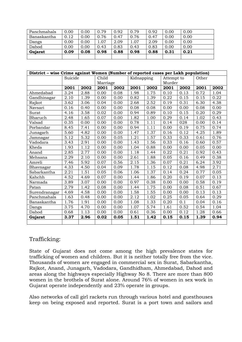| Panchmahals | 0.00 | 0.00 | 0.79 | 0.92 | 0.79 | 0.92 | 0.00 | 0.00 |
|-------------|------|------|------|------|------|------|------|------|
| Banaskantha | 0.12 | 0.00 | 0.76 | 0.47 | 0.76 | 0.47 | 0.00 | 0.00 |
| Dangs       | 0.00 | 0.00 | .07  | 2.09 | 1.07 | 2.09 | 0.00 | 0.00 |
| Dahod       | 0.00 | 0.00 | 0.43 | 0.83 | 0.43 | 0.83 | 0.00 | 0.00 |
| Gujarat     | 0.09 | 0.08 | 0.98 | 0.88 | 0.98 | 0.88 | 0.31 | 0.21 |
|             |      |      |      |      |      |      |      |      |

| District - wise Crime against Women (Number of reported cases per Lakh population) |         |      |          |      |            |      |            |      |       |      |
|------------------------------------------------------------------------------------|---------|------|----------|------|------------|------|------------|------|-------|------|
|                                                                                    | Suicide |      | Child    |      | Kidnapping |      | Attempt to |      | Other |      |
|                                                                                    |         |      | Marriage |      |            |      | Murder     |      |       |      |
|                                                                                    | 2001    | 2002 | 2001     | 2002 | 2001       | 2002 | 2001       | 2002 | 2001  | 2002 |
| Ahmedabad                                                                          | 3.24    | 2.88 | 0.00     | 0.08 | 1.98       | 1.75 | 0.10       | 0.13 | 0.72  | 1.04 |
| Gandhinagar                                                                        | 2.10    | 1.39 | 0.00     | 0.00 | 0.82       | 1.39 | 0.22       | 0.15 | 0.15  | 0.22 |
| Rajkot                                                                             | 3.62    | 3.06 | 0.04     | 0.00 | 2.68       | 2.52 | 0.19       | 0.31 | 6.30  | 4.38 |
| Navsari                                                                            | 0.16    | 0.40 | 0.00     | 0.00 | 0.08       | 0.08 | 0.00       | 0.00 | 0.08  | 0.00 |
| Surat                                                                              | 4.16    | 3.58 | 0.02     | 0.00 | 0.94       | 0.89 | 0.10       | 0.15 | 0.20  | 0.29 |
| Bharuch                                                                            | 2.48    | 1.65 | 0.07     | 0.00 | 1.82       | 1.00 | 0.29       | 0.14 | 1.02  | 0.43 |
| Valsad                                                                             | 0.35    | 0.00 | 0.00     | 0.00 | 0.78       | 1.11 | 0.14       | 028  | 0.00  | 0.14 |
| Porbandar                                                                          | 8.45    | 7.41 | 0.00     | 0.00 | 0.94       | 1.11 | 0.00       | 0.19 | 0.75  | 0.74 |
| Junagarh                                                                           | 5.60    | 4.82 | 0.00     | 0.00 | 1.47       | 1.37 | 0.16       | 0.12 | 4.25  | 1.89 |
| Jamnagar                                                                           | 5.12    | 5.32 | 0.00     | 0.05 | 1.21       | 1.57 | 0.33       | 0.33 | 0.61  | 0.76 |
| Vadodara                                                                           | 3.43    | 2.91 | 0.00     | 0.00 | 1.43       | 1.56 | 0.33       | 0.16 | 0.60  | 0.57 |
| Kheda                                                                              | 1.93    | 1.12 | 0.00     | 0.00 | 1.04       | 0.88 | 0.00       | 0.00 | 0.05  | 0.00 |
| Anand                                                                              | 2.85    | 2.77 | 0.00     | 0.00 | 1.18       | 1.44 | 0.22       | 0.21 | 0.92  | 0.43 |
| Mehsana                                                                            | 2.29    | 2.10 | 0.00     | 0.00 | 2.61       | 1.88 | 0.05       | 0.16 | 0.49  | 0.38 |
| Amreli                                                                             | 7.46    | 5.92 | 0.07     | 0.56 | 2.15       | 1.36 | 0.07       | 0.21 | 6.24  | 3.92 |
| Bhavnagar                                                                          | 4.33    | 4.50 | 0.04     | 0.09 | 1.78       | 1.15 | 0.12       | 0.08 | 4.98  | 2.71 |
| Sabarkantha                                                                        | 2.21    | 1.51 | 0.05     | 0.06 | 1.06       | 1.37 | 0.14       | 0.24 | 0.77  | 0.05 |
| Kahchh                                                                             | 4.52    | 4.69 | 0.07     | 0.00 | 1.44       | 1.86 | 0.20       | 0.19 | 0.07  | 0.13 |
| Narmada                                                                            | 3.89    | 3.07 | 0.00     | 0.00 | 0.97       | 0.38 | 0.00       | 0.00 | 0.58  | 0.19 |
| Patan                                                                              | 2.79    | 1.42 | 0.08     | 0.00 | 1.44       | 1.75 | 0.00       | 0.08 | 0.51  | 0.67 |
| Surendranagar                                                                      | 4.69    | 4.58 | 0.00     | 0.00 | 1.58       | 1.55 | 0.00       | 0.00 | 0.13  | 0.13 |
| Panchmahals                                                                        | 1.63    | 0.48 | 0.00     | 0.00 | 2.12       | 1.02 | 0.25       | 0.05 | 0.64  | 0.29 |
| Banaskantha                                                                        | 1.76    | 1.91 | 0.00     | 0.00 | 1.08       | 1.33 | 0.20       | 0.1  | 0.04  | 0.16 |
| Dangs                                                                              | 3.75    | 4.70 | 0.00     | 0.00 | 1.07       | 5.74 | 1.61       | 0.52 | 0.54  | 1.04 |
| Dahod                                                                              | 0.68    | 1.13 | 0.00     | 0.00 | 0.61       | 0.36 | 0.00       | 0.12 | 1.28  | 0.66 |
| Gujarat                                                                            | 3.37    | 2.96 | 0.02     | 0.05 | 1.51       | 1.42 | 0.15       | 0.15 | 1.39  | 0.94 |
|                                                                                    |         |      |          |      |            |      |            |      |       |      |

# Trafficking:

State of Gujarat does not come among the high prevalence states for trafficking of women and children. But it is neither totally free from the vice. Thousands of women are engaged in commercial sex in Surat, Sabarkantha, Rajkot, Anand, Junagarh, Vadodara, Gandhidham, Ahmedabad, Dahod and areas along the highways especially Highway No 8. There are more than 800 women in the brothels of Surat alone. Around 76% of women in sex work in Gujarat operate independently and 23% operate in groups.

Also networks of call girl rackets run through various hotel and guesthouses keep on being exposed and reported. Surat is a port town and sailors and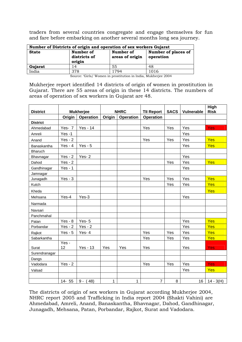traders from several countries congregate and engage themselves for fun and fare before embarking on another several months long sea journey.

| Number of Districts of origin and operation of sex workers Gujarat |                                     |                              |                                  |  |  |  |  |  |  |  |
|--------------------------------------------------------------------|-------------------------------------|------------------------------|----------------------------------|--|--|--|--|--|--|--|
| <b>State</b>                                                       | Number of<br>districts of<br>origin | Number of<br>areas of origin | Number of places of<br>operation |  |  |  |  |  |  |  |
| Gujarat                                                            | 14                                  | 55                           | 48                               |  |  |  |  |  |  |  |
| India                                                              | 378                                 | 1794                         | 1016                             |  |  |  |  |  |  |  |

Source: 'Girls/ Women in prostitution in India, Mukherjee 2004

Mukherjee report identified 14 districts of origin of women in prostitution in Gujarat. There are 55 areas of origin in these 14 districts. The numbers of areas of operation of sex workers in Gujarat are 48.

| <b>District</b> | <b>Mukherjee</b> |                  |        | <b>NHRC</b>      |                                       | <b>SACS</b> | Vulnerable | <b>High</b><br><b>Risk</b> |
|-----------------|------------------|------------------|--------|------------------|---------------------------------------|-------------|------------|----------------------------|
|                 | Origin           | <b>Operation</b> | Origin | <b>Operation</b> | <b>TII Report</b><br><b>Operation</b> |             |            |                            |
| <b>District</b> |                  |                  |        |                  |                                       |             |            |                            |
| Ahmedabad       | Yes- 7           | <b>Yes - 14</b>  |        |                  | Yes                                   | Yes         | Yes        | Yes                        |
| Amreli          | $Yes -1$         |                  |        |                  |                                       |             | Yes        |                            |
| Anand           | $Yes - 2$        |                  |        |                  | Yes                                   | Yes         | Yes        | Yes                        |
| Banaskantha     | Yes - $4$        | $Yes - 5$        |        |                  |                                       |             | Yes        | Yes                        |
| Bharuch         |                  |                  |        |                  |                                       |             |            |                            |
| Bhavnagar       | $Yes - 2$        | Yes-2            |        |                  |                                       |             | Yes        |                            |
| Dahod           | $Yes - 2$        |                  |        |                  |                                       | Yes         | Yes        | Yes                        |
| Gandhinagar     | $Yes - 1$        |                  |        |                  |                                       |             | Yes        |                            |
| Jamnagar        |                  |                  |        |                  |                                       |             |            |                            |
| Junagadh        | $Yes - 3$        |                  |        |                  | Yes<br>Yes                            |             | Yes        | Yes                        |
| Kutch           |                  |                  |        |                  |                                       | Yes         | Yes        | Yes                        |
| Kheda           |                  |                  |        |                  |                                       |             |            | Yes                        |
| Mehsana         | Yes-4            | Yes-3            |        |                  |                                       |             | Yes        |                            |
| Narmada         |                  |                  |        |                  |                                       |             |            |                            |
| Navsari         |                  |                  |        |                  |                                       |             |            |                            |
| Panchmahal      |                  |                  |        |                  |                                       |             |            |                            |
| Patan           | $Yes - 8$        | Yes- $5$         |        |                  |                                       |             | Yes        | Yes                        |
| Porbandar       | $Yes - 2$        | $Yes - 2$        |        |                  |                                       |             | Yes        | Yes                        |
| Rajkot          | $Yes - 5$        | Yes-4            |        |                  | Yes                                   | Yes         | Yes        | Yes                        |
| Sabarkantha     |                  |                  |        |                  | Yes                                   | Yes         | Yes        | Yes                        |
|                 | Yes -            |                  |        |                  |                                       |             |            |                            |
| Surat           | 12               | <b>Yes - 13</b>  | Yes    | Yes              | Yes                                   |             | Yes        | <b>Yes</b>                 |
| Surendranagar   |                  |                  |        |                  |                                       |             |            |                            |
| Dangs           |                  |                  |        |                  |                                       |             |            |                            |
| Vadodara        | $Yes - 2$        |                  |        |                  | Yes                                   | Yes         | Yes        | <b>Yes</b>                 |
| Valsad          |                  |                  |        |                  |                                       |             | Yes        | Yes                        |
|                 |                  |                  |        |                  |                                       |             |            |                            |
|                 | 14- 55           | $9 - ($<br>48)   | 1      | 1                | $\overline{7}$                        | 8           | 16         | $14 - 3(H)$                |

The districts of origin of sex workers in Gujarat according Mukherjee 2004, NHRC report 2005 and Trafficking in India report 2004 (Shakti Vahini) are Ahmedabad, Amreli, Anand, Banaskantha, Bhavnagar, Dahod, Gandhinagar, Junagadh, Mehsana, Patan, Porbandar, Rajkot, Surat and Vadodara.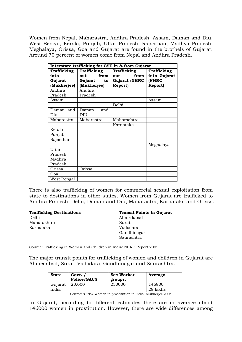Women from Nepal, Maharastra, Andhra Pradesh, Assam, Daman and Diu, West Bengal, Kerala, Punjab, Uttar Pradesh, Rajasthan, Madhya Pradesh, Meghalaya, Orissa, Goa and Gujarat are found in the brothels of Gujarat. Around 70 percent of women come from Nepal and Andhra Pradesh.

| Interstate trafficking for CSE in & from Gujarat |             |      |                      |                |  |  |  |  |  |  |
|--------------------------------------------------|-------------|------|----------------------|----------------|--|--|--|--|--|--|
| Trafficking                                      | Trafficking |      | Trafficking          | Trafficking    |  |  |  |  |  |  |
| into                                             | out         | from | from<br>out          | into Gujarat   |  |  |  |  |  |  |
| Gujarat                                          | Gujarat     | to   | <b>Gujarat (NHRC</b> | (NHRC          |  |  |  |  |  |  |
| (Mukherjee)                                      | (Mukherjee) |      | <b>Report)</b>       | <b>Report)</b> |  |  |  |  |  |  |
| Andhra                                           | Andhra      |      |                      |                |  |  |  |  |  |  |
| Pradesh                                          | Pradesh     |      |                      |                |  |  |  |  |  |  |
| Assam                                            |             |      |                      | Assam          |  |  |  |  |  |  |
|                                                  |             |      | Delhi                |                |  |  |  |  |  |  |
| Daman and                                        | Daman       | and  |                      |                |  |  |  |  |  |  |
| Diu                                              | DIU         |      |                      |                |  |  |  |  |  |  |
| Maharastra                                       | Maharastra  |      | Maharashtra          |                |  |  |  |  |  |  |
|                                                  |             |      | Karnataka            |                |  |  |  |  |  |  |
| Kerala                                           |             |      |                      |                |  |  |  |  |  |  |
| Punjab                                           |             |      |                      |                |  |  |  |  |  |  |
| Rajasthan                                        |             |      |                      |                |  |  |  |  |  |  |
|                                                  |             |      |                      | Meghalaya      |  |  |  |  |  |  |
| Uttar                                            |             |      |                      |                |  |  |  |  |  |  |
| Pradesh                                          |             |      |                      |                |  |  |  |  |  |  |
| Madhya                                           |             |      |                      |                |  |  |  |  |  |  |
| Pradesh                                          |             |      |                      |                |  |  |  |  |  |  |
| Orissa                                           | Orissa      |      |                      |                |  |  |  |  |  |  |
| Goa                                              |             |      |                      |                |  |  |  |  |  |  |
| West Bengal                                      |             |      |                      |                |  |  |  |  |  |  |

There is also trafficking of women for commercial sexual exploitation from state to destinations in other states. Women from Gujarat are trafficked to Andhra Pradesh, Delhi, Daman and Diu, Maharastra, Karnataka and Orissa.

| <b>Trafficking Destinations</b> | <b>Transit Points in Gujarat</b> |
|---------------------------------|----------------------------------|
| Delhi                           | Ahmedabad                        |
| Maharashtra                     | Surat                            |
| Karnataka                       | Vadodara                         |
|                                 | Gandhinagar                      |
|                                 | Saurashtra                       |
|                                 |                                  |

Source: Trafficking in Women and Children in India: NHRC Report 2005

The major transit points for trafficking of women and children in Gujarat are Ahmedabad, Surat, Vadodara, Gandhinagar and Saurashtra.

| <b>State</b> | Govt. /<br>Police/SACS | <b>Sex Worker</b><br>groups. | Average  |  |  |
|--------------|------------------------|------------------------------|----------|--|--|
| Gujarat      | 20,000                 | 250000                       | 146900   |  |  |
| India        |                        |                              | 28 lakhs |  |  |

Source: 'Girls/ Women in prostitution in India, Mukherjee 2004

In Gujarat, according to different estimates there are in average about 146000 women in prostitution. However, there are wide differences among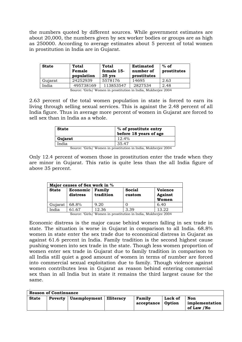the numbers quoted by different sources. While government estimates are about 20,000, the numbers given by sex worker bodies or groups are as high as 250000. According to average estimates about 5 percent of total women in prostitution in India are in Gujarat.

| <b>State</b> | <b>Total</b><br>Female<br>population | Total<br>female 15-<br>$35 \, \text{vrs}$ | Estimated<br>number of<br>prostitutes | $%$ of<br>prostitutes |
|--------------|--------------------------------------|-------------------------------------------|---------------------------------------|-----------------------|
| Gujarat      | 24252939                             | 5578176                                   | 14695                                 | 2.63                  |
| India        | 495738169                            | 113853547                                 | 2827534                               | 2.48                  |

Source: 'Girls/ Women in prostitution in India, Mukherjee 2004

2.63 percent of the total women population in state is forced to earn its living through selling sexual services. This is against the 2.48 percent of all India figure. Thus in average more percent of women in Gujarat are forced to sell sex than in India as a whole.

| <b>State</b> | % of prostitute entry<br>before 18 years of age |  |  |  |  |  |  |  |
|--------------|-------------------------------------------------|--|--|--|--|--|--|--|
| Gujarat      | 12.4%                                           |  |  |  |  |  |  |  |
| India        | 35.47                                           |  |  |  |  |  |  |  |
| .<br>$-$     | .<br>_ _ _<br>.                                 |  |  |  |  |  |  |  |

Source: 'Girls/ Women in prostitution in India, Mukherjee 2004

Only 12.4 percent of women those in prostitution enter the trade when they are minor in Gujarat. This ratio is quite less than the all India figure of above 35 percent.

| Major causes of Sex work in % |                      |                     |                         |                                           |  |  |  |  |  |  |  |
|-------------------------------|----------------------|---------------------|-------------------------|-------------------------------------------|--|--|--|--|--|--|--|
| <b>State</b>                  | Economic<br>distress | Family<br>tradition | <b>Social</b><br>custom | <b>Voience</b><br><b>Against</b><br>Women |  |  |  |  |  |  |  |
| Gujarat                       | 68.8%                | 9.20                |                         | 6.40                                      |  |  |  |  |  |  |  |
| India                         | 61.67                | 12.36               | 3.39                    | 13.22                                     |  |  |  |  |  |  |  |

Source: 'Girls/ Women in prostitution in India, Mukherjee 2004

Economic distress is the major cause behind women falling in sex trade in state. The situation is worse in Gujarat in comparison to all India. 68.8% women in state enter the sex trade due to economical distress in Gujarat as against 61.6 percent in India. Family tradition is the second highest cause pushing women into sex trade in the state. Though less women proportion of women enter sex trade in Gujarat due to family tradition in comparison to all India still quiet a good amount of women in terms of number are forced into commercial sexual exploitation due to family. Though violence against women contributes less in Gujarat as reason behind entering commercial sex than in all India but in state it remains the third largest cause for the same.

| <b>Reason of Continuance</b> |  |                                            |  |                      |                   |                                     |  |  |  |  |  |  |
|------------------------------|--|--------------------------------------------|--|----------------------|-------------------|-------------------------------------|--|--|--|--|--|--|
| <b>State</b>                 |  | <b>Poverty</b>   Unemployment   Illiteracy |  | Family<br>acceptance | Lack of<br>Option | Non<br>implementation<br>of Law /No |  |  |  |  |  |  |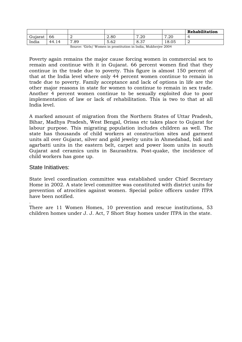|         |       |                       |                                  |                  |                | Rehabilitation |
|---------|-------|-----------------------|----------------------------------|------------------|----------------|----------------|
| Gujarat | 66    | ∼                     | 2.80                             | ⇁<br>ററ<br>∪⊿.   | ററ<br>⇁<br>ں∠. |                |
| India   | 44.14 | $\overline{ }$<br>.89 | $\overline{\phantom{0}}$<br>5.62 | $\sigma$<br>8.37 | 18.05          | ↵              |

Source: 'Girls/ Women in prostitution in India, Mukherjee 2004

Poverty again remains the major cause forcing women in commercial sex to remain and continue with it in Gujarat. 66 percent women find that they continue in the trade due to poverty. This figure is almost 150 percent of that at the India level where only 44 percent women continue to remain in trade due to poverty. Family acceptance and lack of options in life are the other major reasons in state for women to continue to remain in sex trade. Another 4 percent women continue to be sexually exploited due to poor implementation of law or lack of rehabilitation. This is two to that at all India level.

A marked amount of migration from the Northern States of Uttar Pradesh, Bihar, Madhya Pradesh, West Bengal, Orissa etc takes place to Gujarat for labour purpose. This migrating population includes children as well. The state has thousands of child workers at construction sites and garment units all over Gujarat, silver and gold jewelry units in Ahmedabad, bidi and agarbatti units in the eastern belt, carpet and power loom units in south Gujarat and ceramics units in Saurashtra. Post-quake, the incidence of child workers has gone up.

#### State Initiatives:

.

State level coordination committee was established under Chief Secretary Home in 2002. A state level committee was constituted with district units for prevention of atrocities against women. Special police officers under ITPA have been notified.

There are 11 Women Homes, 10 prevention and rescue institutions, 53 children homes under J. J. Act, 7 Short Stay homes under ITPA in the state.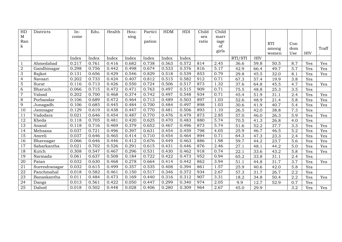| HD              | Districts     | $In-$ | Edu.  | Health | Hou-  | Partici | <b>HDM</b> | HDI   | Child | Child |         |            |            |     |            |       |
|-----------------|---------------|-------|-------|--------|-------|---------|------------|-------|-------|-------|---------|------------|------------|-----|------------|-------|
| $\mathbf M$     |               | come  |       |        | sing  |         |            |       | sex   | marr  |         |            |            |     |            |       |
| Ran             |               |       |       |        |       | pation  |            |       | ratio | iage  |         |            | <b>RTI</b> | Con |            |       |
| k               |               |       |       |        |       |         |            |       |       | of    |         |            | among      | dom |            | Traff |
|                 |               |       |       |        |       |         |            |       |       | girls |         |            | women      | Use | <b>HIV</b> |       |
|                 |               | Index | Index | Index  | Index | Index   | Index      | Index |       |       | RTI/STI | <b>HIV</b> |            |     |            |       |
| 1               | Ahmedabad     | 0.217 | 0.761 | 0.416  | 0.682 | 0.738   | 0.563      | 0.572 | 814   | 2.45  | 36.6    | 59.8       | 50.5       | 8.7 | Yes        | Yes   |
| 2               | Gandhinagar   | 0.298 | 0.756 | 0.442  | 0.498 | 0.674   | 0.533      | 0.576 | 816   | 5.17  | 42.9    | 66.4       | 49.7       | 5.7 | Yes        | Yes   |
| 3               | Rajkot        | 0.131 | 0.656 | 0.429  | 0.546 | 0.829   | 0.518      | 0.539 | 853   | 0.79  | 29.8    | 45.5       | 32.0       | 8.1 | Yes        | Yes   |
| 4               | Navsari       | 0.202 | 0.733 | 0.424  | 0.407 | 0.812   | 0.515      | 0.582 | 912   | 0.71  | 67.3    | 57.4       | 19.9       | 3.8 | Yes        |       |
| 5               | Surat         | 0.116 | 0.713 | 0.426  | 0.550 | 0.724   | 0.506      | 0.517 | 873   | 1.32  | 37.6    | 64.8       | 45.5       | 4.7 | Yes        | Yes   |
| 6               | Bharuch       | 0.066 | 0.715 | 0.472  | 0.471 | 0.763   | 0.497      | 0.515 | 909   | 0.71  | 75.5    | 48.8       | 25.3       | 3.5 | Yes        |       |
| $\overline{7}$  | Valsad        | 0.202 | 0.700 | 0.468  | 0.374 | 0.742   | 0.497      | 0.548 | 934   | 0.71  | 45.4    | 51.9       | 31.1       | 2.4 | Yes        | Yes   |
| 8               | Porbandar     | 0.106 | 0.689 | 0.472  | 0.464 | 0.713   | 0.489      | 0.503 | 897   | 1.03  | 52.6    | 48.9       | 21.4       | 5.8 | Yes        | Yes   |
| 9               | Junagadh      | 0.106 | 0.685 | 0.445  | 0.484 | 0.700   | 0.484      | 0.497 | 898   | 1.03  | 30.6    | 41.9       | 40.7       | 5.4 | Yes        | Yes   |
| 10              | Jamnagar      | 0.129 | 0.619 | 0.438  | 0.447 | 0.770   | 0.481      | 0.506 | 893   | 1.10  | 26.5    | 42.0       | 38.8       | 7.3 | Yes        |       |
| 11              | Vadodara      | 0.021 | 0.646 | 0.454  | 0.487 | 0.770   | 0.476      | 0.479 | 873   | 2.85  | 57.0    | 46.0       | 26.3       | 5.9 | Yes        | Yes   |
| 12              | Kheda         | 0.118 | 0.705 | 0.481  | 0.420 | 0.625   | 0.470      | 0.483 | 880   | 5.74  | 70.5    | 41.3       | 26.8       | 4.0 | Yes        |       |
| 13              | Anand         | 0.118 | 0.716 | 0.469  | 0.379 | 0.652   | 0.467      | 0.496 | 873   | 5.74  | 51.6    | 52.2       | 37.7       | 3.3 | Yes        | Yes   |
| 14              | Mehsana       | 0.037 | 0.721 | 0.496  | 0.397 | 0.631   | 0.454      | 0.459 | 798   | 4.05  | 25.9    | 46.7       | 46.5       | 5.2 | Yes        | Yes   |
| 15              | Amreli        | 0.037 | 0.646 | 0.465  | 0.414 | 0.710   | 0.454      | 0.464 | 894   | 0.71  | 64.3    | 47.3       | 23.3       | 2.4 | Yes        | Yes   |
| 16              | Bhavnagar     | 0.066 | 0.646 | 0.446  | 0.412 | 0.676   | 0.449      | 0.463 | 886   | 1.98  | 59.7    | 44.2       | 23.7       | 5.6 | Yes        | Yes   |
| 17              | Sabarkantha   | 0.021 | 0.702 | 0.526  | 0.291 | 0.615   | 0.431      | 0.446 | 876   | 2.46  | 27.1    | 48.1       | 44.2       | 5.0 | Yes        | Yes   |
| $\overline{18}$ | Kutch         | 0.308 | 0.547 | 0.467  | 0.296 | 0.531   | 0.430      | 0.462 | 918   | 0.74  | 22.1    | 33.6       | 43.2       | 5.8 | Yes        | Yes   |
| 19              | Narmada       | 0.061 | 0.637 | 0.508  | 0.184 | 0.722   | 0.422      | 0.473 | 952   | 0.94  | 65.2    | 33.8       | 31.1       | 2.4 | Yes        |       |
| 20              | Patan         | 0.032 | 0.630 | 0.468  | 0.278 | 0.664   | 0.414      | 0.442 | 862   | 3.94  | 51.1    | 44.8       | 31.7       | 3.7 | Yes        | Yes   |
| 21              | Surendranagar | 0.032 | 0.615 | 0.499  | 0.357 | 0.535   | 0.408      | 0.394 | 861   | 1.57  | 25.9    | 40.6       | 42.0       | 5.8 | Yes        |       |
| 22              | Panchmahal    | 0.018 | 0.582 | 0.461  | 0.150 | 0.517   | 0.346      | 0.372 | 934   | 2.67  | 57.3    | 31.7       | 26.7       | 2.2 | Yes        |       |
| 23              | Banaskantha   | 0.011 | 0.484 | 0.473  | 0.169 | 0.440   | 0.316      | 0.312 | 907   | 3.31  | 18.2    | 34.8       | 50.4       | 2.2 | Yes        | Yes   |
| 24              | Dangs         | 0.013 | 0.561 | 0.422  | 0.050 | 0.447   | 0.299      | 0.340 | 974   | 2.05  | 9.9     | 12.7       | 52.9       | 0.7 | Yes        |       |
| 25              | Dahod         | 0.018 | 0.502 | 0.448  | 0.028 | 0.406   | 0.280      | 0.309 | 964   | 2.67  | 45.0    | 29.9       |            | 3.2 | Yes        | Yes   |